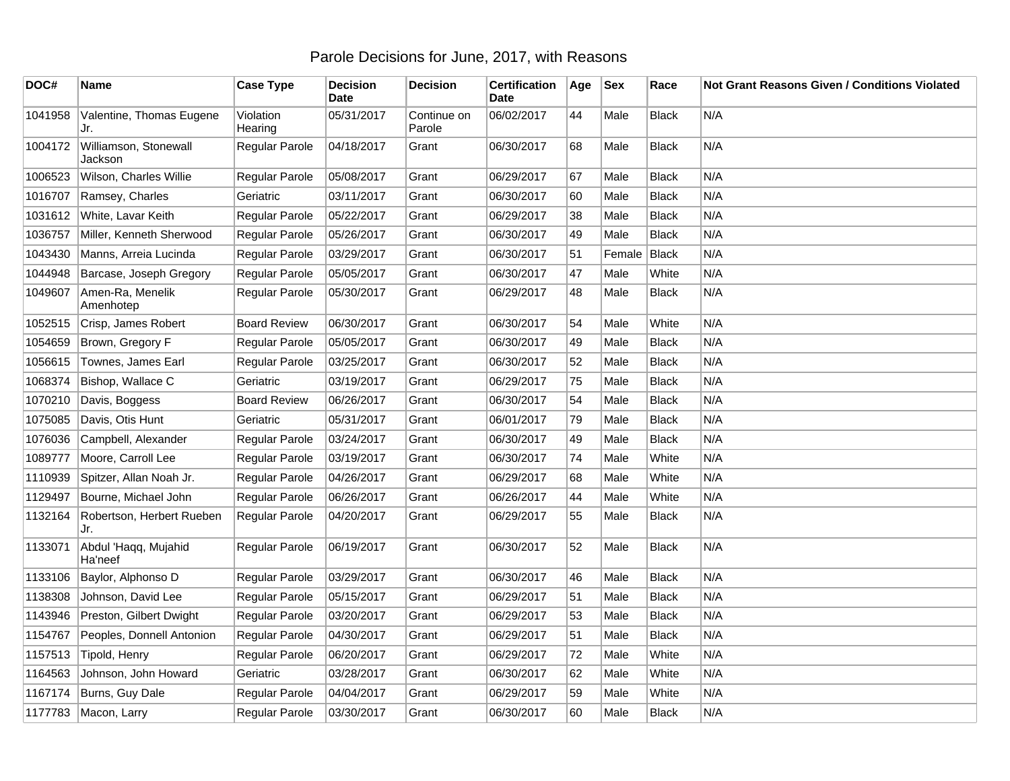## Parole Decisions for June, 2017, with Reasons

| DOC#    | Name                             | <b>Case Type</b>     | <b>Decision</b><br><b>Date</b> | <b>Decision</b>       | <b>Certification</b><br>Date | Age | <b>Sex</b> | Race         | <b>Not Grant Reasons Given / Conditions Violated</b> |
|---------|----------------------------------|----------------------|--------------------------------|-----------------------|------------------------------|-----|------------|--------------|------------------------------------------------------|
| 1041958 | Valentine, Thomas Eugene<br>Jr.  | Violation<br>Hearing | 05/31/2017                     | Continue on<br>Parole | 06/02/2017                   | 44  | Male       | <b>Black</b> | N/A                                                  |
| 1004172 | Williamson, Stonewall<br>Jackson | Regular Parole       | 04/18/2017                     | Grant                 | 06/30/2017                   | 68  | Male       | Black        | N/A                                                  |
| 1006523 | Wilson, Charles Willie           | Regular Parole       | 05/08/2017                     | Grant                 | 06/29/2017                   | 67  | Male       | Black        | N/A                                                  |
| 1016707 | Ramsey, Charles                  | Geriatric            | 03/11/2017                     | Grant                 | 06/30/2017                   | 60  | Male       | <b>Black</b> | N/A                                                  |
| 1031612 | White, Lavar Keith               | Regular Parole       | 05/22/2017                     | Grant                 | 06/29/2017                   | 38  | Male       | <b>Black</b> | N/A                                                  |
| 1036757 | Miller, Kenneth Sherwood         | Regular Parole       | 05/26/2017                     | Grant                 | 06/30/2017                   | 49  | Male       | <b>Black</b> | N/A                                                  |
| 1043430 | Manns, Arreia Lucinda            | Regular Parole       | 03/29/2017                     | Grant                 | 06/30/2017                   | 51  | Female     | Black        | N/A                                                  |
| 1044948 | Barcase, Joseph Gregory          | Regular Parole       | 05/05/2017                     | Grant                 | 06/30/2017                   | 47  | Male       | White        | N/A                                                  |
| 1049607 | Amen-Ra, Menelik<br>Amenhotep    | Regular Parole       | 05/30/2017                     | Grant                 | 06/29/2017                   | 48  | Male       | <b>Black</b> | N/A                                                  |
| 1052515 | Crisp, James Robert              | <b>Board Review</b>  | 06/30/2017                     | Grant                 | 06/30/2017                   | 54  | Male       | White        | N/A                                                  |
| 1054659 | Brown, Gregory F                 | Regular Parole       | 05/05/2017                     | Grant                 | 06/30/2017                   | 49  | Male       | <b>Black</b> | N/A                                                  |
| 1056615 | Townes, James Earl               | Regular Parole       | 03/25/2017                     | Grant                 | 06/30/2017                   | 52  | Male       | <b>Black</b> | N/A                                                  |
| 1068374 | Bishop, Wallace C                | Geriatric            | 03/19/2017                     | Grant                 | 06/29/2017                   | 75  | Male       | Black        | N/A                                                  |
| 1070210 | Davis, Boggess                   | <b>Board Review</b>  | 06/26/2017                     | Grant                 | 06/30/2017                   | 54  | Male       | <b>Black</b> | N/A                                                  |
| 1075085 | Davis, Otis Hunt                 | Geriatric            | 05/31/2017                     | Grant                 | 06/01/2017                   | 79  | Male       | <b>Black</b> | N/A                                                  |
| 1076036 | Campbell, Alexander              | Regular Parole       | 03/24/2017                     | Grant                 | 06/30/2017                   | 49  | Male       | <b>Black</b> | N/A                                                  |
| 1089777 | Moore, Carroll Lee               | Regular Parole       | 03/19/2017                     | Grant                 | 06/30/2017                   | 74  | Male       | White        | N/A                                                  |
| 1110939 | Spitzer, Allan Noah Jr.          | Regular Parole       | 04/26/2017                     | Grant                 | 06/29/2017                   | 68  | Male       | White        | N/A                                                  |
| 1129497 | Bourne, Michael John             | Regular Parole       | 06/26/2017                     | Grant                 | 06/26/2017                   | 44  | Male       | White        | N/A                                                  |
| 1132164 | Robertson, Herbert Rueben<br>Jr. | Regular Parole       | 04/20/2017                     | Grant                 | 06/29/2017                   | 55  | Male       | <b>Black</b> | N/A                                                  |
| 1133071 | Abdul 'Haqq, Mujahid<br>Ha'neef  | Regular Parole       | 06/19/2017                     | Grant                 | 06/30/2017                   | 52  | Male       | <b>Black</b> | N/A                                                  |
| 1133106 | Baylor, Alphonso D               | Regular Parole       | 03/29/2017                     | Grant                 | 06/30/2017                   | 46  | Male       | <b>Black</b> | N/A                                                  |
| 1138308 | Johnson, David Lee               | Regular Parole       | 05/15/2017                     | Grant                 | 06/29/2017                   | 51  | Male       | <b>Black</b> | N/A                                                  |
| 1143946 | Preston, Gilbert Dwight          | Regular Parole       | 03/20/2017                     | Grant                 | 06/29/2017                   | 53  | Male       | <b>Black</b> | N/A                                                  |
| 1154767 | Peoples, Donnell Antonion        | Regular Parole       | 04/30/2017                     | Grant                 | 06/29/2017                   | 51  | Male       | <b>Black</b> | N/A                                                  |
| 1157513 | Tipold, Henry                    | Regular Parole       | 06/20/2017                     | Grant                 | 06/29/2017                   | 72  | Male       | White        | N/A                                                  |
| 1164563 | Johnson, John Howard             | Geriatric            | 03/28/2017                     | Grant                 | 06/30/2017                   | 62  | Male       | White        | N/A                                                  |
| 1167174 | Burns, Guy Dale                  | Regular Parole       | 04/04/2017                     | Grant                 | 06/29/2017                   | 59  | Male       | White        | N/A                                                  |
|         | 1177783   Macon, Larry           | Regular Parole       | 03/30/2017                     | Grant                 | 06/30/2017                   | 60  | Male       | <b>Black</b> | N/A                                                  |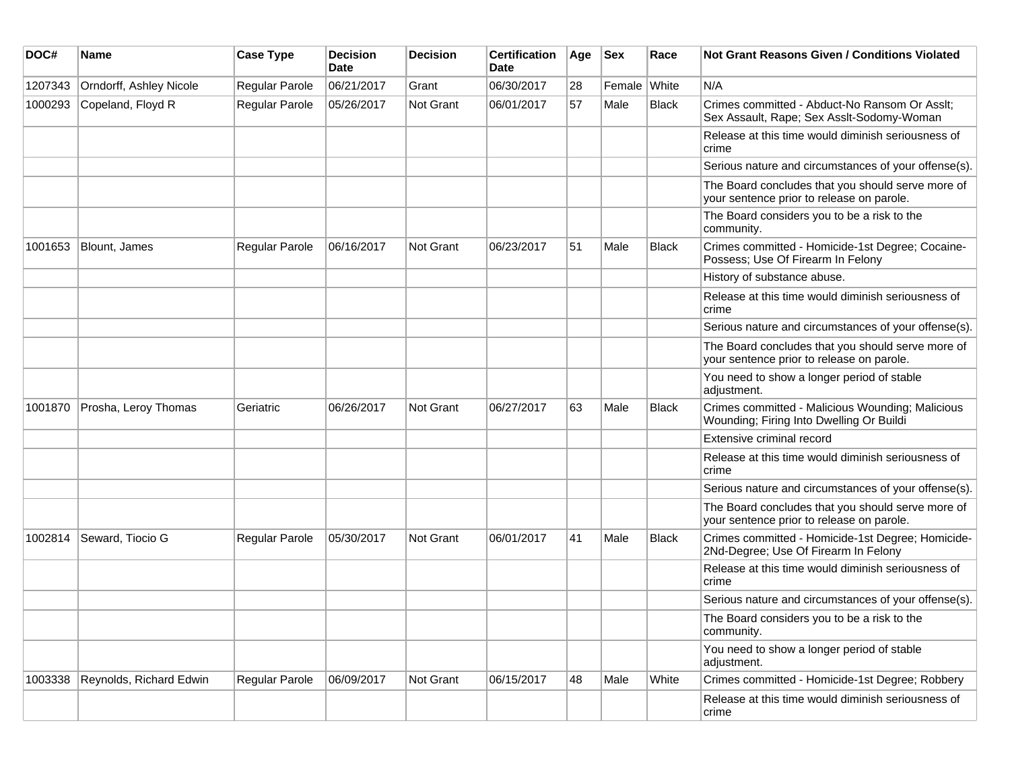| DOC#    | Name                    | <b>Case Type</b>      | <b>Decision</b><br>Date | <b>Decision</b> | <b>Certification</b><br>Date | Age | <b>Sex</b>   | Race  | <b>Not Grant Reasons Given / Conditions Violated</b>                                           |
|---------|-------------------------|-----------------------|-------------------------|-----------------|------------------------------|-----|--------------|-------|------------------------------------------------------------------------------------------------|
| 1207343 | Orndorff, Ashley Nicole | Regular Parole        | 06/21/2017              | Grant           | 06/30/2017                   | 28  | Female White |       | N/A                                                                                            |
| 1000293 | Copeland, Floyd R       | <b>Regular Parole</b> | 05/26/2017              | Not Grant       | 06/01/2017                   | 57  | Male         | Black | Crimes committed - Abduct-No Ransom Or Asslt;<br>Sex Assault, Rape; Sex Asslt-Sodomy-Woman     |
|         |                         |                       |                         |                 |                              |     |              |       | Release at this time would diminish seriousness of<br>crime                                    |
|         |                         |                       |                         |                 |                              |     |              |       | Serious nature and circumstances of your offense(s).                                           |
|         |                         |                       |                         |                 |                              |     |              |       | The Board concludes that you should serve more of<br>your sentence prior to release on parole. |
|         |                         |                       |                         |                 |                              |     |              |       | The Board considers you to be a risk to the<br>community.                                      |
| 1001653 | Blount, James           | <b>Regular Parole</b> | 06/16/2017              | Not Grant       | 06/23/2017                   | 51  | Male         | Black | Crimes committed - Homicide-1st Degree; Cocaine-<br>Possess; Use Of Firearm In Felony          |
|         |                         |                       |                         |                 |                              |     |              |       | History of substance abuse.                                                                    |
|         |                         |                       |                         |                 |                              |     |              |       | Release at this time would diminish seriousness of<br>crime                                    |
|         |                         |                       |                         |                 |                              |     |              |       | Serious nature and circumstances of your offense(s).                                           |
|         |                         |                       |                         |                 |                              |     |              |       | The Board concludes that you should serve more of<br>your sentence prior to release on parole. |
|         |                         |                       |                         |                 |                              |     |              |       | You need to show a longer period of stable<br>adjustment.                                      |
| 1001870 | Prosha, Leroy Thomas    | Geriatric             | 06/26/2017              | Not Grant       | 06/27/2017                   | 63  | Male         | Black | Crimes committed - Malicious Wounding; Malicious<br>Wounding; Firing Into Dwelling Or Buildi   |
|         |                         |                       |                         |                 |                              |     |              |       | Extensive criminal record                                                                      |
|         |                         |                       |                         |                 |                              |     |              |       | Release at this time would diminish seriousness of<br>crime                                    |
|         |                         |                       |                         |                 |                              |     |              |       | Serious nature and circumstances of your offense(s).                                           |
|         |                         |                       |                         |                 |                              |     |              |       | The Board concludes that you should serve more of<br>your sentence prior to release on parole. |
| 1002814 | Seward, Tiocio G        | <b>Regular Parole</b> | 05/30/2017              | Not Grant       | 06/01/2017                   | 41  | Male         | Black | Crimes committed - Homicide-1st Degree; Homicide-<br>2Nd-Degree; Use Of Firearm In Felony      |
|         |                         |                       |                         |                 |                              |     |              |       | Release at this time would diminish seriousness of<br>crime                                    |
|         |                         |                       |                         |                 |                              |     |              |       | Serious nature and circumstances of your offense(s).                                           |
|         |                         |                       |                         |                 |                              |     |              |       | The Board considers you to be a risk to the<br>community.                                      |
|         |                         |                       |                         |                 |                              |     |              |       | You need to show a longer period of stable<br>adjustment.                                      |
| 1003338 | Reynolds, Richard Edwin | Regular Parole        | 06/09/2017              | Not Grant       | 06/15/2017                   | 48  | Male         | White | Crimes committed - Homicide-1st Degree; Robbery                                                |
|         |                         |                       |                         |                 |                              |     |              |       | Release at this time would diminish seriousness of<br>crime                                    |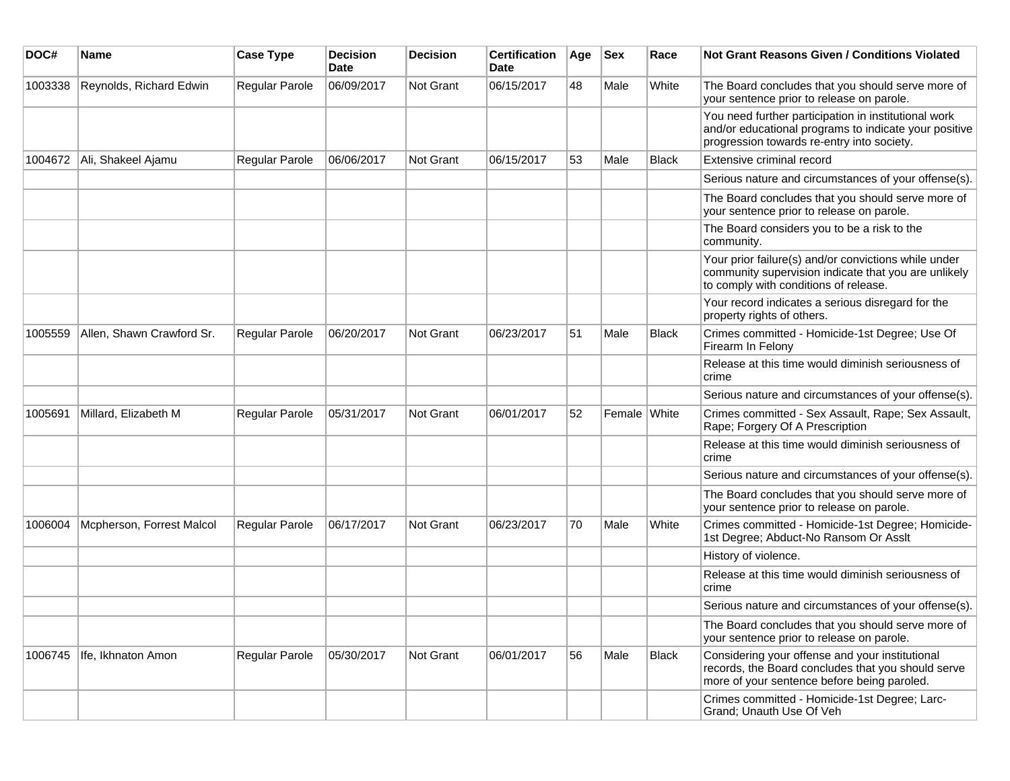| DOC#    | <b>Name</b>               | <b>Case Type</b> | <b>Decision</b><br><b>Date</b> | <b>Decision</b> | <b>Certification</b><br>Date | Age | <b>Sex</b>   | Race         | Not Grant Reasons Given / Conditions Violated                                                                                                               |
|---------|---------------------------|------------------|--------------------------------|-----------------|------------------------------|-----|--------------|--------------|-------------------------------------------------------------------------------------------------------------------------------------------------------------|
| 1003338 | Reynolds, Richard Edwin   | Regular Parole   | 06/09/2017                     | Not Grant       | 06/15/2017                   | 48  | Male         | White        | The Board concludes that you should serve more of<br>your sentence prior to release on parole.                                                              |
|         |                           |                  |                                |                 |                              |     |              |              | You need further participation in institutional work<br>and/or educational programs to indicate your positive<br>progression towards re-entry into society. |
| 1004672 | Ali, Shakeel Ajamu        | Regular Parole   | 06/06/2017                     | Not Grant       | 06/15/2017                   | 53  | Male         | <b>Black</b> | Extensive criminal record                                                                                                                                   |
|         |                           |                  |                                |                 |                              |     |              |              | Serious nature and circumstances of your offense(s).                                                                                                        |
|         |                           |                  |                                |                 |                              |     |              |              | The Board concludes that you should serve more of<br>your sentence prior to release on parole.                                                              |
|         |                           |                  |                                |                 |                              |     |              |              | The Board considers you to be a risk to the<br>community.                                                                                                   |
|         |                           |                  |                                |                 |                              |     |              |              | Your prior failure(s) and/or convictions while under<br>community supervision indicate that you are unlikely<br>to comply with conditions of release.       |
|         |                           |                  |                                |                 |                              |     |              |              | Your record indicates a serious disregard for the<br>property rights of others.                                                                             |
| 1005559 | Allen, Shawn Crawford Sr. | Regular Parole   | 06/20/2017                     | Not Grant       | 06/23/2017                   | 51  | Male         | <b>Black</b> | Crimes committed - Homicide-1st Degree; Use Of<br>Firearm In Felony                                                                                         |
|         |                           |                  |                                |                 |                              |     |              |              | Release at this time would diminish seriousness of<br>crime                                                                                                 |
|         |                           |                  |                                |                 |                              |     |              |              | Serious nature and circumstances of your offense(s).                                                                                                        |
| 1005691 | Millard, Elizabeth M      | Regular Parole   | 05/31/2017                     | Not Grant       | 06/01/2017                   | 52  | Female White |              | Crimes committed - Sex Assault, Rape; Sex Assault,<br>Rape; Forgery Of A Prescription                                                                       |
|         |                           |                  |                                |                 |                              |     |              |              | Release at this time would diminish seriousness of<br>crime                                                                                                 |
|         |                           |                  |                                |                 |                              |     |              |              | Serious nature and circumstances of your offense(s).                                                                                                        |
|         |                           |                  |                                |                 |                              |     |              |              | The Board concludes that you should serve more of<br>your sentence prior to release on parole.                                                              |
| 1006004 | Mcpherson, Forrest Malcol | Regular Parole   | 06/17/2017                     | Not Grant       | 06/23/2017                   | 70  | Male         | White        | Crimes committed - Homicide-1st Degree; Homicide-<br>1st Degree; Abduct-No Ransom Or Asslt                                                                  |
|         |                           |                  |                                |                 |                              |     |              |              | History of violence.                                                                                                                                        |
|         |                           |                  |                                |                 |                              |     |              |              | Release at this time would diminish seriousness of<br>crime                                                                                                 |
|         |                           |                  |                                |                 |                              |     |              |              | Serious nature and circumstances of your offense(s).                                                                                                        |
|         |                           |                  |                                |                 |                              |     |              |              | The Board concludes that you should serve more of<br>your sentence prior to release on parole.                                                              |
| 1006745 | Ife, Ikhnaton Amon        | Regular Parole   | 05/30/2017                     | Not Grant       | 06/01/2017                   | 56  | Male         | Black        | Considering your offense and your institutional<br>records, the Board concludes that you should serve<br>more of your sentence before being paroled.        |
|         |                           |                  |                                |                 |                              |     |              |              | Crimes committed - Homicide-1st Degree; Larc-<br>Grand; Unauth Use Of Veh                                                                                   |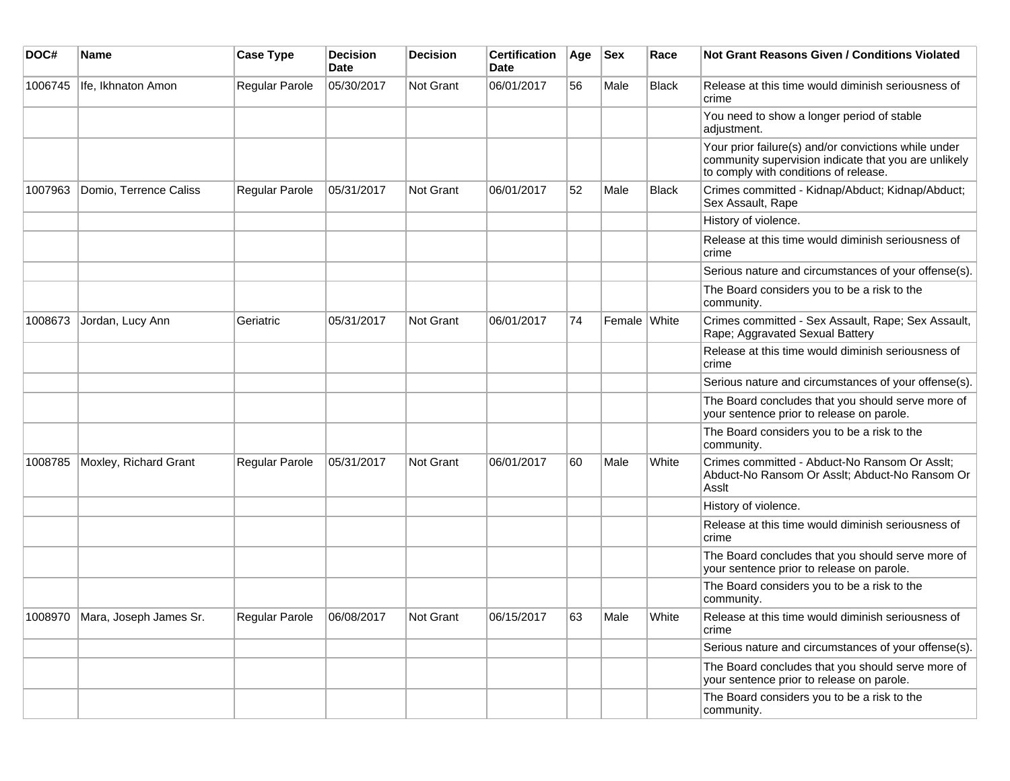| DOC#    | Name                           | <b>Case Type</b>            | <b>Decision</b><br><b>Date</b> | <b>Decision</b>  | <b>Certification</b><br>Date | Age | <b>Sex</b>   | Race         | Not Grant Reasons Given / Conditions Violated                                                                                                         |
|---------|--------------------------------|-----------------------------|--------------------------------|------------------|------------------------------|-----|--------------|--------------|-------------------------------------------------------------------------------------------------------------------------------------------------------|
| 1006745 | Ife, Ikhnaton Amon             | Regular Parole              | 05/30/2017                     | Not Grant        | 06/01/2017                   | 56  | Male         | <b>Black</b> | Release at this time would diminish seriousness of<br>crime                                                                                           |
|         |                                |                             |                                |                  |                              |     |              |              | You need to show a longer period of stable<br>adjustment.                                                                                             |
|         |                                |                             |                                |                  |                              |     |              |              | Your prior failure(s) and/or convictions while under<br>community supervision indicate that you are unlikely<br>to comply with conditions of release. |
| 1007963 | Domio, Terrence Caliss         | Regular Parole              | 05/31/2017                     | Not Grant        | 06/01/2017                   | 52  | Male         | <b>Black</b> | Crimes committed - Kidnap/Abduct; Kidnap/Abduct;<br>Sex Assault, Rape                                                                                 |
|         |                                |                             |                                |                  |                              |     |              |              | History of violence.                                                                                                                                  |
|         |                                |                             |                                |                  |                              |     |              |              | Release at this time would diminish seriousness of<br>crime                                                                                           |
|         |                                |                             |                                |                  |                              |     |              |              | Serious nature and circumstances of your offense(s).                                                                                                  |
|         |                                |                             |                                |                  |                              |     |              |              | The Board considers you to be a risk to the<br>community.                                                                                             |
| 1008673 | Jordan, Lucy Ann               | Geriatric                   | 05/31/2017                     | <b>Not Grant</b> | 06/01/2017                   | 74  | Female White |              | Crimes committed - Sex Assault, Rape; Sex Assault,<br>Rape; Aggravated Sexual Battery                                                                 |
|         |                                |                             |                                |                  |                              |     |              |              | Release at this time would diminish seriousness of<br>crime                                                                                           |
|         |                                |                             |                                |                  |                              |     |              |              | Serious nature and circumstances of your offense(s).                                                                                                  |
|         |                                |                             |                                |                  |                              |     |              |              | The Board concludes that you should serve more of<br>your sentence prior to release on parole.                                                        |
|         |                                |                             |                                |                  |                              |     |              |              | The Board considers you to be a risk to the<br>community.                                                                                             |
| 1008785 | Moxley, Richard Grant          | Regular Parole              | 05/31/2017                     | Not Grant        | 06/01/2017                   | 60  | Male         | White        | Crimes committed - Abduct-No Ransom Or Asslt;<br>Abduct-No Ransom Or Asslt; Abduct-No Ransom Or<br>Asslt                                              |
|         |                                |                             |                                |                  |                              |     |              |              | History of violence.                                                                                                                                  |
|         |                                |                             |                                |                  |                              |     |              |              | Release at this time would diminish seriousness of<br>crime                                                                                           |
|         |                                |                             |                                |                  |                              |     |              |              | The Board concludes that you should serve more of<br>your sentence prior to release on parole.                                                        |
|         |                                |                             |                                |                  |                              |     |              |              | The Board considers you to be a risk to the<br>community.                                                                                             |
|         | 1008970 Mara, Joseph James Sr. | Regular Parole   06/08/2017 |                                | Not Grant        | 06/15/2017                   | 63  | Male         | White        | Release at this time would diminish seriousness of<br>crime                                                                                           |
|         |                                |                             |                                |                  |                              |     |              |              | Serious nature and circumstances of your offense(s).                                                                                                  |
|         |                                |                             |                                |                  |                              |     |              |              | The Board concludes that you should serve more of<br>your sentence prior to release on parole.                                                        |
|         |                                |                             |                                |                  |                              |     |              |              | The Board considers you to be a risk to the<br>community.                                                                                             |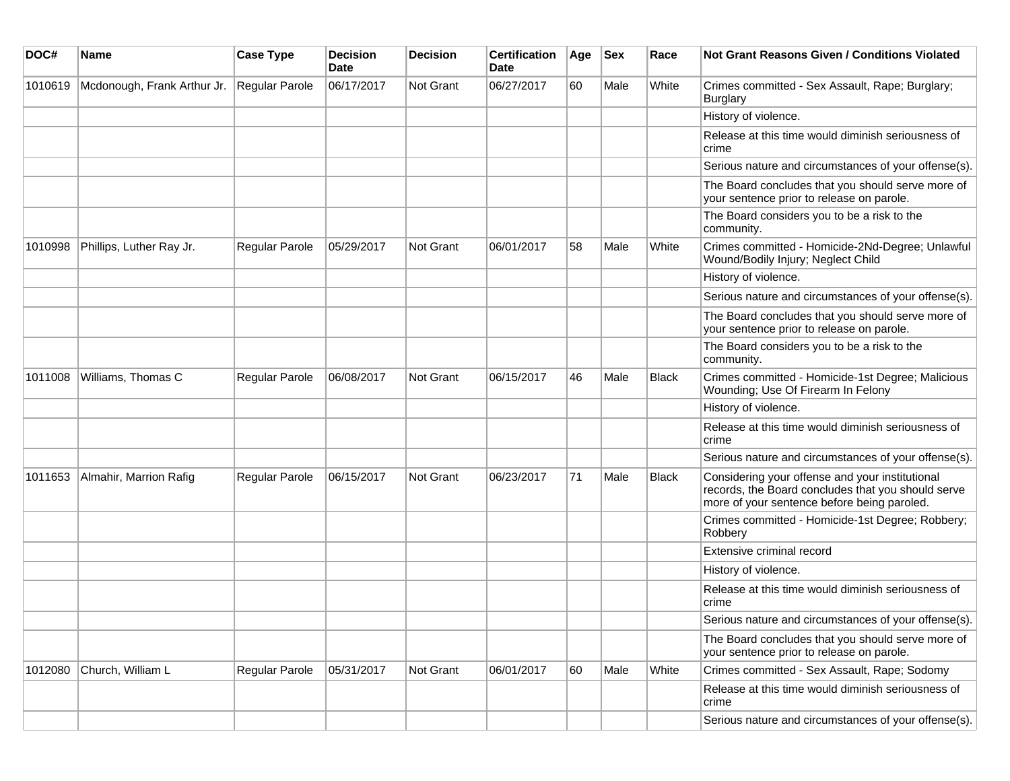| DOC#    | Name                        | <b>Case Type</b>      | <b>Decision</b><br>Date | <b>Decision</b>  | <b>Certification</b><br>Date | Age | <b>Sex</b> | Race         | <b>Not Grant Reasons Given / Conditions Violated</b>                                                                                                 |
|---------|-----------------------------|-----------------------|-------------------------|------------------|------------------------------|-----|------------|--------------|------------------------------------------------------------------------------------------------------------------------------------------------------|
| 1010619 | Mcdonough, Frank Arthur Jr. | Regular Parole        | 06/17/2017              | Not Grant        | 06/27/2017                   | 60  | Male       | White        | Crimes committed - Sex Assault, Rape; Burglary;<br>Burglary                                                                                          |
|         |                             |                       |                         |                  |                              |     |            |              | History of violence.                                                                                                                                 |
|         |                             |                       |                         |                  |                              |     |            |              | Release at this time would diminish seriousness of<br>crime                                                                                          |
|         |                             |                       |                         |                  |                              |     |            |              | Serious nature and circumstances of your offense(s).                                                                                                 |
|         |                             |                       |                         |                  |                              |     |            |              | The Board concludes that you should serve more of<br>your sentence prior to release on parole.                                                       |
|         |                             |                       |                         |                  |                              |     |            |              | The Board considers you to be a risk to the<br>community.                                                                                            |
| 1010998 | Phillips, Luther Ray Jr.    | <b>Regular Parole</b> | 05/29/2017              | Not Grant        | 06/01/2017                   | 58  | Male       | White        | Crimes committed - Homicide-2Nd-Degree; Unlawful<br>Wound/Bodily Injury; Neglect Child                                                               |
|         |                             |                       |                         |                  |                              |     |            |              | History of violence.                                                                                                                                 |
|         |                             |                       |                         |                  |                              |     |            |              | Serious nature and circumstances of your offense(s).                                                                                                 |
|         |                             |                       |                         |                  |                              |     |            |              | The Board concludes that you should serve more of<br>your sentence prior to release on parole.                                                       |
|         |                             |                       |                         |                  |                              |     |            |              | The Board considers you to be a risk to the<br>community.                                                                                            |
| 1011008 | Williams, Thomas C          | Regular Parole        | 06/08/2017              | <b>Not Grant</b> | 06/15/2017                   | 46  | Male       | Black        | Crimes committed - Homicide-1st Degree; Malicious<br>Wounding; Use Of Firearm In Felony                                                              |
|         |                             |                       |                         |                  |                              |     |            |              | History of violence.                                                                                                                                 |
|         |                             |                       |                         |                  |                              |     |            |              | Release at this time would diminish seriousness of<br>crime                                                                                          |
|         |                             |                       |                         |                  |                              |     |            |              | Serious nature and circumstances of your offense(s).                                                                                                 |
| 1011653 | Almahir, Marrion Rafig      | <b>Regular Parole</b> | 06/15/2017              | <b>Not Grant</b> | 06/23/2017                   | 71  | Male       | <b>Black</b> | Considering your offense and your institutional<br>records, the Board concludes that you should serve<br>more of your sentence before being paroled. |
|         |                             |                       |                         |                  |                              |     |            |              | Crimes committed - Homicide-1st Degree; Robbery;<br>Robbery                                                                                          |
|         |                             |                       |                         |                  |                              |     |            |              | Extensive criminal record                                                                                                                            |
|         |                             |                       |                         |                  |                              |     |            |              | History of violence.                                                                                                                                 |
|         |                             |                       |                         |                  |                              |     |            |              | Release at this time would diminish seriousness of<br>crime                                                                                          |
|         |                             |                       |                         |                  |                              |     |            |              | Serious nature and circumstances of your offense(s).                                                                                                 |
|         |                             |                       |                         |                  |                              |     |            |              | The Board concludes that you should serve more of<br>your sentence prior to release on parole.                                                       |
| 1012080 | Church, William L           | Regular Parole        | 05/31/2017              | <b>Not Grant</b> | 06/01/2017                   | 60  | Male       | White        | Crimes committed - Sex Assault, Rape; Sodomy                                                                                                         |
|         |                             |                       |                         |                  |                              |     |            |              | Release at this time would diminish seriousness of<br>crime                                                                                          |
|         |                             |                       |                         |                  |                              |     |            |              | Serious nature and circumstances of your offense(s).                                                                                                 |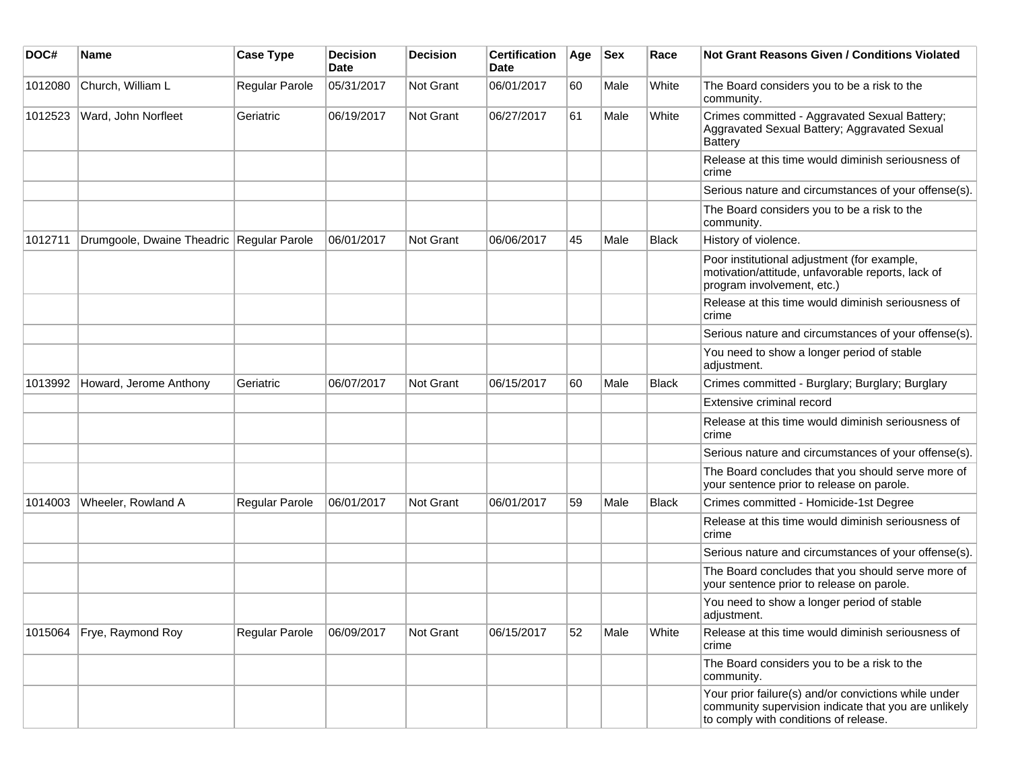| DOC#    | <b>Name</b>                               | <b>Case Type</b>      | <b>Decision</b><br><b>Date</b> | <b>Decision</b>  | <b>Certification</b><br>Date | Age | <b>Sex</b> | Race  | <b>Not Grant Reasons Given / Conditions Violated</b>                                                                                                  |
|---------|-------------------------------------------|-----------------------|--------------------------------|------------------|------------------------------|-----|------------|-------|-------------------------------------------------------------------------------------------------------------------------------------------------------|
| 1012080 | Church, William L                         | Regular Parole        | 05/31/2017                     | Not Grant        | 06/01/2017                   | 60  | Male       | White | The Board considers you to be a risk to the<br>community.                                                                                             |
| 1012523 | Ward, John Norfleet                       | Geriatric             | 06/19/2017                     | Not Grant        | 06/27/2017                   | 61  | Male       | White | Crimes committed - Aggravated Sexual Battery;<br>Aggravated Sexual Battery; Aggravated Sexual<br><b>Battery</b>                                       |
|         |                                           |                       |                                |                  |                              |     |            |       | Release at this time would diminish seriousness of<br>crime                                                                                           |
|         |                                           |                       |                                |                  |                              |     |            |       | Serious nature and circumstances of your offense(s).                                                                                                  |
|         |                                           |                       |                                |                  |                              |     |            |       | The Board considers you to be a risk to the<br>community.                                                                                             |
| 1012711 | Drumgoole, Dwaine Theadric Regular Parole |                       | 06/01/2017                     | <b>Not Grant</b> | 06/06/2017                   | 45  | Male       | Black | History of violence.                                                                                                                                  |
|         |                                           |                       |                                |                  |                              |     |            |       | Poor institutional adjustment (for example,<br>motivation/attitude, unfavorable reports, lack of<br>program involvement, etc.)                        |
|         |                                           |                       |                                |                  |                              |     |            |       | Release at this time would diminish seriousness of<br>crime                                                                                           |
|         |                                           |                       |                                |                  |                              |     |            |       | Serious nature and circumstances of your offense(s).                                                                                                  |
|         |                                           |                       |                                |                  |                              |     |            |       | You need to show a longer period of stable<br>adjustment.                                                                                             |
| 1013992 | Howard, Jerome Anthony                    | Geriatric             | 06/07/2017                     | <b>Not Grant</b> | 06/15/2017                   | 60  | Male       | Black | Crimes committed - Burglary; Burglary; Burglary                                                                                                       |
|         |                                           |                       |                                |                  |                              |     |            |       | Extensive criminal record                                                                                                                             |
|         |                                           |                       |                                |                  |                              |     |            |       | Release at this time would diminish seriousness of<br>crime                                                                                           |
|         |                                           |                       |                                |                  |                              |     |            |       | Serious nature and circumstances of your offense(s).                                                                                                  |
|         |                                           |                       |                                |                  |                              |     |            |       | The Board concludes that you should serve more of<br>your sentence prior to release on parole.                                                        |
| 1014003 | Wheeler, Rowland A                        | <b>Regular Parole</b> | 06/01/2017                     | <b>Not Grant</b> | 06/01/2017                   | 59  | Male       | Black | Crimes committed - Homicide-1st Degree                                                                                                                |
|         |                                           |                       |                                |                  |                              |     |            |       | Release at this time would diminish seriousness of<br>crime                                                                                           |
|         |                                           |                       |                                |                  |                              |     |            |       | Serious nature and circumstances of your offense(s).                                                                                                  |
|         |                                           |                       |                                |                  |                              |     |            |       | The Board concludes that you should serve more of<br>your sentence prior to release on parole.                                                        |
|         |                                           |                       |                                |                  |                              |     |            |       | You need to show a longer period of stable<br>adjustment.                                                                                             |
| 1015064 | Frye, Raymond Roy                         | Regular Parole        | 06/09/2017                     | Not Grant        | 06/15/2017                   | 52  | Male       | White | Release at this time would diminish seriousness of<br>crime                                                                                           |
|         |                                           |                       |                                |                  |                              |     |            |       | The Board considers you to be a risk to the<br>community.                                                                                             |
|         |                                           |                       |                                |                  |                              |     |            |       | Your prior failure(s) and/or convictions while under<br>community supervision indicate that you are unlikely<br>to comply with conditions of release. |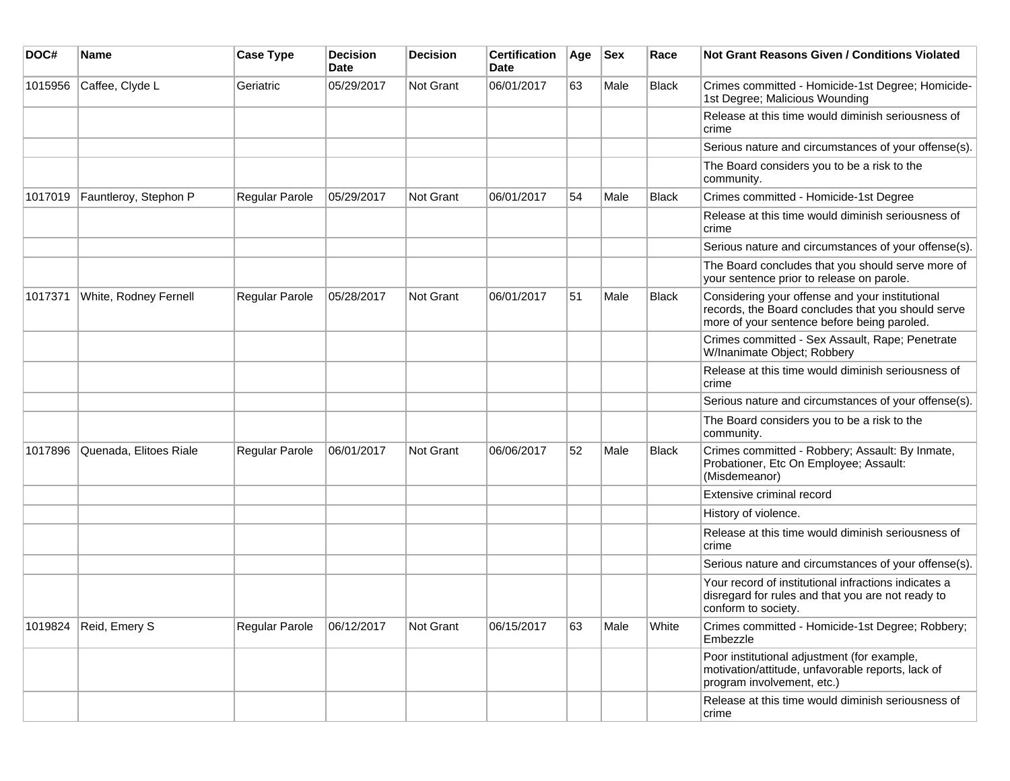| DOC#    | <b>Name</b>            | <b>Case Type</b> | <b>Decision</b><br><b>Date</b> | <b>Decision</b> | <b>Certification</b><br>Date | Age | <b>Sex</b> | Race         | <b>Not Grant Reasons Given / Conditions Violated</b>                                                                                                 |
|---------|------------------------|------------------|--------------------------------|-----------------|------------------------------|-----|------------|--------------|------------------------------------------------------------------------------------------------------------------------------------------------------|
| 1015956 | Caffee, Clyde L        | Geriatric        | 05/29/2017                     | Not Grant       | 06/01/2017                   | 63  | Male       | <b>Black</b> | Crimes committed - Homicide-1st Degree; Homicide-<br>1st Degree; Malicious Wounding                                                                  |
|         |                        |                  |                                |                 |                              |     |            |              | Release at this time would diminish seriousness of<br>crime                                                                                          |
|         |                        |                  |                                |                 |                              |     |            |              | Serious nature and circumstances of your offense(s).                                                                                                 |
|         |                        |                  |                                |                 |                              |     |            |              | The Board considers you to be a risk to the<br>community.                                                                                            |
| 1017019 | Fauntleroy, Stephon P  | Regular Parole   | 05/29/2017                     | Not Grant       | 06/01/2017                   | 54  | Male       | <b>Black</b> | Crimes committed - Homicide-1st Degree                                                                                                               |
|         |                        |                  |                                |                 |                              |     |            |              | Release at this time would diminish seriousness of<br>crime                                                                                          |
|         |                        |                  |                                |                 |                              |     |            |              | Serious nature and circumstances of your offense(s).                                                                                                 |
|         |                        |                  |                                |                 |                              |     |            |              | The Board concludes that you should serve more of<br>your sentence prior to release on parole.                                                       |
| 1017371 | White, Rodney Fernell  | Regular Parole   | 05/28/2017                     | Not Grant       | 06/01/2017                   | 51  | Male       | Black        | Considering your offense and your institutional<br>records, the Board concludes that you should serve<br>more of your sentence before being paroled. |
|         |                        |                  |                                |                 |                              |     |            |              | Crimes committed - Sex Assault, Rape; Penetrate<br>W/Inanimate Object; Robbery                                                                       |
|         |                        |                  |                                |                 |                              |     |            |              | Release at this time would diminish seriousness of<br>crime                                                                                          |
|         |                        |                  |                                |                 |                              |     |            |              | Serious nature and circumstances of your offense(s).                                                                                                 |
|         |                        |                  |                                |                 |                              |     |            |              | The Board considers you to be a risk to the<br>community.                                                                                            |
| 1017896 | Quenada, Elitoes Riale | Regular Parole   | 06/01/2017                     | Not Grant       | 06/06/2017                   | 52  | Male       | <b>Black</b> | Crimes committed - Robbery; Assault: By Inmate,<br>Probationer, Etc On Employee; Assault:<br>(Misdemeanor)                                           |
|         |                        |                  |                                |                 |                              |     |            |              | Extensive criminal record                                                                                                                            |
|         |                        |                  |                                |                 |                              |     |            |              | History of violence.                                                                                                                                 |
|         |                        |                  |                                |                 |                              |     |            |              | Release at this time would diminish seriousness of<br>crime                                                                                          |
|         |                        |                  |                                |                 |                              |     |            |              | Serious nature and circumstances of your offense(s).                                                                                                 |
|         |                        |                  |                                |                 |                              |     |            |              | Your record of institutional infractions indicates a<br>disregard for rules and that you are not ready to<br>conform to society.                     |
| 1019824 | Reid, Emery S          | Regular Parole   | 06/12/2017                     | Not Grant       | 06/15/2017                   | 63  | Male       | White        | Crimes committed - Homicide-1st Degree; Robbery;<br>Embezzle                                                                                         |
|         |                        |                  |                                |                 |                              |     |            |              | Poor institutional adjustment (for example,<br>motivation/attitude, unfavorable reports, lack of<br>program involvement, etc.)                       |
|         |                        |                  |                                |                 |                              |     |            |              | Release at this time would diminish seriousness of<br>crime                                                                                          |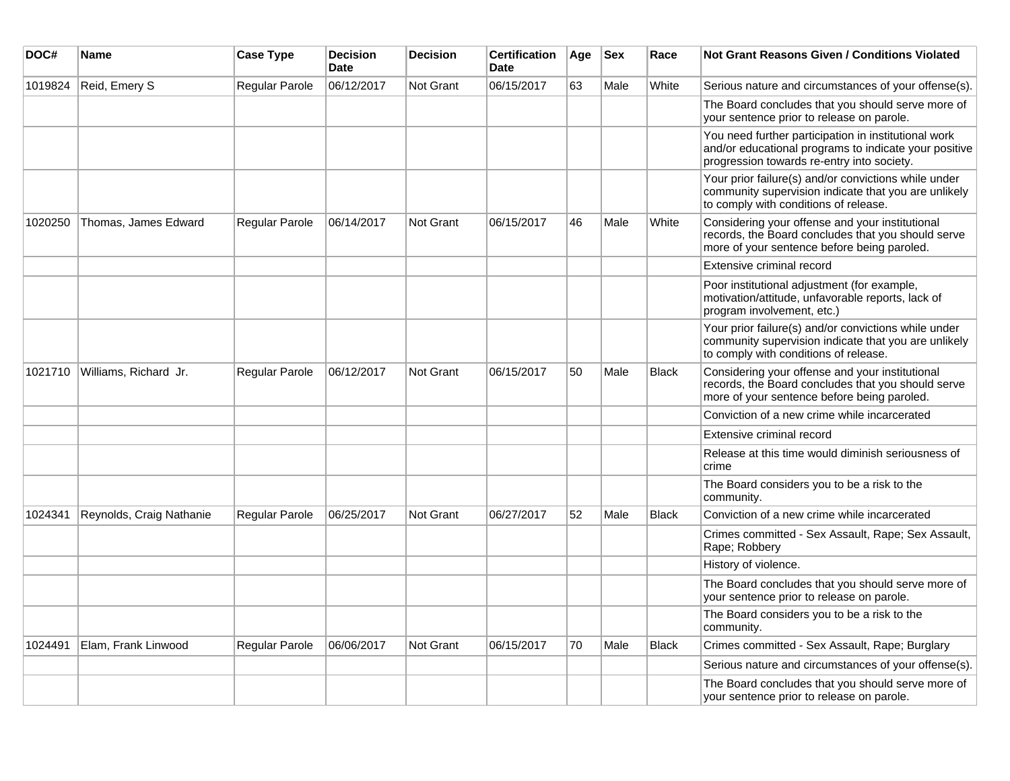| DOC#    | Name                     | <b>Case Type</b>      | <b>Decision</b><br><b>Date</b> | <b>Decision</b>  | <b>Certification</b><br>Date | Age | <b>Sex</b> | Race         | Not Grant Reasons Given / Conditions Violated                                                                                                               |
|---------|--------------------------|-----------------------|--------------------------------|------------------|------------------------------|-----|------------|--------------|-------------------------------------------------------------------------------------------------------------------------------------------------------------|
| 1019824 | Reid, Emery S            | Regular Parole        | 06/12/2017                     | Not Grant        | 06/15/2017                   | 63  | Male       | White        | Serious nature and circumstances of your offense(s).                                                                                                        |
|         |                          |                       |                                |                  |                              |     |            |              | The Board concludes that you should serve more of<br>your sentence prior to release on parole.                                                              |
|         |                          |                       |                                |                  |                              |     |            |              | You need further participation in institutional work<br>and/or educational programs to indicate your positive<br>progression towards re-entry into society. |
|         |                          |                       |                                |                  |                              |     |            |              | Your prior failure(s) and/or convictions while under<br>community supervision indicate that you are unlikely<br>to comply with conditions of release.       |
| 1020250 | Thomas, James Edward     | Regular Parole        | 06/14/2017                     | <b>Not Grant</b> | 06/15/2017                   | 46  | Male       | White        | Considering your offense and your institutional<br>records, the Board concludes that you should serve<br>more of your sentence before being paroled.        |
|         |                          |                       |                                |                  |                              |     |            |              | Extensive criminal record                                                                                                                                   |
|         |                          |                       |                                |                  |                              |     |            |              | Poor institutional adjustment (for example,<br>motivation/attitude, unfavorable reports, lack of<br>program involvement, etc.)                              |
|         |                          |                       |                                |                  |                              |     |            |              | Your prior failure(s) and/or convictions while under<br>community supervision indicate that you are unlikely<br>to comply with conditions of release.       |
| 1021710 | Williams, Richard Jr.    | Regular Parole        | 06/12/2017                     | Not Grant        | 06/15/2017                   | 50  | Male       | <b>Black</b> | Considering your offense and your institutional<br>records, the Board concludes that you should serve<br>more of your sentence before being paroled.        |
|         |                          |                       |                                |                  |                              |     |            |              | Conviction of a new crime while incarcerated                                                                                                                |
|         |                          |                       |                                |                  |                              |     |            |              | Extensive criminal record                                                                                                                                   |
|         |                          |                       |                                |                  |                              |     |            |              | Release at this time would diminish seriousness of<br>crime                                                                                                 |
|         |                          |                       |                                |                  |                              |     |            |              | The Board considers you to be a risk to the<br>community.                                                                                                   |
| 1024341 | Reynolds, Craig Nathanie | Regular Parole        | 06/25/2017                     | <b>Not Grant</b> | 06/27/2017                   | 52  | Male       | <b>Black</b> | Conviction of a new crime while incarcerated                                                                                                                |
|         |                          |                       |                                |                  |                              |     |            |              | Crimes committed - Sex Assault, Rape; Sex Assault,<br>Rape; Robbery                                                                                         |
|         |                          |                       |                                |                  |                              |     |            |              | History of violence.                                                                                                                                        |
|         |                          |                       |                                |                  |                              |     |            |              | The Board concludes that you should serve more of<br>your sentence prior to release on parole.                                                              |
|         |                          |                       |                                |                  |                              |     |            |              | The Board considers you to be a risk to the<br>community.                                                                                                   |
| 1024491 | Elam, Frank Linwood      | <b>Regular Parole</b> | 06/06/2017                     | Not Grant        | 06/15/2017                   | 70  | Male       | <b>Black</b> | Crimes committed - Sex Assault, Rape; Burglary                                                                                                              |
|         |                          |                       |                                |                  |                              |     |            |              | Serious nature and circumstances of your offense(s).                                                                                                        |
|         |                          |                       |                                |                  |                              |     |            |              | The Board concludes that you should serve more of<br>your sentence prior to release on parole.                                                              |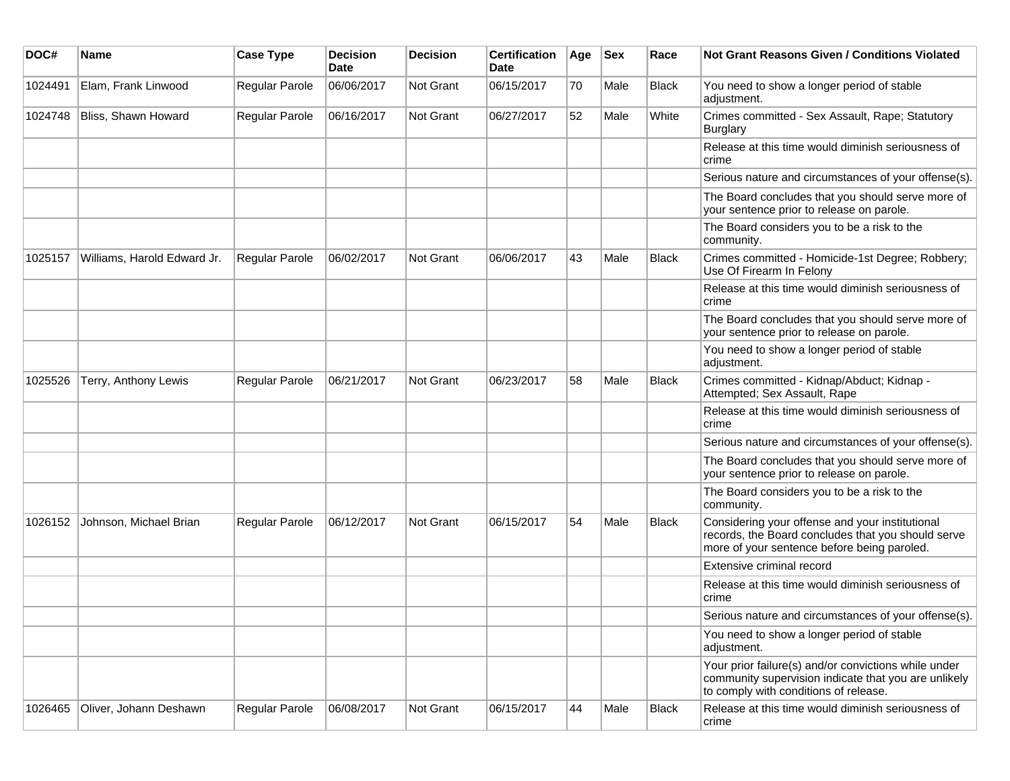| DOC#    | <b>Name</b>                 | <b>Case Type</b> | <b>Decision</b><br><b>Date</b> | <b>Decision</b>  | <b>Certification</b><br>Date | Age | <b>Sex</b> | Race         | Not Grant Reasons Given / Conditions Violated                                                                                                         |
|---------|-----------------------------|------------------|--------------------------------|------------------|------------------------------|-----|------------|--------------|-------------------------------------------------------------------------------------------------------------------------------------------------------|
| 1024491 | Elam, Frank Linwood         | Regular Parole   | 06/06/2017                     | <b>Not Grant</b> | 06/15/2017                   | 70  | Male       | Black        | You need to show a longer period of stable<br>adjustment.                                                                                             |
| 1024748 | Bliss, Shawn Howard         | Regular Parole   | 06/16/2017                     | Not Grant        | 06/27/2017                   | 52  | Male       | White        | Crimes committed - Sex Assault, Rape; Statutory<br><b>Burglary</b>                                                                                    |
|         |                             |                  |                                |                  |                              |     |            |              | Release at this time would diminish seriousness of<br>crime                                                                                           |
|         |                             |                  |                                |                  |                              |     |            |              | Serious nature and circumstances of your offense(s).                                                                                                  |
|         |                             |                  |                                |                  |                              |     |            |              | The Board concludes that you should serve more of<br>your sentence prior to release on parole.                                                        |
|         |                             |                  |                                |                  |                              |     |            |              | The Board considers you to be a risk to the<br>community.                                                                                             |
| 1025157 | Williams, Harold Edward Jr. | Regular Parole   | 06/02/2017                     | <b>Not Grant</b> | 06/06/2017                   | 43  | Male       | Black        | Crimes committed - Homicide-1st Degree; Robbery;<br>Use Of Firearm In Felony                                                                          |
|         |                             |                  |                                |                  |                              |     |            |              | Release at this time would diminish seriousness of<br>crime                                                                                           |
|         |                             |                  |                                |                  |                              |     |            |              | The Board concludes that you should serve more of<br>your sentence prior to release on parole.                                                        |
|         |                             |                  |                                |                  |                              |     |            |              | You need to show a longer period of stable<br>adjustment.                                                                                             |
| 1025526 | Terry, Anthony Lewis        | Regular Parole   | 06/21/2017                     | <b>Not Grant</b> | 06/23/2017                   | 58  | Male       | Black        | Crimes committed - Kidnap/Abduct; Kidnap -<br>Attempted; Sex Assault, Rape                                                                            |
|         |                             |                  |                                |                  |                              |     |            |              | Release at this time would diminish seriousness of<br>crime                                                                                           |
|         |                             |                  |                                |                  |                              |     |            |              | Serious nature and circumstances of your offense(s).                                                                                                  |
|         |                             |                  |                                |                  |                              |     |            |              | The Board concludes that you should serve more of<br>your sentence prior to release on parole.                                                        |
|         |                             |                  |                                |                  |                              |     |            |              | The Board considers you to be a risk to the<br>community.                                                                                             |
| 1026152 | Johnson, Michael Brian      | Regular Parole   | 06/12/2017                     | Not Grant        | 06/15/2017                   | 54  | Male       | <b>Black</b> | Considering your offense and your institutional<br>records, the Board concludes that you should serve<br>more of your sentence before being paroled.  |
|         |                             |                  |                                |                  |                              |     |            |              | Extensive criminal record                                                                                                                             |
|         |                             |                  |                                |                  |                              |     |            |              | Release at this time would diminish seriousness of<br>crime                                                                                           |
|         |                             |                  |                                |                  |                              |     |            |              | Serious nature and circumstances of your offense(s).                                                                                                  |
|         |                             |                  |                                |                  |                              |     |            |              | You need to show a longer period of stable<br>adjustment.                                                                                             |
|         |                             |                  |                                |                  |                              |     |            |              | Your prior failure(s) and/or convictions while under<br>community supervision indicate that you are unlikely<br>to comply with conditions of release. |
| 1026465 | Oliver, Johann Deshawn      | Regular Parole   | 06/08/2017                     | Not Grant        | 06/15/2017                   | 44  | Male       | Black        | Release at this time would diminish seriousness of<br>crime                                                                                           |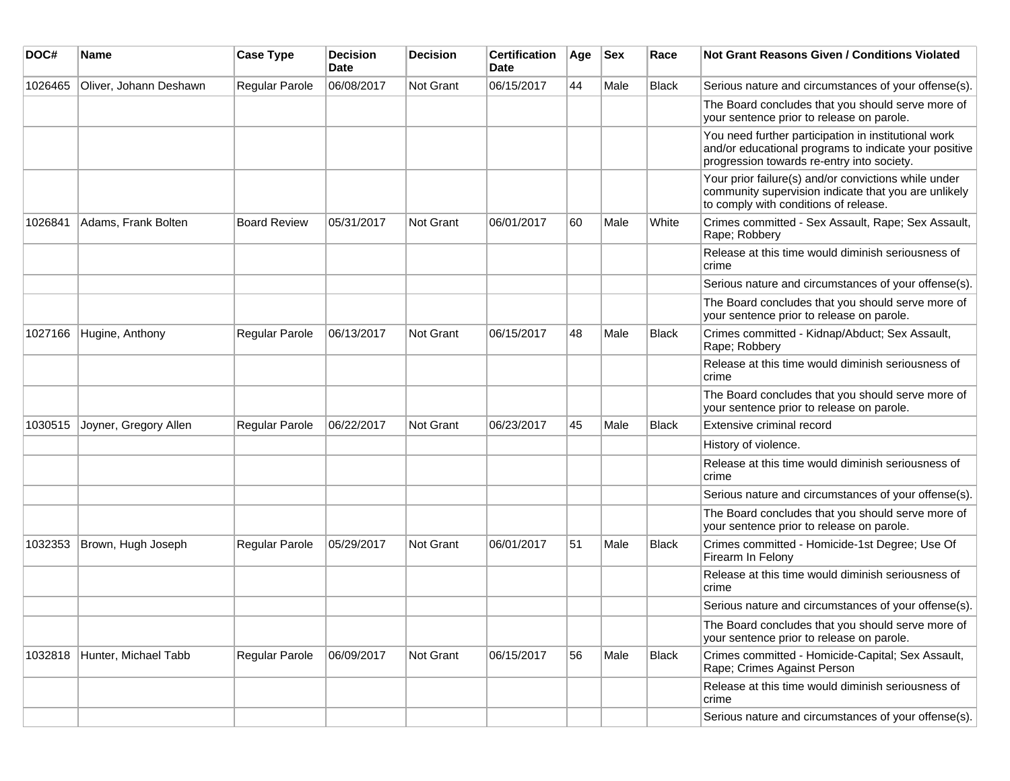| DOC#    | Name                   | <b>Case Type</b>      | <b>Decision</b><br>Date | <b>Decision</b> | <b>Certification</b><br>Date | Age | <b>Sex</b> | Race         | <b>Not Grant Reasons Given / Conditions Violated</b>                                                                                                        |
|---------|------------------------|-----------------------|-------------------------|-----------------|------------------------------|-----|------------|--------------|-------------------------------------------------------------------------------------------------------------------------------------------------------------|
| 1026465 | Oliver, Johann Deshawn | Regular Parole        | 06/08/2017              | Not Grant       | 06/15/2017                   | 44  | Male       | <b>Black</b> | Serious nature and circumstances of your offense(s).                                                                                                        |
|         |                        |                       |                         |                 |                              |     |            |              | The Board concludes that you should serve more of<br>your sentence prior to release on parole.                                                              |
|         |                        |                       |                         |                 |                              |     |            |              | You need further participation in institutional work<br>and/or educational programs to indicate your positive<br>progression towards re-entry into society. |
|         |                        |                       |                         |                 |                              |     |            |              | Your prior failure(s) and/or convictions while under<br>community supervision indicate that you are unlikely<br>to comply with conditions of release.       |
| 1026841 | Adams, Frank Bolten    | <b>Board Review</b>   | 05/31/2017              | Not Grant       | 06/01/2017                   | 60  | Male       | White        | Crimes committed - Sex Assault, Rape; Sex Assault,<br>Rape; Robbery                                                                                         |
|         |                        |                       |                         |                 |                              |     |            |              | Release at this time would diminish seriousness of<br>crime                                                                                                 |
|         |                        |                       |                         |                 |                              |     |            |              | Serious nature and circumstances of your offense(s).                                                                                                        |
|         |                        |                       |                         |                 |                              |     |            |              | The Board concludes that you should serve more of<br>your sentence prior to release on parole.                                                              |
| 1027166 | Hugine, Anthony        | Regular Parole        | 06/13/2017              | Not Grant       | 06/15/2017                   | 48  | Male       | <b>Black</b> | Crimes committed - Kidnap/Abduct; Sex Assault,<br>Rape; Robbery                                                                                             |
|         |                        |                       |                         |                 |                              |     |            |              | Release at this time would diminish seriousness of<br>crime                                                                                                 |
|         |                        |                       |                         |                 |                              |     |            |              | The Board concludes that you should serve more of<br>your sentence prior to release on parole.                                                              |
| 1030515 | Joyner, Gregory Allen  | Regular Parole        | 06/22/2017              | Not Grant       | 06/23/2017                   | 45  | Male       | <b>Black</b> | Extensive criminal record                                                                                                                                   |
|         |                        |                       |                         |                 |                              |     |            |              | History of violence.                                                                                                                                        |
|         |                        |                       |                         |                 |                              |     |            |              | Release at this time would diminish seriousness of<br>crime                                                                                                 |
|         |                        |                       |                         |                 |                              |     |            |              | Serious nature and circumstances of your offense(s).                                                                                                        |
|         |                        |                       |                         |                 |                              |     |            |              | The Board concludes that you should serve more of<br>your sentence prior to release on parole.                                                              |
| 1032353 | Brown, Hugh Joseph     | <b>Regular Parole</b> | 05/29/2017              | Not Grant       | 06/01/2017                   | 51  | Male       | Black        | Crimes committed - Homicide-1st Degree; Use Of<br>Firearm In Felony                                                                                         |
|         |                        |                       |                         |                 |                              |     |            |              | Release at this time would diminish seriousness of<br>crime                                                                                                 |
|         |                        |                       |                         |                 |                              |     |            |              | Serious nature and circumstances of your offense(s).                                                                                                        |
|         |                        |                       |                         |                 |                              |     |            |              | The Board concludes that you should serve more of<br>your sentence prior to release on parole.                                                              |
| 1032818 | Hunter, Michael Tabb   | Regular Parole        | 06/09/2017              | Not Grant       | 06/15/2017                   | 56  | Male       | <b>Black</b> | Crimes committed - Homicide-Capital; Sex Assault,<br>Rape; Crimes Against Person                                                                            |
|         |                        |                       |                         |                 |                              |     |            |              | Release at this time would diminish seriousness of<br>crime                                                                                                 |
|         |                        |                       |                         |                 |                              |     |            |              | Serious nature and circumstances of your offense(s).                                                                                                        |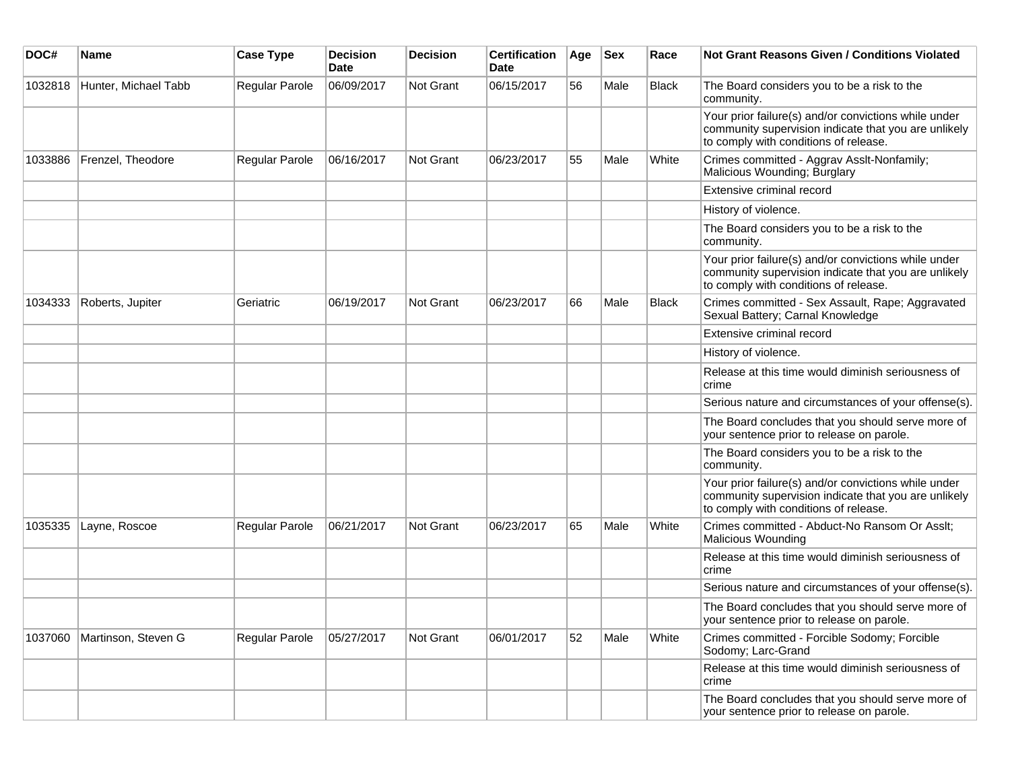| DOC#    | <b>Name</b>          | <b>Case Type</b> | <b>Decision</b><br><b>Date</b> | Decision         | <b>Certification</b><br>Date | Age | <b>Sex</b> | Race         | <b>Not Grant Reasons Given / Conditions Violated</b>                                                                                                  |
|---------|----------------------|------------------|--------------------------------|------------------|------------------------------|-----|------------|--------------|-------------------------------------------------------------------------------------------------------------------------------------------------------|
| 1032818 | Hunter, Michael Tabb | Regular Parole   | 06/09/2017                     | Not Grant        | 06/15/2017                   | 56  | Male       | Black        | The Board considers you to be a risk to the<br>community.                                                                                             |
|         |                      |                  |                                |                  |                              |     |            |              | Your prior failure(s) and/or convictions while under<br>community supervision indicate that you are unlikely<br>to comply with conditions of release. |
| 1033886 | Frenzel, Theodore    | Regular Parole   | 06/16/2017                     | Not Grant        | 06/23/2017                   | 55  | Male       | White        | Crimes committed - Aggrav Asslt-Nonfamily;<br>Malicious Wounding; Burglary                                                                            |
|         |                      |                  |                                |                  |                              |     |            |              | Extensive criminal record                                                                                                                             |
|         |                      |                  |                                |                  |                              |     |            |              | History of violence.                                                                                                                                  |
|         |                      |                  |                                |                  |                              |     |            |              | The Board considers you to be a risk to the<br>community.                                                                                             |
|         |                      |                  |                                |                  |                              |     |            |              | Your prior failure(s) and/or convictions while under<br>community supervision indicate that you are unlikely<br>to comply with conditions of release. |
| 1034333 | Roberts, Jupiter     | Geriatric        | 06/19/2017                     | <b>Not Grant</b> | 06/23/2017                   | 66  | Male       | <b>Black</b> | Crimes committed - Sex Assault, Rape; Aggravated<br>Sexual Battery; Carnal Knowledge                                                                  |
|         |                      |                  |                                |                  |                              |     |            |              | Extensive criminal record                                                                                                                             |
|         |                      |                  |                                |                  |                              |     |            |              | History of violence.                                                                                                                                  |
|         |                      |                  |                                |                  |                              |     |            |              | Release at this time would diminish seriousness of<br>crime                                                                                           |
|         |                      |                  |                                |                  |                              |     |            |              | Serious nature and circumstances of your offense(s).                                                                                                  |
|         |                      |                  |                                |                  |                              |     |            |              | The Board concludes that you should serve more of<br>your sentence prior to release on parole.                                                        |
|         |                      |                  |                                |                  |                              |     |            |              | The Board considers you to be a risk to the<br>community.                                                                                             |
|         |                      |                  |                                |                  |                              |     |            |              | Your prior failure(s) and/or convictions while under<br>community supervision indicate that you are unlikely<br>to comply with conditions of release. |
| 1035335 | Layne, Roscoe        | Regular Parole   | 06/21/2017                     | Not Grant        | 06/23/2017                   | 65  | Male       | White        | Crimes committed - Abduct-No Ransom Or Asslt;<br>Malicious Wounding                                                                                   |
|         |                      |                  |                                |                  |                              |     |            |              | Release at this time would diminish seriousness of<br>crime                                                                                           |
|         |                      |                  |                                |                  |                              |     |            |              | Serious nature and circumstances of your offense(s).                                                                                                  |
|         |                      |                  |                                |                  |                              |     |            |              | The Board concludes that you should serve more of<br>your sentence prior to release on parole.                                                        |
| 1037060 | Martinson, Steven G  | Regular Parole   | 05/27/2017                     | Not Grant        | 06/01/2017                   | 52  | Male       | White        | Crimes committed - Forcible Sodomy; Forcible<br>Sodomy; Larc-Grand                                                                                    |
|         |                      |                  |                                |                  |                              |     |            |              | Release at this time would diminish seriousness of<br>crime                                                                                           |
|         |                      |                  |                                |                  |                              |     |            |              | The Board concludes that you should serve more of<br>your sentence prior to release on parole.                                                        |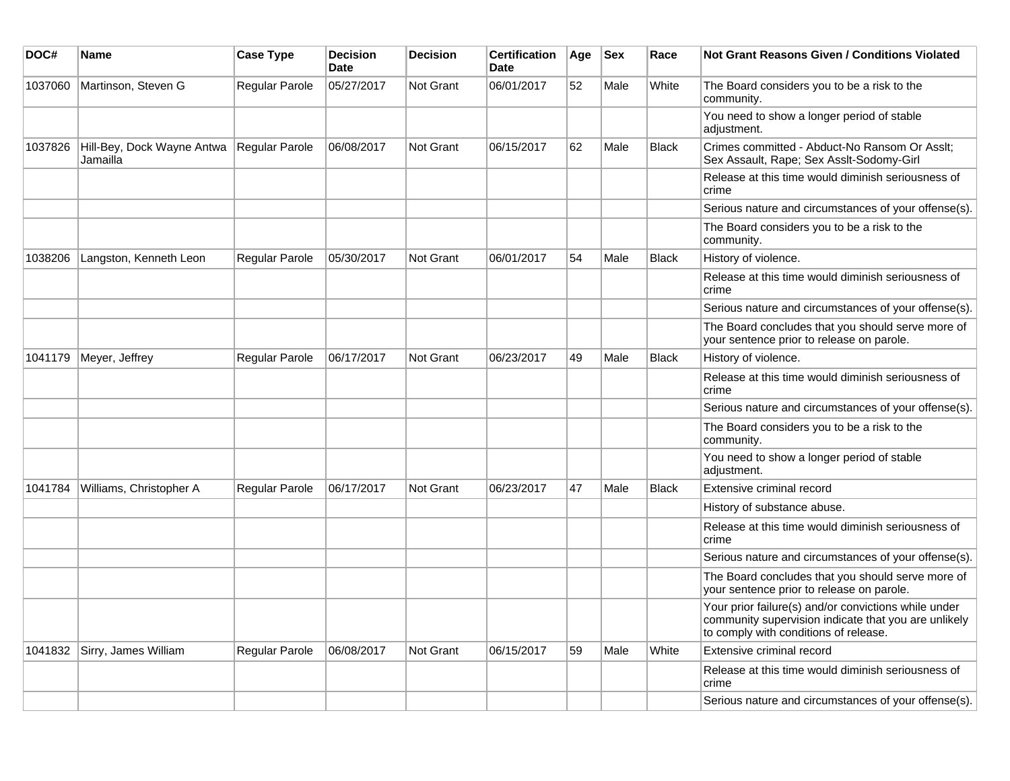| DOC#    | <b>Name</b>                            | <b>Case Type</b> | <b>Decision</b><br><b>Date</b> | <b>Decision</b>  | <b>Certification</b><br><b>Date</b> | Age | <b>Sex</b> | Race         | <b>Not Grant Reasons Given / Conditions Violated</b>                                                                                                  |
|---------|----------------------------------------|------------------|--------------------------------|------------------|-------------------------------------|-----|------------|--------------|-------------------------------------------------------------------------------------------------------------------------------------------------------|
| 1037060 | Martinson, Steven G                    | Regular Parole   | 05/27/2017                     | Not Grant        | 06/01/2017                          | 52  | Male       | White        | The Board considers you to be a risk to the<br>community.                                                                                             |
|         |                                        |                  |                                |                  |                                     |     |            |              | You need to show a longer period of stable<br>adjustment.                                                                                             |
| 1037826 | Hill-Bey, Dock Wayne Antwa<br>Jamailla | Regular Parole   | 06/08/2017                     | Not Grant        | 06/15/2017                          | 62  | Male       | <b>Black</b> | Crimes committed - Abduct-No Ransom Or Asslt;<br>Sex Assault, Rape; Sex Asslt-Sodomy-Girl                                                             |
|         |                                        |                  |                                |                  |                                     |     |            |              | Release at this time would diminish seriousness of<br>crime                                                                                           |
|         |                                        |                  |                                |                  |                                     |     |            |              | Serious nature and circumstances of your offense(s).                                                                                                  |
|         |                                        |                  |                                |                  |                                     |     |            |              | The Board considers you to be a risk to the<br>community.                                                                                             |
| 1038206 | Langston, Kenneth Leon                 | Regular Parole   | 05/30/2017                     | <b>Not Grant</b> | 06/01/2017                          | 54  | Male       | <b>Black</b> | History of violence.                                                                                                                                  |
|         |                                        |                  |                                |                  |                                     |     |            |              | Release at this time would diminish seriousness of<br>crime                                                                                           |
|         |                                        |                  |                                |                  |                                     |     |            |              | Serious nature and circumstances of your offense(s).                                                                                                  |
|         |                                        |                  |                                |                  |                                     |     |            |              | The Board concludes that you should serve more of<br>your sentence prior to release on parole.                                                        |
| 1041179 | Meyer, Jeffrey                         | Regular Parole   | 06/17/2017                     | Not Grant        | 06/23/2017                          | 49  | Male       | <b>Black</b> | History of violence.                                                                                                                                  |
|         |                                        |                  |                                |                  |                                     |     |            |              | Release at this time would diminish seriousness of<br>crime                                                                                           |
|         |                                        |                  |                                |                  |                                     |     |            |              | Serious nature and circumstances of your offense(s).                                                                                                  |
|         |                                        |                  |                                |                  |                                     |     |            |              | The Board considers you to be a risk to the<br>community.                                                                                             |
|         |                                        |                  |                                |                  |                                     |     |            |              | You need to show a longer period of stable<br>adjustment.                                                                                             |
| 1041784 | Williams, Christopher A                | Regular Parole   | 06/17/2017                     | Not Grant        | 06/23/2017                          | 47  | Male       | <b>Black</b> | Extensive criminal record                                                                                                                             |
|         |                                        |                  |                                |                  |                                     |     |            |              | History of substance abuse.                                                                                                                           |
|         |                                        |                  |                                |                  |                                     |     |            |              | Release at this time would diminish seriousness of<br>crime                                                                                           |
|         |                                        |                  |                                |                  |                                     |     |            |              | Serious nature and circumstances of your offense(s).                                                                                                  |
|         |                                        |                  |                                |                  |                                     |     |            |              | The Board concludes that you should serve more of<br>your sentence prior to release on parole.                                                        |
|         |                                        |                  |                                |                  |                                     |     |            |              | Your prior failure(s) and/or convictions while under<br>community supervision indicate that you are unlikely<br>to comply with conditions of release. |
| 1041832 | Sirry, James William                   | Regular Parole   | 06/08/2017                     | Not Grant        | 06/15/2017                          | 59  | Male       | White        | Extensive criminal record                                                                                                                             |
|         |                                        |                  |                                |                  |                                     |     |            |              | Release at this time would diminish seriousness of<br>crime                                                                                           |
|         |                                        |                  |                                |                  |                                     |     |            |              | Serious nature and circumstances of your offense(s).                                                                                                  |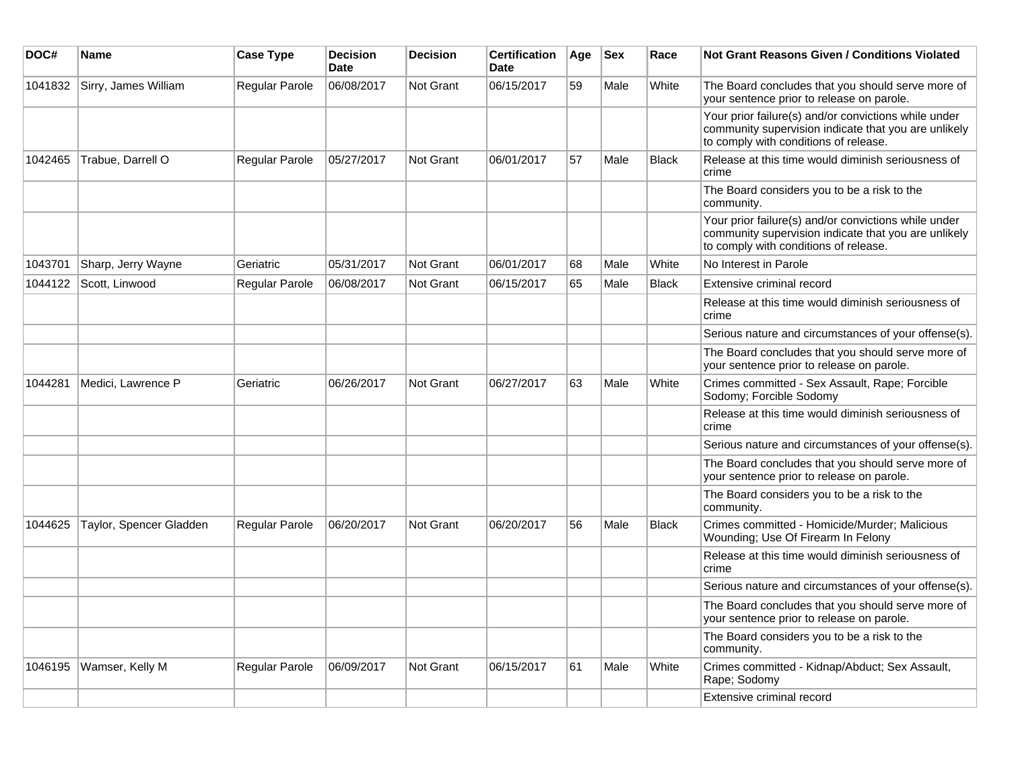| DOC#    | Name                    | <b>Case Type</b> | <b>Decision</b><br><b>Date</b> | <b>Decision</b>  | <b>Certification</b><br><b>Date</b> | Age | <b>Sex</b> | Race         | Not Grant Reasons Given / Conditions Violated                                                                                                         |
|---------|-------------------------|------------------|--------------------------------|------------------|-------------------------------------|-----|------------|--------------|-------------------------------------------------------------------------------------------------------------------------------------------------------|
| 1041832 | Sirry, James William    | Regular Parole   | 06/08/2017                     | Not Grant        | 06/15/2017                          | 59  | Male       | White        | The Board concludes that you should serve more of<br>your sentence prior to release on parole.                                                        |
|         |                         |                  |                                |                  |                                     |     |            |              | Your prior failure(s) and/or convictions while under<br>community supervision indicate that you are unlikely<br>to comply with conditions of release. |
| 1042465 | Trabue, Darrell O       | Regular Parole   | 05/27/2017                     | Not Grant        | 06/01/2017                          | 57  | Male       | <b>Black</b> | Release at this time would diminish seriousness of<br>crime                                                                                           |
|         |                         |                  |                                |                  |                                     |     |            |              | The Board considers you to be a risk to the<br>community.                                                                                             |
|         |                         |                  |                                |                  |                                     |     |            |              | Your prior failure(s) and/or convictions while under<br>community supervision indicate that you are unlikely<br>to comply with conditions of release. |
| 1043701 | Sharp, Jerry Wayne      | Geriatric        | 05/31/2017                     | <b>Not Grant</b> | 06/01/2017                          | 68  | Male       | White        | No Interest in Parole                                                                                                                                 |
| 1044122 | Scott, Linwood          | Regular Parole   | 06/08/2017                     | Not Grant        | 06/15/2017                          | 65  | Male       | <b>Black</b> | Extensive criminal record                                                                                                                             |
|         |                         |                  |                                |                  |                                     |     |            |              | Release at this time would diminish seriousness of<br>crime                                                                                           |
|         |                         |                  |                                |                  |                                     |     |            |              | Serious nature and circumstances of your offense(s).                                                                                                  |
|         |                         |                  |                                |                  |                                     |     |            |              | The Board concludes that you should serve more of<br>your sentence prior to release on parole.                                                        |
| 1044281 | Medici, Lawrence P      | Geriatric        | 06/26/2017                     | Not Grant        | 06/27/2017                          | 63  | Male       | White        | Crimes committed - Sex Assault, Rape; Forcible<br>Sodomy; Forcible Sodomy                                                                             |
|         |                         |                  |                                |                  |                                     |     |            |              | Release at this time would diminish seriousness of<br>crime                                                                                           |
|         |                         |                  |                                |                  |                                     |     |            |              | Serious nature and circumstances of your offense(s).                                                                                                  |
|         |                         |                  |                                |                  |                                     |     |            |              | The Board concludes that you should serve more of<br>your sentence prior to release on parole.                                                        |
|         |                         |                  |                                |                  |                                     |     |            |              | The Board considers you to be a risk to the<br>community.                                                                                             |
| 1044625 | Taylor, Spencer Gladden | Regular Parole   | 06/20/2017                     | Not Grant        | 06/20/2017                          | 56  | Male       | <b>Black</b> | Crimes committed - Homicide/Murder; Malicious<br>Wounding; Use Of Firearm In Felony                                                                   |
|         |                         |                  |                                |                  |                                     |     |            |              | Release at this time would diminish seriousness of<br>crime                                                                                           |
|         |                         |                  |                                |                  |                                     |     |            |              | Serious nature and circumstances of your offense(s).                                                                                                  |
|         |                         |                  |                                |                  |                                     |     |            |              | The Board concludes that you should serve more of<br>your sentence prior to release on parole.                                                        |
|         |                         |                  |                                |                  |                                     |     |            |              | The Board considers you to be a risk to the<br>community.                                                                                             |
| 1046195 | Wamser, Kelly M         | Regular Parole   | 06/09/2017                     | <b>Not Grant</b> | 06/15/2017                          | 61  | Male       | White        | Crimes committed - Kidnap/Abduct; Sex Assault,<br>Rape; Sodomy                                                                                        |
|         |                         |                  |                                |                  |                                     |     |            |              | Extensive criminal record                                                                                                                             |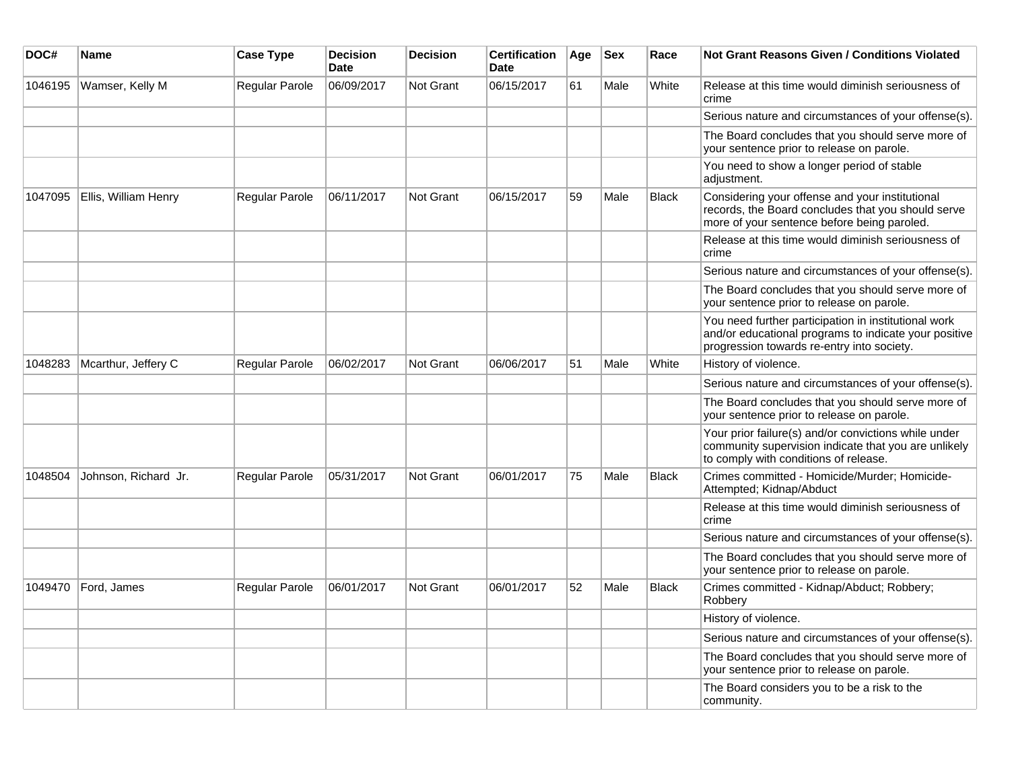| DOC#    | <b>Name</b>          | <b>Case Type</b> | <b>Decision</b><br><b>Date</b> | <b>Decision</b>  | <b>Certification</b><br><b>Date</b> | Age | <b>Sex</b> | Race         | <b>Not Grant Reasons Given / Conditions Violated</b>                                                                                                        |
|---------|----------------------|------------------|--------------------------------|------------------|-------------------------------------|-----|------------|--------------|-------------------------------------------------------------------------------------------------------------------------------------------------------------|
| 1046195 | Wamser, Kelly M      | Regular Parole   | 06/09/2017                     | Not Grant        | 06/15/2017                          | 61  | Male       | White        | Release at this time would diminish seriousness of<br>crime                                                                                                 |
|         |                      |                  |                                |                  |                                     |     |            |              | Serious nature and circumstances of your offense(s).                                                                                                        |
|         |                      |                  |                                |                  |                                     |     |            |              | The Board concludes that you should serve more of<br>your sentence prior to release on parole.                                                              |
|         |                      |                  |                                |                  |                                     |     |            |              | You need to show a longer period of stable<br>adjustment.                                                                                                   |
| 1047095 | Ellis, William Henry | Regular Parole   | 06/11/2017                     | Not Grant        | 06/15/2017                          | 59  | Male       | <b>Black</b> | Considering your offense and your institutional<br>records, the Board concludes that you should serve<br>more of your sentence before being paroled.        |
|         |                      |                  |                                |                  |                                     |     |            |              | Release at this time would diminish seriousness of<br>crime                                                                                                 |
|         |                      |                  |                                |                  |                                     |     |            |              | Serious nature and circumstances of your offense(s).                                                                                                        |
|         |                      |                  |                                |                  |                                     |     |            |              | The Board concludes that you should serve more of<br>your sentence prior to release on parole.                                                              |
|         |                      |                  |                                |                  |                                     |     |            |              | You need further participation in institutional work<br>and/or educational programs to indicate your positive<br>progression towards re-entry into society. |
| 1048283 | Mcarthur, Jeffery C  | Regular Parole   | 06/02/2017                     | Not Grant        | 06/06/2017                          | 51  | Male       | White        | History of violence.                                                                                                                                        |
|         |                      |                  |                                |                  |                                     |     |            |              | Serious nature and circumstances of your offense(s).                                                                                                        |
|         |                      |                  |                                |                  |                                     |     |            |              | The Board concludes that you should serve more of<br>your sentence prior to release on parole.                                                              |
|         |                      |                  |                                |                  |                                     |     |            |              | Your prior failure(s) and/or convictions while under<br>community supervision indicate that you are unlikely<br>to comply with conditions of release.       |
| 1048504 | Johnson, Richard Jr. | Regular Parole   | 05/31/2017                     | <b>Not Grant</b> | 06/01/2017                          | 75  | Male       | <b>Black</b> | Crimes committed - Homicide/Murder; Homicide-<br>Attempted; Kidnap/Abduct                                                                                   |
|         |                      |                  |                                |                  |                                     |     |            |              | Release at this time would diminish seriousness of<br>crime                                                                                                 |
|         |                      |                  |                                |                  |                                     |     |            |              | Serious nature and circumstances of your offense(s).                                                                                                        |
|         |                      |                  |                                |                  |                                     |     |            |              | The Board concludes that you should serve more of<br>your sentence prior to release on parole.                                                              |
| 1049470 | Ford, James          | Regular Parole   | 06/01/2017                     | <b>Not Grant</b> | 06/01/2017                          | 52  | Male       | <b>Black</b> | Crimes committed - Kidnap/Abduct; Robbery;<br>Robbery                                                                                                       |
|         |                      |                  |                                |                  |                                     |     |            |              | History of violence.                                                                                                                                        |
|         |                      |                  |                                |                  |                                     |     |            |              | Serious nature and circumstances of your offense(s).                                                                                                        |
|         |                      |                  |                                |                  |                                     |     |            |              | The Board concludes that you should serve more of<br>your sentence prior to release on parole.                                                              |
|         |                      |                  |                                |                  |                                     |     |            |              | The Board considers you to be a risk to the<br>community.                                                                                                   |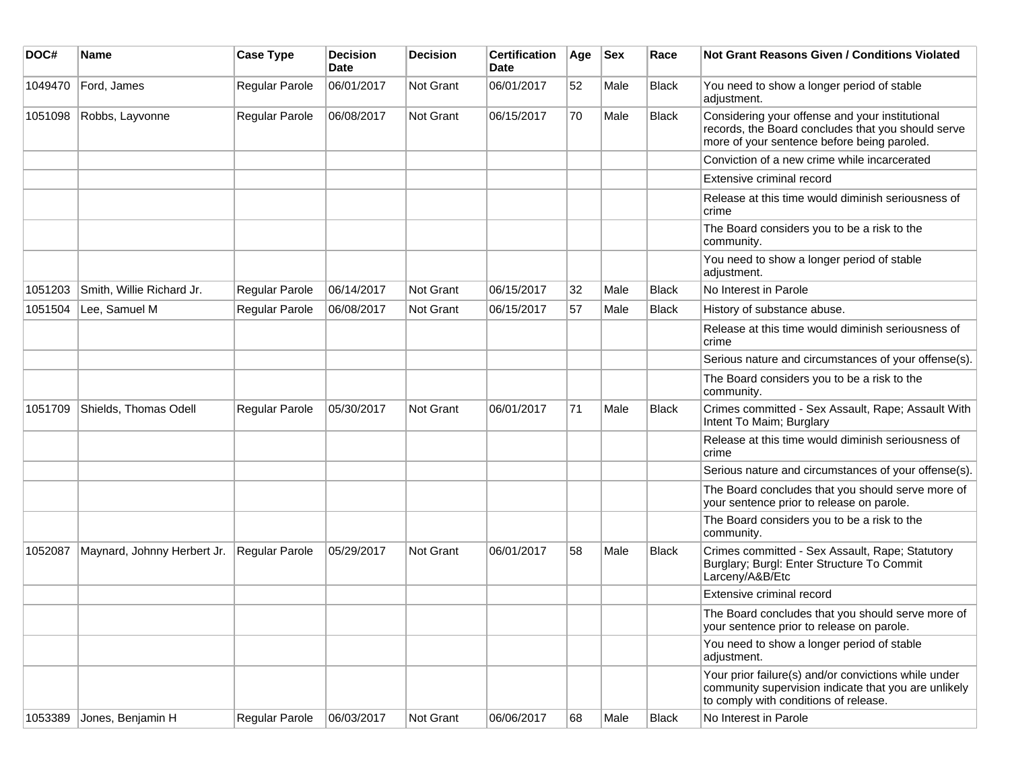| DOC#    | <b>Name</b>                 | <b>Case Type</b> | Decision<br><b>Date</b> | <b>Decision</b>  | <b>Certification</b><br>Date | Age | <b>Sex</b> | Race         | <b>Not Grant Reasons Given / Conditions Violated</b>                                                                                                  |
|---------|-----------------------------|------------------|-------------------------|------------------|------------------------------|-----|------------|--------------|-------------------------------------------------------------------------------------------------------------------------------------------------------|
| 1049470 | Ford, James                 | Regular Parole   | 06/01/2017              | <b>Not Grant</b> | 06/01/2017                   | 52  | Male       | <b>Black</b> | You need to show a longer period of stable<br>adjustment.                                                                                             |
| 1051098 | Robbs, Layvonne             | Regular Parole   | 06/08/2017              | Not Grant        | 06/15/2017                   | 70  | Male       | <b>Black</b> | Considering your offense and your institutional<br>records, the Board concludes that you should serve<br>more of your sentence before being paroled.  |
|         |                             |                  |                         |                  |                              |     |            |              | Conviction of a new crime while incarcerated                                                                                                          |
|         |                             |                  |                         |                  |                              |     |            |              | Extensive criminal record                                                                                                                             |
|         |                             |                  |                         |                  |                              |     |            |              | Release at this time would diminish seriousness of<br>crime                                                                                           |
|         |                             |                  |                         |                  |                              |     |            |              | The Board considers you to be a risk to the<br>community.                                                                                             |
|         |                             |                  |                         |                  |                              |     |            |              | You need to show a longer period of stable<br>adjustment.                                                                                             |
| 1051203 | Smith, Willie Richard Jr.   | Regular Parole   | 06/14/2017              | <b>Not Grant</b> | 06/15/2017                   | 32  | Male       | <b>Black</b> | No Interest in Parole                                                                                                                                 |
| 1051504 | Lee, Samuel M               | Regular Parole   | 06/08/2017              | <b>Not Grant</b> | 06/15/2017                   | 57  | Male       | <b>Black</b> | History of substance abuse.                                                                                                                           |
|         |                             |                  |                         |                  |                              |     |            |              | Release at this time would diminish seriousness of<br>crime                                                                                           |
|         |                             |                  |                         |                  |                              |     |            |              | Serious nature and circumstances of your offense(s).                                                                                                  |
|         |                             |                  |                         |                  |                              |     |            |              | The Board considers you to be a risk to the<br>community.                                                                                             |
| 1051709 | Shields, Thomas Odell       | Regular Parole   | 05/30/2017              | <b>Not Grant</b> | 06/01/2017                   | 71  | Male       | <b>Black</b> | Crimes committed - Sex Assault, Rape; Assault With<br>Intent To Maim; Burglary                                                                        |
|         |                             |                  |                         |                  |                              |     |            |              | Release at this time would diminish seriousness of<br>crime                                                                                           |
|         |                             |                  |                         |                  |                              |     |            |              | Serious nature and circumstances of your offense(s).                                                                                                  |
|         |                             |                  |                         |                  |                              |     |            |              | The Board concludes that you should serve more of<br>your sentence prior to release on parole.                                                        |
|         |                             |                  |                         |                  |                              |     |            |              | The Board considers you to be a risk to the<br>community.                                                                                             |
| 1052087 | Maynard, Johnny Herbert Jr. | Regular Parole   | 05/29/2017              | Not Grant        | 06/01/2017                   | 58  | Male       | <b>Black</b> | Crimes committed - Sex Assault, Rape; Statutory<br>Burglary; Burgl: Enter Structure To Commit<br>Larceny/A&B/Etc                                      |
|         |                             |                  |                         |                  |                              |     |            |              | Extensive criminal record                                                                                                                             |
|         |                             |                  |                         |                  |                              |     |            |              | The Board concludes that you should serve more of<br>your sentence prior to release on parole.                                                        |
|         |                             |                  |                         |                  |                              |     |            |              | You need to show a longer period of stable<br>adjustment.                                                                                             |
|         |                             |                  |                         |                  |                              |     |            |              | Your prior failure(s) and/or convictions while under<br>community supervision indicate that you are unlikely<br>to comply with conditions of release. |
| 1053389 | Jones, Benjamin H           | Regular Parole   | 06/03/2017              | Not Grant        | 06/06/2017                   | 68  | Male       | <b>Black</b> | No Interest in Parole                                                                                                                                 |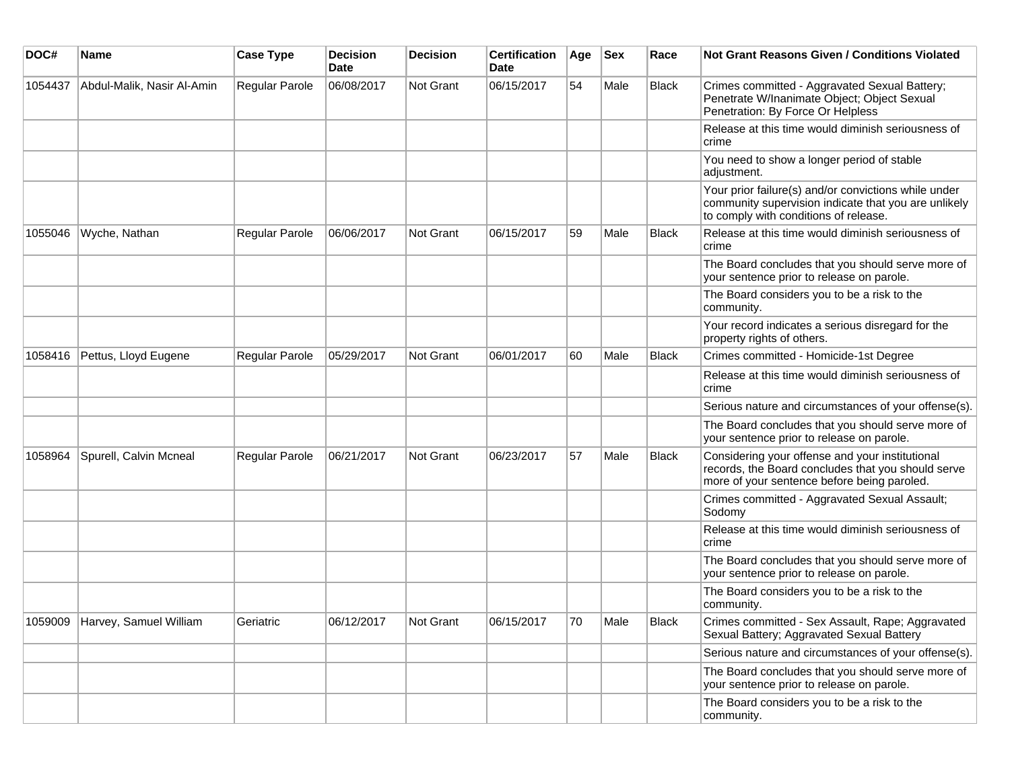| DOC#    | <b>Name</b>                    | <b>Case Type</b> | <b>Decision</b><br><b>Date</b> | <b>Decision</b> | <b>Certification</b><br>Date | Age | <b>Sex</b> | Race  | <b>Not Grant Reasons Given / Conditions Violated</b>                                                                                                  |
|---------|--------------------------------|------------------|--------------------------------|-----------------|------------------------------|-----|------------|-------|-------------------------------------------------------------------------------------------------------------------------------------------------------|
| 1054437 | Abdul-Malik, Nasir Al-Amin     | Regular Parole   | 06/08/2017                     | Not Grant       | 06/15/2017                   | 54  | Male       | Black | Crimes committed - Aggravated Sexual Battery;<br>Penetrate W/Inanimate Object; Object Sexual<br>Penetration: By Force Or Helpless                     |
|         |                                |                  |                                |                 |                              |     |            |       | Release at this time would diminish seriousness of<br>crime                                                                                           |
|         |                                |                  |                                |                 |                              |     |            |       | You need to show a longer period of stable<br>adjustment.                                                                                             |
|         |                                |                  |                                |                 |                              |     |            |       | Your prior failure(s) and/or convictions while under<br>community supervision indicate that you are unlikely<br>to comply with conditions of release. |
| 1055046 | Wyche, Nathan                  | Regular Parole   | 06/06/2017                     | Not Grant       | 06/15/2017                   | 59  | Male       | Black | Release at this time would diminish seriousness of<br>crime                                                                                           |
|         |                                |                  |                                |                 |                              |     |            |       | The Board concludes that you should serve more of<br>your sentence prior to release on parole.                                                        |
|         |                                |                  |                                |                 |                              |     |            |       | The Board considers you to be a risk to the<br>community.                                                                                             |
|         |                                |                  |                                |                 |                              |     |            |       | Your record indicates a serious disregard for the<br>property rights of others.                                                                       |
| 1058416 | Pettus, Lloyd Eugene           | Regular Parole   | 05/29/2017                     | Not Grant       | 06/01/2017                   | 60  | Male       | Black | Crimes committed - Homicide-1st Degree                                                                                                                |
|         |                                |                  |                                |                 |                              |     |            |       | Release at this time would diminish seriousness of<br>crime                                                                                           |
|         |                                |                  |                                |                 |                              |     |            |       | Serious nature and circumstances of your offense(s).                                                                                                  |
|         |                                |                  |                                |                 |                              |     |            |       | The Board concludes that you should serve more of<br>your sentence prior to release on parole.                                                        |
| 1058964 | Spurell, Calvin Mcneal         | Regular Parole   | 06/21/2017                     | Not Grant       | 06/23/2017                   | 57  | Male       | Black | Considering your offense and your institutional<br>records, the Board concludes that you should serve<br>more of your sentence before being paroled.  |
|         |                                |                  |                                |                 |                              |     |            |       | Crimes committed - Aggravated Sexual Assault;<br>Sodomy                                                                                               |
|         |                                |                  |                                |                 |                              |     |            |       | Release at this time would diminish seriousness of<br>crime                                                                                           |
|         |                                |                  |                                |                 |                              |     |            |       | The Board concludes that you should serve more of<br>your sentence prior to release on parole.                                                        |
|         |                                |                  |                                |                 |                              |     |            |       | The Board considers you to be a risk to the<br>community.                                                                                             |
|         | 1059009 Harvey, Samuel William | Geriatric        | 06/12/2017                     | Not Grant       | 06/15/2017                   | 70  | Male       | Black | Crimes committed - Sex Assault, Rape; Aggravated<br>Sexual Battery; Aggravated Sexual Battery                                                         |
|         |                                |                  |                                |                 |                              |     |            |       | Serious nature and circumstances of your offense(s).                                                                                                  |
|         |                                |                  |                                |                 |                              |     |            |       | The Board concludes that you should serve more of<br>your sentence prior to release on parole.                                                        |
|         |                                |                  |                                |                 |                              |     |            |       | The Board considers you to be a risk to the<br>community.                                                                                             |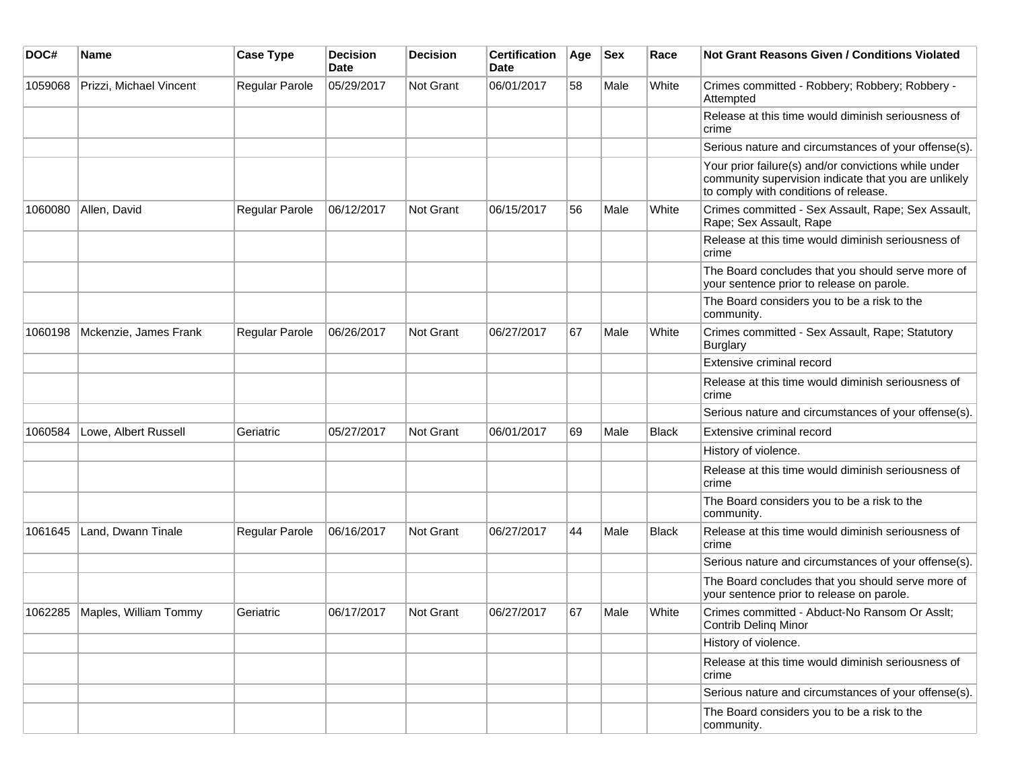| DOC#    | <b>Name</b>                     | <b>Case Type</b>      | <b>Decision</b><br>Date | <b>Decision</b>  | <b>Certification</b><br><b>Date</b> | Age | <b>Sex</b> | Race         | <b>Not Grant Reasons Given / Conditions Violated</b>                                                                                                  |
|---------|---------------------------------|-----------------------|-------------------------|------------------|-------------------------------------|-----|------------|--------------|-------------------------------------------------------------------------------------------------------------------------------------------------------|
| 1059068 | Prizzi, Michael Vincent         | Regular Parole        | 05/29/2017              | <b>Not Grant</b> | 06/01/2017                          | 58  | Male       | White        | Crimes committed - Robbery; Robbery; Robbery -<br>Attempted                                                                                           |
|         |                                 |                       |                         |                  |                                     |     |            |              | Release at this time would diminish seriousness of<br>crime                                                                                           |
|         |                                 |                       |                         |                  |                                     |     |            |              | Serious nature and circumstances of your offense(s).                                                                                                  |
|         |                                 |                       |                         |                  |                                     |     |            |              | Your prior failure(s) and/or convictions while under<br>community supervision indicate that you are unlikely<br>to comply with conditions of release. |
| 1060080 | Allen, David                    | <b>Regular Parole</b> | 06/12/2017              | <b>Not Grant</b> | 06/15/2017                          | 56  | Male       | White        | Crimes committed - Sex Assault, Rape; Sex Assault,<br>Rape; Sex Assault, Rape                                                                         |
|         |                                 |                       |                         |                  |                                     |     |            |              | Release at this time would diminish seriousness of<br>crime                                                                                           |
|         |                                 |                       |                         |                  |                                     |     |            |              | The Board concludes that you should serve more of<br>your sentence prior to release on parole.                                                        |
|         |                                 |                       |                         |                  |                                     |     |            |              | The Board considers you to be a risk to the<br>community.                                                                                             |
| 1060198 | Mckenzie, James Frank           | <b>Regular Parole</b> | 06/26/2017              | <b>Not Grant</b> | 06/27/2017                          | 67  | Male       | White        | Crimes committed - Sex Assault, Rape; Statutory<br><b>Burglary</b>                                                                                    |
|         |                                 |                       |                         |                  |                                     |     |            |              | Extensive criminal record                                                                                                                             |
|         |                                 |                       |                         |                  |                                     |     |            |              | Release at this time would diminish seriousness of<br>crime                                                                                           |
|         |                                 |                       |                         |                  |                                     |     |            |              | Serious nature and circumstances of your offense(s).                                                                                                  |
| 1060584 | Lowe, Albert Russell            | Geriatric             | 05/27/2017              | <b>Not Grant</b> | 06/01/2017                          | 69  | Male       | <b>Black</b> | Extensive criminal record                                                                                                                             |
|         |                                 |                       |                         |                  |                                     |     |            |              | History of violence.                                                                                                                                  |
|         |                                 |                       |                         |                  |                                     |     |            |              | Release at this time would diminish seriousness of<br>crime                                                                                           |
|         |                                 |                       |                         |                  |                                     |     |            |              | The Board considers you to be a risk to the<br>community.                                                                                             |
| 1061645 | Land, Dwann Tinale              | <b>Regular Parole</b> | 06/16/2017              | Not Grant        | 06/27/2017                          | 44  | Male       | Black        | Release at this time would diminish seriousness of<br>crime                                                                                           |
|         |                                 |                       |                         |                  |                                     |     |            |              | Serious nature and circumstances of your offense(s).                                                                                                  |
|         |                                 |                       |                         |                  |                                     |     |            |              | The Board concludes that you should serve more of<br>your sentence prior to release on parole.                                                        |
|         | 1062285   Maples, William Tommy | Geriatric             | 06/17/2017              | Not Grant        | 06/27/2017                          | 67  | Male       | White        | Crimes committed - Abduct-No Ransom Or Asslt;<br>Contrib Deling Minor                                                                                 |
|         |                                 |                       |                         |                  |                                     |     |            |              | History of violence.                                                                                                                                  |
|         |                                 |                       |                         |                  |                                     |     |            |              | Release at this time would diminish seriousness of<br>crime                                                                                           |
|         |                                 |                       |                         |                  |                                     |     |            |              | Serious nature and circumstances of your offense(s).                                                                                                  |
|         |                                 |                       |                         |                  |                                     |     |            |              | The Board considers you to be a risk to the<br>community.                                                                                             |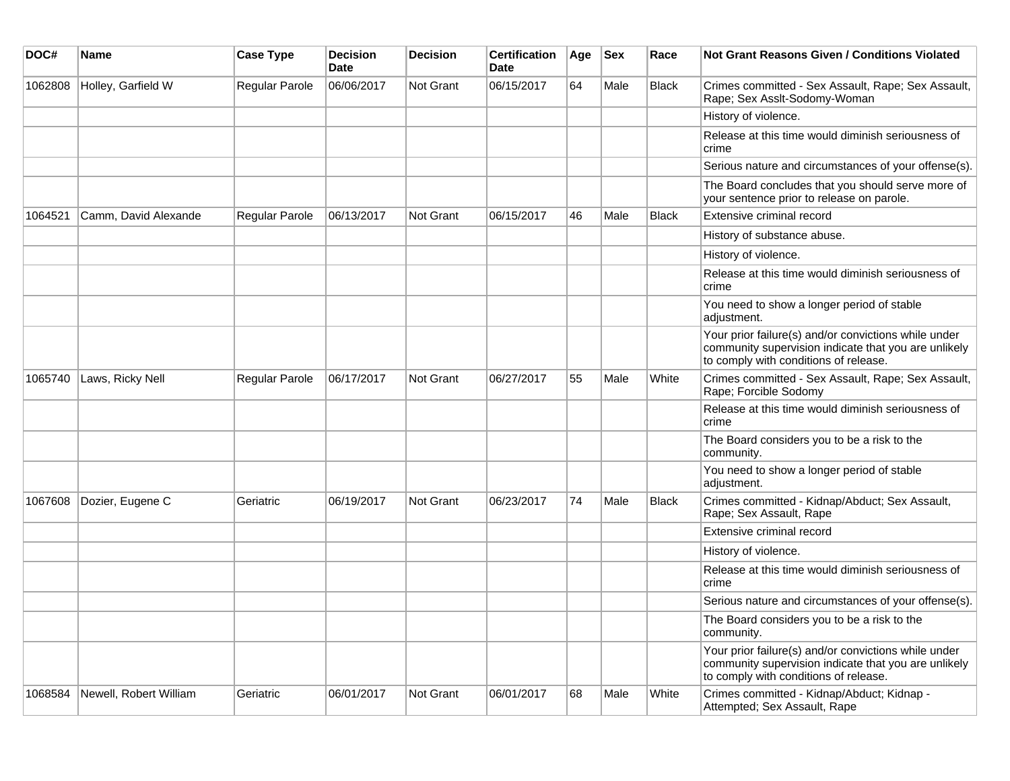| DOC#    | <b>Name</b>            | <b>Case Type</b>      | <b>Decision</b><br><b>Date</b> | <b>Decision</b>  | <b>Certification</b><br>Date | Age | <b>Sex</b> | Race         | <b>Not Grant Reasons Given / Conditions Violated</b>                                                                                                  |
|---------|------------------------|-----------------------|--------------------------------|------------------|------------------------------|-----|------------|--------------|-------------------------------------------------------------------------------------------------------------------------------------------------------|
| 1062808 | Holley, Garfield W     | Regular Parole        | 06/06/2017                     | <b>Not Grant</b> | 06/15/2017                   | 64  | Male       | <b>Black</b> | Crimes committed - Sex Assault, Rape; Sex Assault,<br>Rape; Sex Asslt-Sodomy-Woman                                                                    |
|         |                        |                       |                                |                  |                              |     |            |              | History of violence.                                                                                                                                  |
|         |                        |                       |                                |                  |                              |     |            |              | Release at this time would diminish seriousness of<br>crime                                                                                           |
|         |                        |                       |                                |                  |                              |     |            |              | Serious nature and circumstances of your offense(s).                                                                                                  |
|         |                        |                       |                                |                  |                              |     |            |              | The Board concludes that you should serve more of<br>your sentence prior to release on parole.                                                        |
| 1064521 | Camm, David Alexande   | <b>Regular Parole</b> | 06/13/2017                     | <b>Not Grant</b> | 06/15/2017                   | 46  | Male       | Black        | Extensive criminal record                                                                                                                             |
|         |                        |                       |                                |                  |                              |     |            |              | History of substance abuse.                                                                                                                           |
|         |                        |                       |                                |                  |                              |     |            |              | History of violence.                                                                                                                                  |
|         |                        |                       |                                |                  |                              |     |            |              | Release at this time would diminish seriousness of<br>crime                                                                                           |
|         |                        |                       |                                |                  |                              |     |            |              | You need to show a longer period of stable<br>adjustment.                                                                                             |
|         |                        |                       |                                |                  |                              |     |            |              | Your prior failure(s) and/or convictions while under<br>community supervision indicate that you are unlikely<br>to comply with conditions of release. |
| 1065740 | Laws, Ricky Nell       | Regular Parole        | 06/17/2017                     | Not Grant        | 06/27/2017                   | 55  | Male       | White        | Crimes committed - Sex Assault, Rape; Sex Assault,<br>Rape; Forcible Sodomy                                                                           |
|         |                        |                       |                                |                  |                              |     |            |              | Release at this time would diminish seriousness of<br>crime                                                                                           |
|         |                        |                       |                                |                  |                              |     |            |              | The Board considers you to be a risk to the<br>community.                                                                                             |
|         |                        |                       |                                |                  |                              |     |            |              | You need to show a longer period of stable<br>adjustment.                                                                                             |
| 1067608 | Dozier, Eugene C       | Geriatric             | 06/19/2017                     | Not Grant        | 06/23/2017                   | 74  | Male       | <b>Black</b> | Crimes committed - Kidnap/Abduct; Sex Assault,<br>Rape; Sex Assault, Rape                                                                             |
|         |                        |                       |                                |                  |                              |     |            |              | Extensive criminal record                                                                                                                             |
|         |                        |                       |                                |                  |                              |     |            |              | History of violence.                                                                                                                                  |
|         |                        |                       |                                |                  |                              |     |            |              | Release at this time would diminish seriousness of<br>crime                                                                                           |
|         |                        |                       |                                |                  |                              |     |            |              | Serious nature and circumstances of your offense(s).                                                                                                  |
|         |                        |                       |                                |                  |                              |     |            |              | The Board considers you to be a risk to the<br>community.                                                                                             |
|         |                        |                       |                                |                  |                              |     |            |              | Your prior failure(s) and/or convictions while under<br>community supervision indicate that you are unlikely<br>to comply with conditions of release. |
| 1068584 | Newell, Robert William | Geriatric             | 06/01/2017                     | Not Grant        | 06/01/2017                   | 68  | Male       | White        | Crimes committed - Kidnap/Abduct; Kidnap -<br>Attempted; Sex Assault, Rape                                                                            |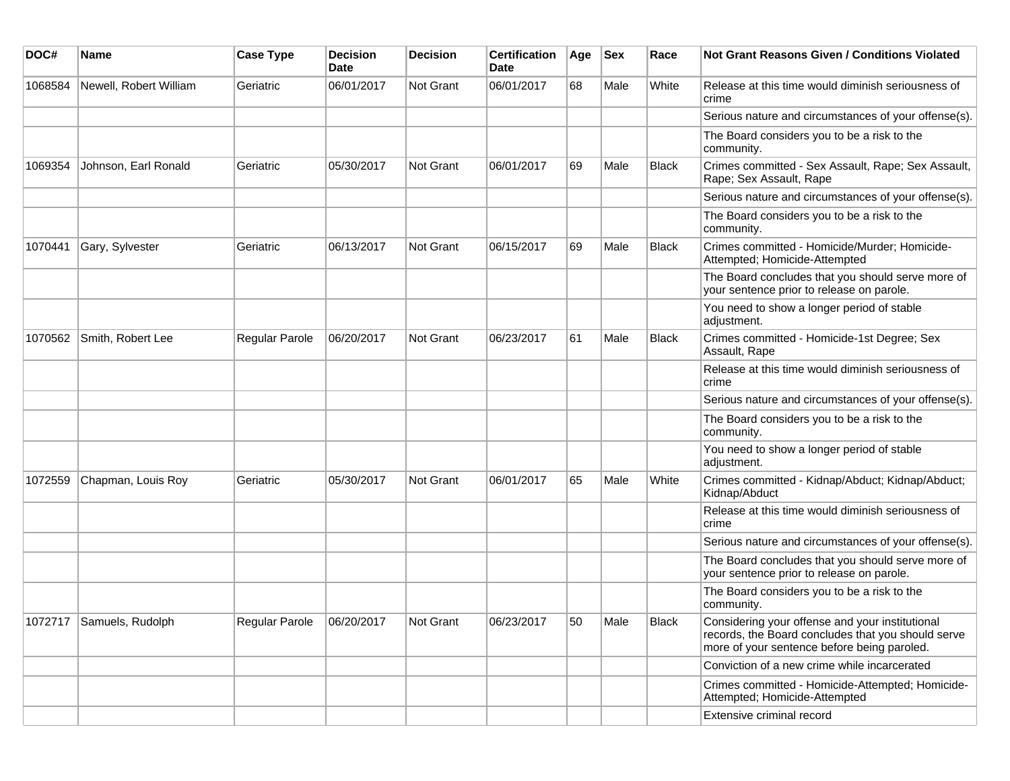| DOC#    | Name                     | <b>Case Type</b> | <b>Decision</b><br><b>Date</b> | <b>Decision</b>  | <b>Certification</b><br>Date | Age | <b>Sex</b> | Race         | <b>Not Grant Reasons Given / Conditions Violated</b>                                                                                                 |
|---------|--------------------------|------------------|--------------------------------|------------------|------------------------------|-----|------------|--------------|------------------------------------------------------------------------------------------------------------------------------------------------------|
| 1068584 | Newell, Robert William   | Geriatric        | 06/01/2017                     | Not Grant        | 06/01/2017                   | 68  | Male       | White        | Release at this time would diminish seriousness of<br>crime                                                                                          |
|         |                          |                  |                                |                  |                              |     |            |              | Serious nature and circumstances of your offense(s).                                                                                                 |
|         |                          |                  |                                |                  |                              |     |            |              | The Board considers you to be a risk to the<br>community.                                                                                            |
| 1069354 | Johnson, Earl Ronald     | Geriatric        | 05/30/2017                     | <b>Not Grant</b> | 06/01/2017                   | 69  | Male       | <b>Black</b> | Crimes committed - Sex Assault, Rape; Sex Assault,<br>Rape; Sex Assault, Rape                                                                        |
|         |                          |                  |                                |                  |                              |     |            |              | Serious nature and circumstances of your offense(s).                                                                                                 |
|         |                          |                  |                                |                  |                              |     |            |              | The Board considers you to be a risk to the<br>community.                                                                                            |
| 1070441 | Gary, Sylvester          | Geriatric        | 06/13/2017                     | Not Grant        | 06/15/2017                   | 69  | Male       | <b>Black</b> | Crimes committed - Homicide/Murder; Homicide-<br>Attempted; Homicide-Attempted                                                                       |
|         |                          |                  |                                |                  |                              |     |            |              | The Board concludes that you should serve more of<br>your sentence prior to release on parole.                                                       |
|         |                          |                  |                                |                  |                              |     |            |              | You need to show a longer period of stable<br>adjustment.                                                                                            |
| 1070562 | Smith, Robert Lee        | Regular Parole   | 06/20/2017                     | Not Grant        | 06/23/2017                   | 61  | Male       | <b>Black</b> | Crimes committed - Homicide-1st Degree; Sex<br>Assault, Rape                                                                                         |
|         |                          |                  |                                |                  |                              |     |            |              | Release at this time would diminish seriousness of<br>crime                                                                                          |
|         |                          |                  |                                |                  |                              |     |            |              | Serious nature and circumstances of your offense(s).                                                                                                 |
|         |                          |                  |                                |                  |                              |     |            |              | The Board considers you to be a risk to the<br>community.                                                                                            |
|         |                          |                  |                                |                  |                              |     |            |              | You need to show a longer period of stable<br>adjustment.                                                                                            |
| 1072559 | Chapman, Louis Roy       | Geriatric        | 05/30/2017                     | <b>Not Grant</b> | 06/01/2017                   | 65  | Male       | White        | Crimes committed - Kidnap/Abduct; Kidnap/Abduct;<br>Kidnap/Abduct                                                                                    |
|         |                          |                  |                                |                  |                              |     |            |              | Release at this time would diminish seriousness of<br>crime                                                                                          |
|         |                          |                  |                                |                  |                              |     |            |              | Serious nature and circumstances of your offense(s).                                                                                                 |
|         |                          |                  |                                |                  |                              |     |            |              | The Board concludes that you should serve more of<br>your sentence prior to release on parole.                                                       |
|         |                          |                  |                                |                  |                              |     |            |              | The Board considers you to be a risk to the<br>community.                                                                                            |
|         | 1072717 Samuels, Rudolph | Regular Parole   | 06/20/2017                     | Not Grant        | 06/23/2017                   | 50  | Male       | Black        | Considering your offense and your institutional<br>records, the Board concludes that you should serve<br>more of your sentence before being paroled. |
|         |                          |                  |                                |                  |                              |     |            |              | Conviction of a new crime while incarcerated                                                                                                         |
|         |                          |                  |                                |                  |                              |     |            |              | Crimes committed - Homicide-Attempted; Homicide-<br>Attempted; Homicide-Attempted                                                                    |
|         |                          |                  |                                |                  |                              |     |            |              | Extensive criminal record                                                                                                                            |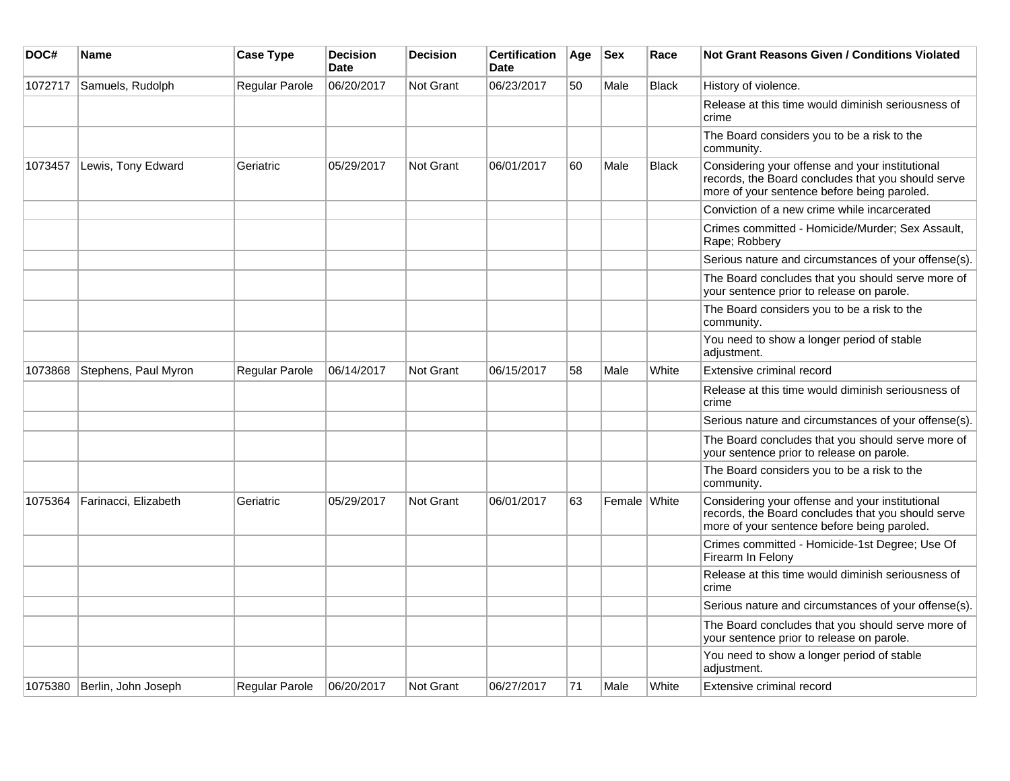| DOC#    | <b>Name</b>          | <b>Case Type</b> | <b>Decision</b><br><b>Date</b> | <b>Decision</b> | <b>Certification</b><br><b>Date</b> | Age | <b>Sex</b>   | Race         | <b>Not Grant Reasons Given / Conditions Violated</b>                                                                                                 |
|---------|----------------------|------------------|--------------------------------|-----------------|-------------------------------------|-----|--------------|--------------|------------------------------------------------------------------------------------------------------------------------------------------------------|
| 1072717 | Samuels, Rudolph     | Regular Parole   | 06/20/2017                     | Not Grant       | 06/23/2017                          | 50  | Male         | <b>Black</b> | History of violence.                                                                                                                                 |
|         |                      |                  |                                |                 |                                     |     |              |              | Release at this time would diminish seriousness of<br>crime                                                                                          |
|         |                      |                  |                                |                 |                                     |     |              |              | The Board considers you to be a risk to the<br>community.                                                                                            |
| 1073457 | Lewis, Tony Edward   | Geriatric        | 05/29/2017                     | Not Grant       | 06/01/2017                          | 60  | Male         | <b>Black</b> | Considering your offense and your institutional<br>records, the Board concludes that you should serve<br>more of your sentence before being paroled. |
|         |                      |                  |                                |                 |                                     |     |              |              | Conviction of a new crime while incarcerated                                                                                                         |
|         |                      |                  |                                |                 |                                     |     |              |              | Crimes committed - Homicide/Murder; Sex Assault,<br>Rape; Robbery                                                                                    |
|         |                      |                  |                                |                 |                                     |     |              |              | Serious nature and circumstances of your offense(s).                                                                                                 |
|         |                      |                  |                                |                 |                                     |     |              |              | The Board concludes that you should serve more of<br>your sentence prior to release on parole.                                                       |
|         |                      |                  |                                |                 |                                     |     |              |              | The Board considers you to be a risk to the<br>community.                                                                                            |
|         |                      |                  |                                |                 |                                     |     |              |              | You need to show a longer period of stable<br>adjustment.                                                                                            |
| 1073868 | Stephens, Paul Myron | Regular Parole   | 06/14/2017                     | Not Grant       | 06/15/2017                          | 58  | Male         | White        | Extensive criminal record                                                                                                                            |
|         |                      |                  |                                |                 |                                     |     |              |              | Release at this time would diminish seriousness of<br>crime                                                                                          |
|         |                      |                  |                                |                 |                                     |     |              |              | Serious nature and circumstances of your offense(s).                                                                                                 |
|         |                      |                  |                                |                 |                                     |     |              |              | The Board concludes that you should serve more of<br>your sentence prior to release on parole.                                                       |
|         |                      |                  |                                |                 |                                     |     |              |              | The Board considers you to be a risk to the<br>community.                                                                                            |
| 1075364 | Farinacci, Elizabeth | Geriatric        | 05/29/2017                     | Not Grant       | 06/01/2017                          | 63  | Female White |              | Considering your offense and your institutional<br>records, the Board concludes that you should serve<br>more of your sentence before being paroled. |
|         |                      |                  |                                |                 |                                     |     |              |              | Crimes committed - Homicide-1st Degree; Use Of<br>Firearm In Felony                                                                                  |
|         |                      |                  |                                |                 |                                     |     |              |              | Release at this time would diminish seriousness of<br>crime                                                                                          |
|         |                      |                  |                                |                 |                                     |     |              |              | Serious nature and circumstances of your offense(s).                                                                                                 |
|         |                      |                  |                                |                 |                                     |     |              |              | The Board concludes that you should serve more of<br>your sentence prior to release on parole.                                                       |
|         |                      |                  |                                |                 |                                     |     |              |              | You need to show a longer period of stable<br>adjustment.                                                                                            |
| 1075380 | Berlin, John Joseph  | Regular Parole   | 06/20/2017                     | Not Grant       | 06/27/2017                          | 71  | Male         | White        | Extensive criminal record                                                                                                                            |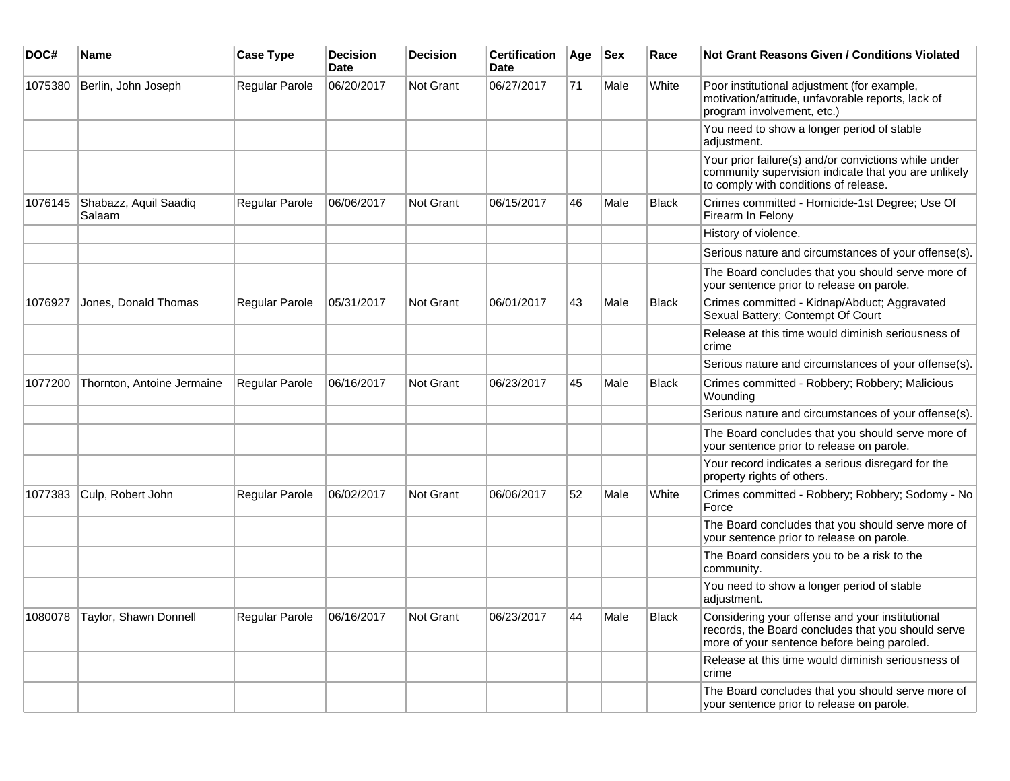| DOC#    | Name                            | <b>Case Type</b>      | <b>Decision</b><br><b>Date</b> | <b>Decision</b> | <b>Certification</b><br><b>Date</b> | Age | <b>Sex</b> | Race         | <b>Not Grant Reasons Given / Conditions Violated</b>                                                                                                  |
|---------|---------------------------------|-----------------------|--------------------------------|-----------------|-------------------------------------|-----|------------|--------------|-------------------------------------------------------------------------------------------------------------------------------------------------------|
| 1075380 | Berlin, John Joseph             | Regular Parole        | 06/20/2017                     | Not Grant       | 06/27/2017                          | 71  | Male       | White        | Poor institutional adjustment (for example,<br>motivation/attitude, unfavorable reports, lack of<br>program involvement, etc.)                        |
|         |                                 |                       |                                |                 |                                     |     |            |              | You need to show a longer period of stable<br>adjustment.                                                                                             |
|         |                                 |                       |                                |                 |                                     |     |            |              | Your prior failure(s) and/or convictions while under<br>community supervision indicate that you are unlikely<br>to comply with conditions of release. |
| 1076145 | Shabazz, Aquil Saadiq<br>Salaam | <b>Regular Parole</b> | 06/06/2017                     | Not Grant       | 06/15/2017                          | 46  | Male       | <b>Black</b> | Crimes committed - Homicide-1st Degree; Use Of<br>Firearm In Felony                                                                                   |
|         |                                 |                       |                                |                 |                                     |     |            |              | History of violence.                                                                                                                                  |
|         |                                 |                       |                                |                 |                                     |     |            |              | Serious nature and circumstances of your offense(s).                                                                                                  |
|         |                                 |                       |                                |                 |                                     |     |            |              | The Board concludes that you should serve more of<br>your sentence prior to release on parole.                                                        |
| 1076927 | Jones, Donald Thomas            | <b>Regular Parole</b> | 05/31/2017                     | Not Grant       | 06/01/2017                          | 43  | Male       | <b>Black</b> | Crimes committed - Kidnap/Abduct; Aggravated<br>Sexual Battery; Contempt Of Court                                                                     |
|         |                                 |                       |                                |                 |                                     |     |            |              | Release at this time would diminish seriousness of<br>crime                                                                                           |
|         |                                 |                       |                                |                 |                                     |     |            |              | Serious nature and circumstances of your offense(s).                                                                                                  |
| 1077200 | Thornton, Antoine Jermaine      | <b>Regular Parole</b> | 06/16/2017                     | Not Grant       | 06/23/2017                          | 45  | Male       | Black        | Crimes committed - Robbery; Robbery; Malicious<br>Wounding                                                                                            |
|         |                                 |                       |                                |                 |                                     |     |            |              | Serious nature and circumstances of your offense(s).                                                                                                  |
|         |                                 |                       |                                |                 |                                     |     |            |              | The Board concludes that you should serve more of<br>your sentence prior to release on parole.                                                        |
|         |                                 |                       |                                |                 |                                     |     |            |              | Your record indicates a serious disregard for the<br>property rights of others.                                                                       |
| 1077383 | Culp, Robert John               | <b>Regular Parole</b> | 06/02/2017                     | Not Grant       | 06/06/2017                          | 52  | Male       | White        | Crimes committed - Robbery; Robbery; Sodomy - No<br>Force                                                                                             |
|         |                                 |                       |                                |                 |                                     |     |            |              | The Board concludes that you should serve more of<br>your sentence prior to release on parole.                                                        |
|         |                                 |                       |                                |                 |                                     |     |            |              | The Board considers you to be a risk to the<br>community.                                                                                             |
|         |                                 |                       |                                |                 |                                     |     |            |              | You need to show a longer period of stable<br>adjustment.                                                                                             |
| 1080078 | Taylor, Shawn Donnell           | <b>Regular Parole</b> | 06/16/2017                     | Not Grant       | 06/23/2017                          | 44  | Male       | <b>Black</b> | Considering your offense and your institutional<br>records, the Board concludes that you should serve<br>more of your sentence before being paroled.  |
|         |                                 |                       |                                |                 |                                     |     |            |              | Release at this time would diminish seriousness of<br>crime                                                                                           |
|         |                                 |                       |                                |                 |                                     |     |            |              | The Board concludes that you should serve more of<br>your sentence prior to release on parole.                                                        |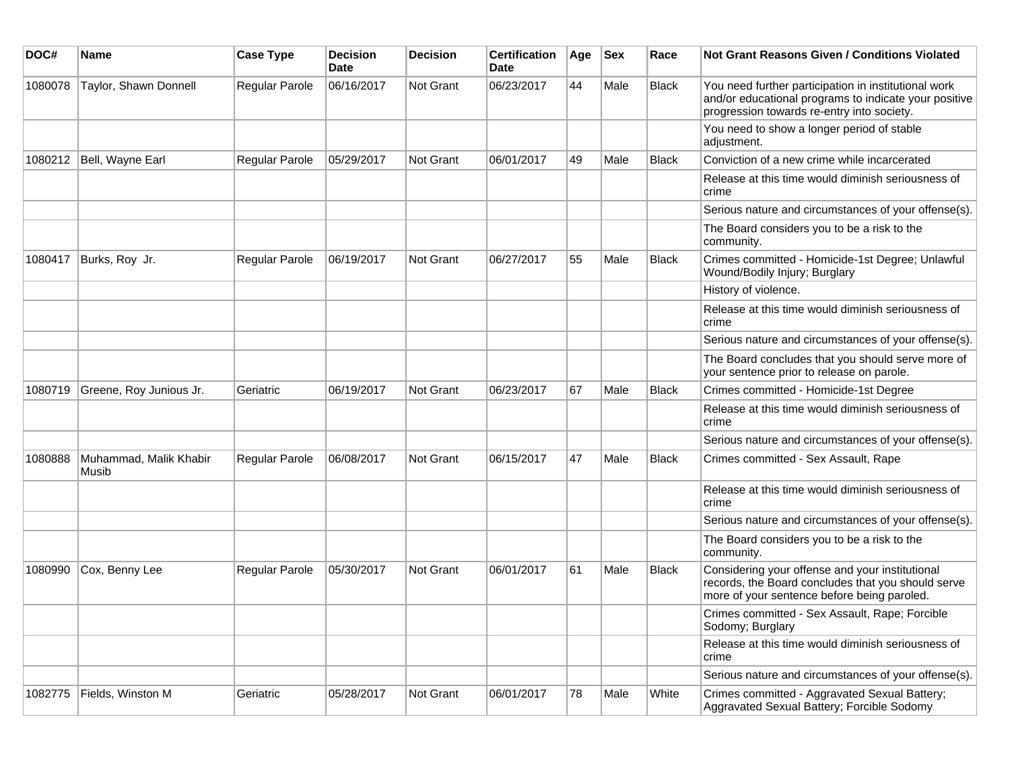| DOC#    | <b>Name</b>                     | <b>Case Type</b>      | <b>Decision</b><br><b>Date</b> | <b>Decision</b> | <b>Certification</b><br>Date | Age | <b>Sex</b> | Race         | Not Grant Reasons Given / Conditions Violated                                                                                                               |
|---------|---------------------------------|-----------------------|--------------------------------|-----------------|------------------------------|-----|------------|--------------|-------------------------------------------------------------------------------------------------------------------------------------------------------------|
| 1080078 | Taylor, Shawn Donnell           | Regular Parole        | 06/16/2017                     | Not Grant       | 06/23/2017                   | 44  | Male       | Black        | You need further participation in institutional work<br>and/or educational programs to indicate your positive<br>progression towards re-entry into society. |
|         |                                 |                       |                                |                 |                              |     |            |              | You need to show a longer period of stable<br>adjustment.                                                                                                   |
| 1080212 | Bell, Wayne Earl                | Regular Parole        | 05/29/2017                     | Not Grant       | 06/01/2017                   | 49  | Male       | <b>Black</b> | Conviction of a new crime while incarcerated                                                                                                                |
|         |                                 |                       |                                |                 |                              |     |            |              | Release at this time would diminish seriousness of<br>crime                                                                                                 |
|         |                                 |                       |                                |                 |                              |     |            |              | Serious nature and circumstances of your offense(s).                                                                                                        |
|         |                                 |                       |                                |                 |                              |     |            |              | The Board considers you to be a risk to the<br>community.                                                                                                   |
| 1080417 | Burks, Roy Jr.                  | Regular Parole        | 06/19/2017                     | Not Grant       | 06/27/2017                   | 55  | Male       | <b>Black</b> | Crimes committed - Homicide-1st Degree; Unlawful<br>Wound/Bodily Injury; Burglary                                                                           |
|         |                                 |                       |                                |                 |                              |     |            |              | History of violence.                                                                                                                                        |
|         |                                 |                       |                                |                 |                              |     |            |              | Release at this time would diminish seriousness of<br>crime                                                                                                 |
|         |                                 |                       |                                |                 |                              |     |            |              | Serious nature and circumstances of your offense(s).                                                                                                        |
|         |                                 |                       |                                |                 |                              |     |            |              | The Board concludes that you should serve more of<br>your sentence prior to release on parole.                                                              |
| 1080719 | Greene, Roy Junious Jr.         | Geriatric             | 06/19/2017                     | Not Grant       | 06/23/2017                   | 67  | Male       | <b>Black</b> | Crimes committed - Homicide-1st Degree                                                                                                                      |
|         |                                 |                       |                                |                 |                              |     |            |              | Release at this time would diminish seriousness of<br>crime                                                                                                 |
|         |                                 |                       |                                |                 |                              |     |            |              | Serious nature and circumstances of your offense(s).                                                                                                        |
| 1080888 | Muhammad, Malik Khabir<br>Musib | <b>Regular Parole</b> | 06/08/2017                     | Not Grant       | 06/15/2017                   | 47  | Male       | Black        | Crimes committed - Sex Assault, Rape                                                                                                                        |
|         |                                 |                       |                                |                 |                              |     |            |              | Release at this time would diminish seriousness of<br>crime                                                                                                 |
|         |                                 |                       |                                |                 |                              |     |            |              | Serious nature and circumstances of your offense(s).                                                                                                        |
|         |                                 |                       |                                |                 |                              |     |            |              | The Board considers you to be a risk to the<br>community.                                                                                                   |
| 1080990 | Cox, Benny Lee                  | <b>Regular Parole</b> | 05/30/2017                     | Not Grant       | 06/01/2017                   | 61  | Male       | <b>Black</b> | Considering your offense and your institutional<br>records, the Board concludes that you should serve<br>more of your sentence before being paroled.        |
|         |                                 |                       |                                |                 |                              |     |            |              | Crimes committed - Sex Assault, Rape; Forcible<br>Sodomy; Burglary                                                                                          |
|         |                                 |                       |                                |                 |                              |     |            |              | Release at this time would diminish seriousness of<br>crime                                                                                                 |
|         |                                 |                       |                                |                 |                              |     |            |              | Serious nature and circumstances of your offense(s).                                                                                                        |
| 1082775 | Fields, Winston M               | Geriatric             | 05/28/2017                     | Not Grant       | 06/01/2017                   | 78  | Male       | White        | Crimes committed - Aggravated Sexual Battery;<br>Aggravated Sexual Battery; Forcible Sodomy                                                                 |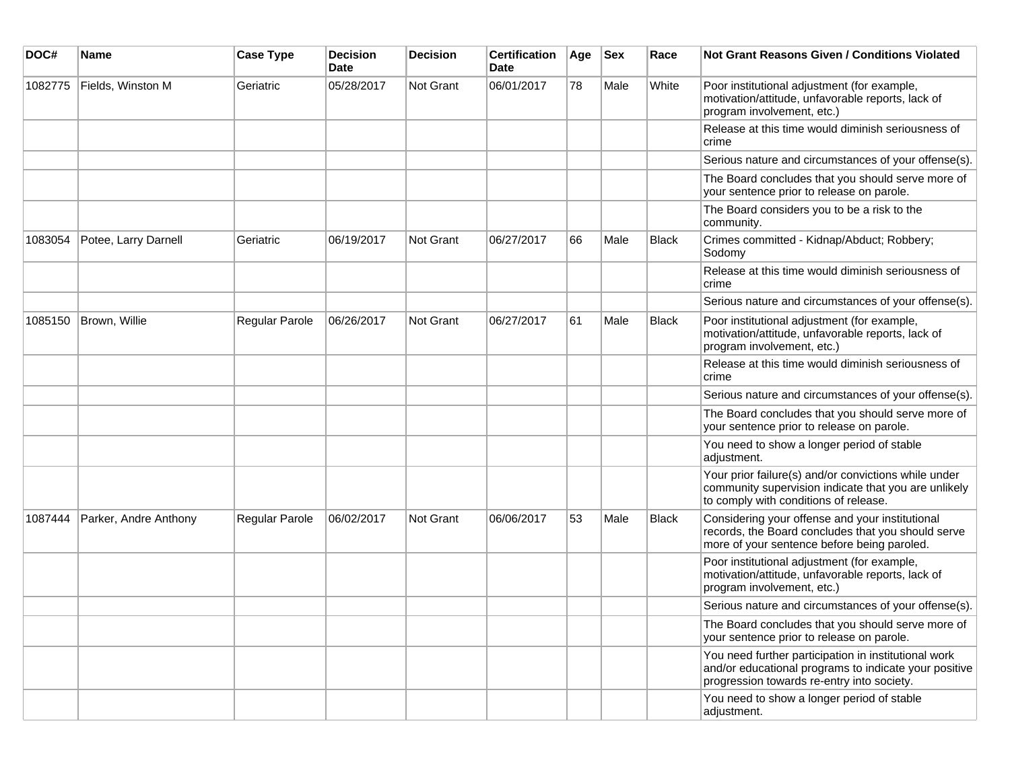| DOC#    | <b>Name</b>           | <b>Case Type</b> | <b>Decision</b><br><b>Date</b> | <b>Decision</b> | <b>Certification</b><br>Date | Age | <b>Sex</b> | Race         | <b>Not Grant Reasons Given / Conditions Violated</b>                                                                                                        |
|---------|-----------------------|------------------|--------------------------------|-----------------|------------------------------|-----|------------|--------------|-------------------------------------------------------------------------------------------------------------------------------------------------------------|
| 1082775 | Fields, Winston M     | Geriatric        | 05/28/2017                     | Not Grant       | 06/01/2017                   | 78  | Male       | White        | Poor institutional adjustment (for example,<br>motivation/attitude, unfavorable reports, lack of<br>program involvement, etc.)                              |
|         |                       |                  |                                |                 |                              |     |            |              | Release at this time would diminish seriousness of<br>crime                                                                                                 |
|         |                       |                  |                                |                 |                              |     |            |              | Serious nature and circumstances of your offense(s).                                                                                                        |
|         |                       |                  |                                |                 |                              |     |            |              | The Board concludes that you should serve more of<br>your sentence prior to release on parole.                                                              |
|         |                       |                  |                                |                 |                              |     |            |              | The Board considers you to be a risk to the<br>community.                                                                                                   |
| 1083054 | Potee, Larry Darnell  | Geriatric        | 06/19/2017                     | Not Grant       | 06/27/2017                   | 66  | Male       | <b>Black</b> | Crimes committed - Kidnap/Abduct; Robbery;<br>Sodomy                                                                                                        |
|         |                       |                  |                                |                 |                              |     |            |              | Release at this time would diminish seriousness of<br>crime                                                                                                 |
|         |                       |                  |                                |                 |                              |     |            |              | Serious nature and circumstances of your offense(s).                                                                                                        |
| 1085150 | Brown, Willie         | Regular Parole   | 06/26/2017                     | Not Grant       | 06/27/2017                   | 61  | Male       | Black        | Poor institutional adjustment (for example,<br>motivation/attitude, unfavorable reports, lack of<br>program involvement, etc.)                              |
|         |                       |                  |                                |                 |                              |     |            |              | Release at this time would diminish seriousness of<br>crime                                                                                                 |
|         |                       |                  |                                |                 |                              |     |            |              | Serious nature and circumstances of your offense(s).                                                                                                        |
|         |                       |                  |                                |                 |                              |     |            |              | The Board concludes that you should serve more of<br>your sentence prior to release on parole.                                                              |
|         |                       |                  |                                |                 |                              |     |            |              | You need to show a longer period of stable<br>adjustment.                                                                                                   |
|         |                       |                  |                                |                 |                              |     |            |              | Your prior failure(s) and/or convictions while under<br>community supervision indicate that you are unlikely<br>to comply with conditions of release.       |
| 1087444 | Parker, Andre Anthony | Regular Parole   | 06/02/2017                     | Not Grant       | 06/06/2017                   | 53  | Male       | Black        | Considering your offense and your institutional<br>records, the Board concludes that you should serve<br>more of your sentence before being paroled.        |
|         |                       |                  |                                |                 |                              |     |            |              | Poor institutional adjustment (for example,<br>motivation/attitude, unfavorable reports, lack of<br>program involvement, etc.)                              |
|         |                       |                  |                                |                 |                              |     |            |              | Serious nature and circumstances of your offense(s).                                                                                                        |
|         |                       |                  |                                |                 |                              |     |            |              | The Board concludes that you should serve more of<br>vour sentence prior to release on parole.                                                              |
|         |                       |                  |                                |                 |                              |     |            |              | You need further participation in institutional work<br>and/or educational programs to indicate your positive<br>progression towards re-entry into society. |
|         |                       |                  |                                |                 |                              |     |            |              | You need to show a longer period of stable<br>adjustment.                                                                                                   |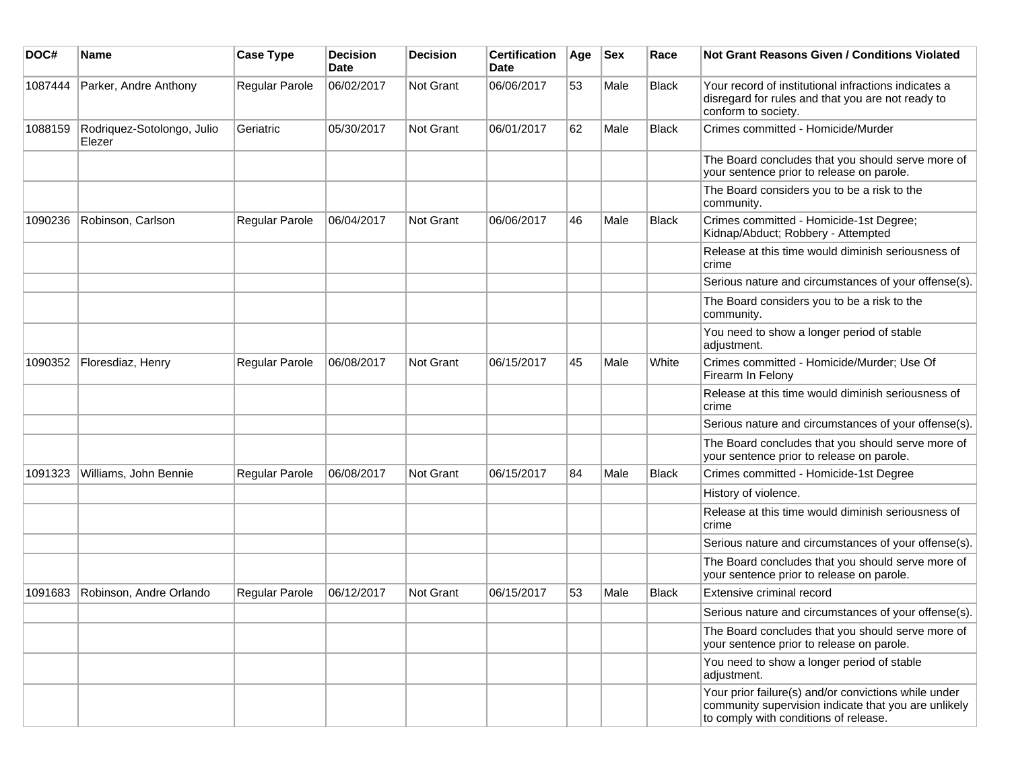| DOC#    | <b>Name</b>                          | <b>Case Type</b> | <b>Decision</b><br>Date | <b>Decision</b> | <b>Certification</b><br><b>Date</b> | Age | <b>Sex</b> | Race         | <b>Not Grant Reasons Given / Conditions Violated</b>                                                                                                  |
|---------|--------------------------------------|------------------|-------------------------|-----------------|-------------------------------------|-----|------------|--------------|-------------------------------------------------------------------------------------------------------------------------------------------------------|
| 1087444 | Parker, Andre Anthony                | Regular Parole   | 06/02/2017              | Not Grant       | 06/06/2017                          | 53  | Male       | <b>Black</b> | Your record of institutional infractions indicates a<br>disregard for rules and that you are not ready to<br>conform to society.                      |
| 1088159 | Rodriquez-Sotolongo, Julio<br>Elezer | Geriatric        | 05/30/2017              | Not Grant       | 06/01/2017                          | 62  | Male       | <b>Black</b> | Crimes committed - Homicide/Murder                                                                                                                    |
|         |                                      |                  |                         |                 |                                     |     |            |              | The Board concludes that you should serve more of<br>your sentence prior to release on parole.                                                        |
|         |                                      |                  |                         |                 |                                     |     |            |              | The Board considers you to be a risk to the<br>community.                                                                                             |
| 1090236 | Robinson, Carlson                    | Regular Parole   | 06/04/2017              | Not Grant       | 06/06/2017                          | 46  | Male       | Black        | Crimes committed - Homicide-1st Degree;<br>Kidnap/Abduct; Robbery - Attempted                                                                         |
|         |                                      |                  |                         |                 |                                     |     |            |              | Release at this time would diminish seriousness of<br>crime                                                                                           |
|         |                                      |                  |                         |                 |                                     |     |            |              | Serious nature and circumstances of your offense(s).                                                                                                  |
|         |                                      |                  |                         |                 |                                     |     |            |              | The Board considers you to be a risk to the<br>community.                                                                                             |
|         |                                      |                  |                         |                 |                                     |     |            |              | You need to show a longer period of stable<br>adjustment.                                                                                             |
| 1090352 | Floresdiaz, Henry                    | Regular Parole   | 06/08/2017              | Not Grant       | 06/15/2017                          | 45  | Male       | White        | Crimes committed - Homicide/Murder; Use Of<br>Firearm In Felony                                                                                       |
|         |                                      |                  |                         |                 |                                     |     |            |              | Release at this time would diminish seriousness of<br>crime                                                                                           |
|         |                                      |                  |                         |                 |                                     |     |            |              | Serious nature and circumstances of your offense(s).                                                                                                  |
|         |                                      |                  |                         |                 |                                     |     |            |              | The Board concludes that you should serve more of<br>your sentence prior to release on parole.                                                        |
| 1091323 | Williams, John Bennie                | Regular Parole   | 06/08/2017              | Not Grant       | 06/15/2017                          | 84  | Male       | <b>Black</b> | Crimes committed - Homicide-1st Degree                                                                                                                |
|         |                                      |                  |                         |                 |                                     |     |            |              | History of violence.                                                                                                                                  |
|         |                                      |                  |                         |                 |                                     |     |            |              | Release at this time would diminish seriousness of<br>crime                                                                                           |
|         |                                      |                  |                         |                 |                                     |     |            |              | Serious nature and circumstances of your offense(s).                                                                                                  |
|         |                                      |                  |                         |                 |                                     |     |            |              | The Board concludes that you should serve more of<br>your sentence prior to release on parole.                                                        |
| 1091683 | Robinson, Andre Orlando              | Regular Parole   | 06/12/2017              | Not Grant       | 06/15/2017                          | 53  | Male       | <b>Black</b> | Extensive criminal record                                                                                                                             |
|         |                                      |                  |                         |                 |                                     |     |            |              | Serious nature and circumstances of your offense(s).                                                                                                  |
|         |                                      |                  |                         |                 |                                     |     |            |              | The Board concludes that you should serve more of<br>your sentence prior to release on parole.                                                        |
|         |                                      |                  |                         |                 |                                     |     |            |              | You need to show a longer period of stable<br>adjustment.                                                                                             |
|         |                                      |                  |                         |                 |                                     |     |            |              | Your prior failure(s) and/or convictions while under<br>community supervision indicate that you are unlikely<br>to comply with conditions of release. |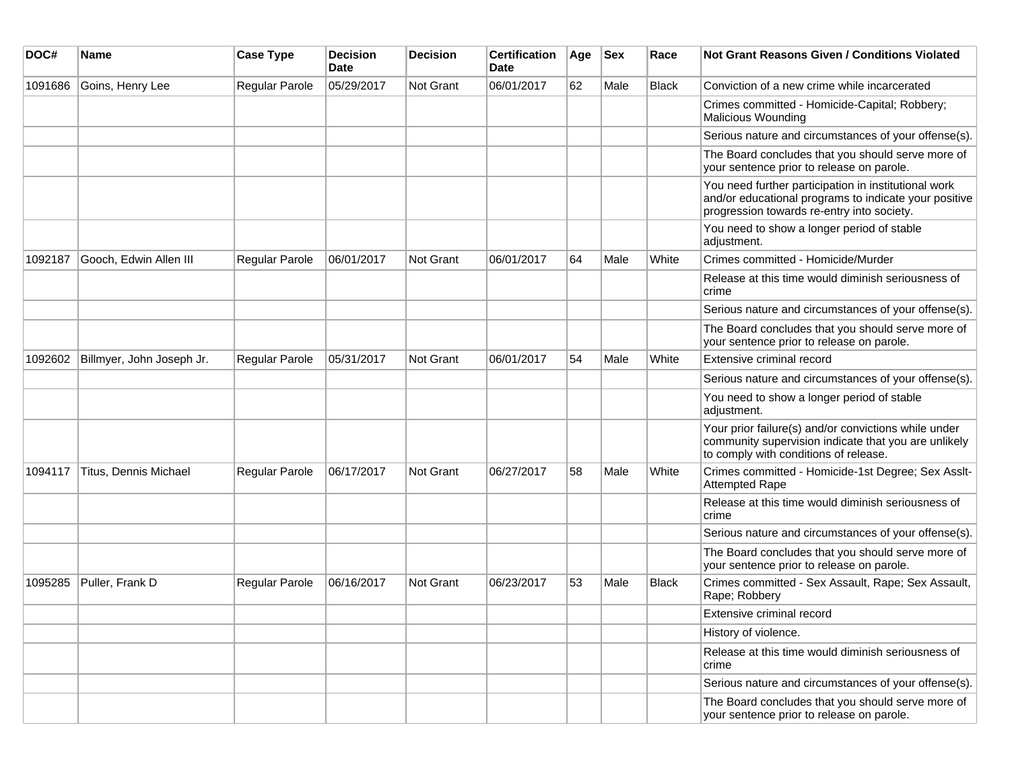| DOC#    | <b>Name</b>               | <b>Case Type</b> | <b>Decision</b><br><b>Date</b> | <b>Decision</b> | <b>Certification</b><br>Date | Age | <b>Sex</b> | Race         | Not Grant Reasons Given / Conditions Violated                                                                                                               |
|---------|---------------------------|------------------|--------------------------------|-----------------|------------------------------|-----|------------|--------------|-------------------------------------------------------------------------------------------------------------------------------------------------------------|
| 1091686 | Goins, Henry Lee          | Regular Parole   | 05/29/2017                     | Not Grant       | 06/01/2017                   | 62  | Male       | Black        | Conviction of a new crime while incarcerated                                                                                                                |
|         |                           |                  |                                |                 |                              |     |            |              | Crimes committed - Homicide-Capital; Robbery;<br><b>Malicious Wounding</b>                                                                                  |
|         |                           |                  |                                |                 |                              |     |            |              | Serious nature and circumstances of your offense(s).                                                                                                        |
|         |                           |                  |                                |                 |                              |     |            |              | The Board concludes that you should serve more of<br>your sentence prior to release on parole.                                                              |
|         |                           |                  |                                |                 |                              |     |            |              | You need further participation in institutional work<br>and/or educational programs to indicate your positive<br>progression towards re-entry into society. |
|         |                           |                  |                                |                 |                              |     |            |              | You need to show a longer period of stable<br>adjustment.                                                                                                   |
| 1092187 | Gooch, Edwin Allen III    | Regular Parole   | 06/01/2017                     | Not Grant       | 06/01/2017                   | 64  | Male       | White        | Crimes committed - Homicide/Murder                                                                                                                          |
|         |                           |                  |                                |                 |                              |     |            |              | Release at this time would diminish seriousness of<br>crime                                                                                                 |
|         |                           |                  |                                |                 |                              |     |            |              | Serious nature and circumstances of your offense(s).                                                                                                        |
|         |                           |                  |                                |                 |                              |     |            |              | The Board concludes that you should serve more of<br>your sentence prior to release on parole.                                                              |
| 1092602 | Billmyer, John Joseph Jr. | Regular Parole   | 05/31/2017                     | Not Grant       | 06/01/2017                   | 54  | Male       | White        | Extensive criminal record                                                                                                                                   |
|         |                           |                  |                                |                 |                              |     |            |              | Serious nature and circumstances of your offense(s).                                                                                                        |
|         |                           |                  |                                |                 |                              |     |            |              | You need to show a longer period of stable<br>adjustment.                                                                                                   |
|         |                           |                  |                                |                 |                              |     |            |              | Your prior failure(s) and/or convictions while under<br>community supervision indicate that you are unlikely<br>to comply with conditions of release.       |
| 1094117 | Titus, Dennis Michael     | Regular Parole   | 06/17/2017                     | Not Grant       | 06/27/2017                   | 58  | Male       | White        | Crimes committed - Homicide-1st Degree; Sex Asslt-<br><b>Attempted Rape</b>                                                                                 |
|         |                           |                  |                                |                 |                              |     |            |              | Release at this time would diminish seriousness of<br>crime                                                                                                 |
|         |                           |                  |                                |                 |                              |     |            |              | Serious nature and circumstances of your offense(s).                                                                                                        |
|         |                           |                  |                                |                 |                              |     |            |              | The Board concludes that you should serve more of<br>your sentence prior to release on parole.                                                              |
| 1095285 | Puller, Frank D           | Regular Parole   | 06/16/2017                     | Not Grant       | 06/23/2017                   | 53  | Male       | <b>Black</b> | Crimes committed - Sex Assault, Rape; Sex Assault,<br>Rape; Robbery                                                                                         |
|         |                           |                  |                                |                 |                              |     |            |              | Extensive criminal record                                                                                                                                   |
|         |                           |                  |                                |                 |                              |     |            |              | History of violence.                                                                                                                                        |
|         |                           |                  |                                |                 |                              |     |            |              | Release at this time would diminish seriousness of<br>crime                                                                                                 |
|         |                           |                  |                                |                 |                              |     |            |              | Serious nature and circumstances of your offense(s).                                                                                                        |
|         |                           |                  |                                |                 |                              |     |            |              | The Board concludes that you should serve more of<br>your sentence prior to release on parole.                                                              |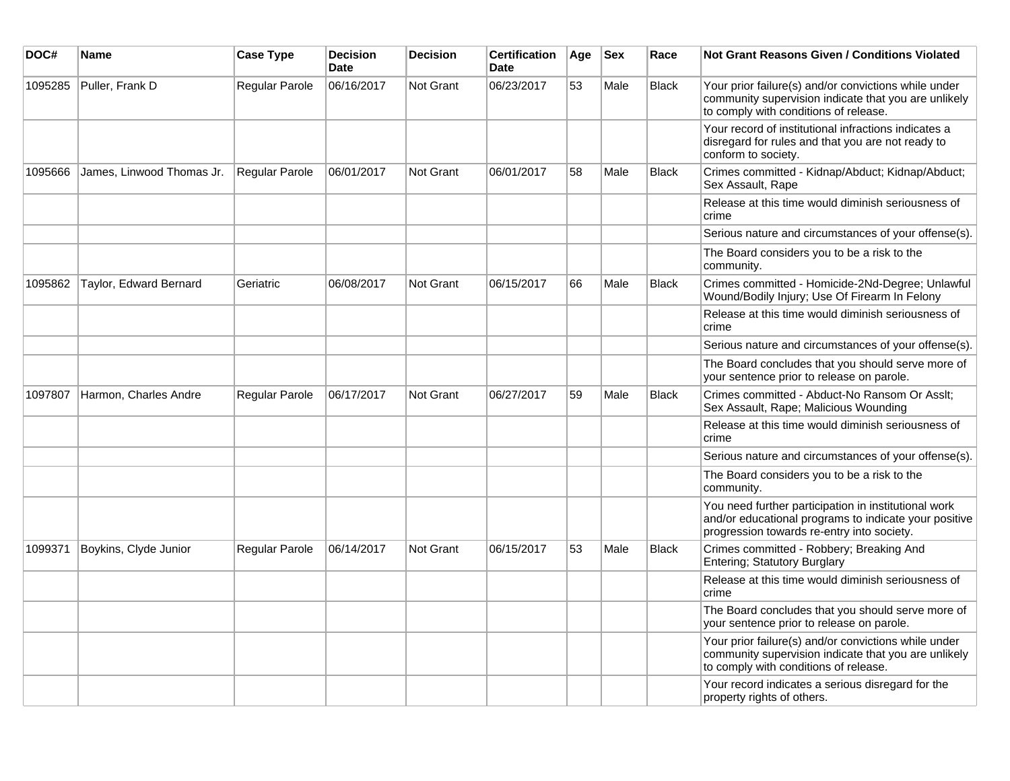| DOC#    | Name                      | <b>Case Type</b> | <b>Decision</b><br><b>Date</b> | <b>Decision</b>  | <b>Certification</b><br><b>Date</b> | Age | <b>Sex</b> | Race         | Not Grant Reasons Given / Conditions Violated                                                                                                               |
|---------|---------------------------|------------------|--------------------------------|------------------|-------------------------------------|-----|------------|--------------|-------------------------------------------------------------------------------------------------------------------------------------------------------------|
| 1095285 | Puller, Frank D           | Regular Parole   | 06/16/2017                     | Not Grant        | 06/23/2017                          | 53  | Male       | <b>Black</b> | Your prior failure(s) and/or convictions while under<br>community supervision indicate that you are unlikely<br>to comply with conditions of release.       |
|         |                           |                  |                                |                  |                                     |     |            |              | Your record of institutional infractions indicates a<br>disregard for rules and that you are not ready to<br>conform to society.                            |
| 1095666 | James, Linwood Thomas Jr. | Regular Parole   | 06/01/2017                     | Not Grant        | 06/01/2017                          | 58  | Male       | <b>Black</b> | Crimes committed - Kidnap/Abduct; Kidnap/Abduct;<br>Sex Assault, Rape                                                                                       |
|         |                           |                  |                                |                  |                                     |     |            |              | Release at this time would diminish seriousness of<br>crime                                                                                                 |
|         |                           |                  |                                |                  |                                     |     |            |              | Serious nature and circumstances of your offense(s).                                                                                                        |
|         |                           |                  |                                |                  |                                     |     |            |              | The Board considers you to be a risk to the<br>community.                                                                                                   |
| 1095862 | Taylor, Edward Bernard    | Geriatric        | 06/08/2017                     | Not Grant        | 06/15/2017                          | 66  | Male       | <b>Black</b> | Crimes committed - Homicide-2Nd-Degree; Unlawful<br>Wound/Bodily Injury; Use Of Firearm In Felony                                                           |
|         |                           |                  |                                |                  |                                     |     |            |              | Release at this time would diminish seriousness of<br>crime                                                                                                 |
|         |                           |                  |                                |                  |                                     |     |            |              | Serious nature and circumstances of your offense(s).                                                                                                        |
|         |                           |                  |                                |                  |                                     |     |            |              | The Board concludes that you should serve more of<br>your sentence prior to release on parole.                                                              |
| 1097807 | Harmon, Charles Andre     | Regular Parole   | 06/17/2017                     | Not Grant        | 06/27/2017                          | 59  | Male       | <b>Black</b> | Crimes committed - Abduct-No Ransom Or Asslt;<br>Sex Assault, Rape; Malicious Wounding                                                                      |
|         |                           |                  |                                |                  |                                     |     |            |              | Release at this time would diminish seriousness of<br>crime                                                                                                 |
|         |                           |                  |                                |                  |                                     |     |            |              | Serious nature and circumstances of your offense(s).                                                                                                        |
|         |                           |                  |                                |                  |                                     |     |            |              | The Board considers you to be a risk to the<br>community.                                                                                                   |
|         |                           |                  |                                |                  |                                     |     |            |              | You need further participation in institutional work<br>and/or educational programs to indicate your positive<br>progression towards re-entry into society. |
| 1099371 | Boykins, Clyde Junior     | Regular Parole   | 06/14/2017                     | <b>Not Grant</b> | 06/15/2017                          | 53  | Male       | <b>Black</b> | Crimes committed - Robbery; Breaking And<br>Entering; Statutory Burglary                                                                                    |
|         |                           |                  |                                |                  |                                     |     |            |              | Release at this time would diminish seriousness of<br>crime                                                                                                 |
|         |                           |                  |                                |                  |                                     |     |            |              | The Board concludes that you should serve more of<br>your sentence prior to release on parole.                                                              |
|         |                           |                  |                                |                  |                                     |     |            |              | Your prior failure(s) and/or convictions while under<br>community supervision indicate that you are unlikely<br>to comply with conditions of release.       |
|         |                           |                  |                                |                  |                                     |     |            |              | Your record indicates a serious disregard for the<br>property rights of others.                                                                             |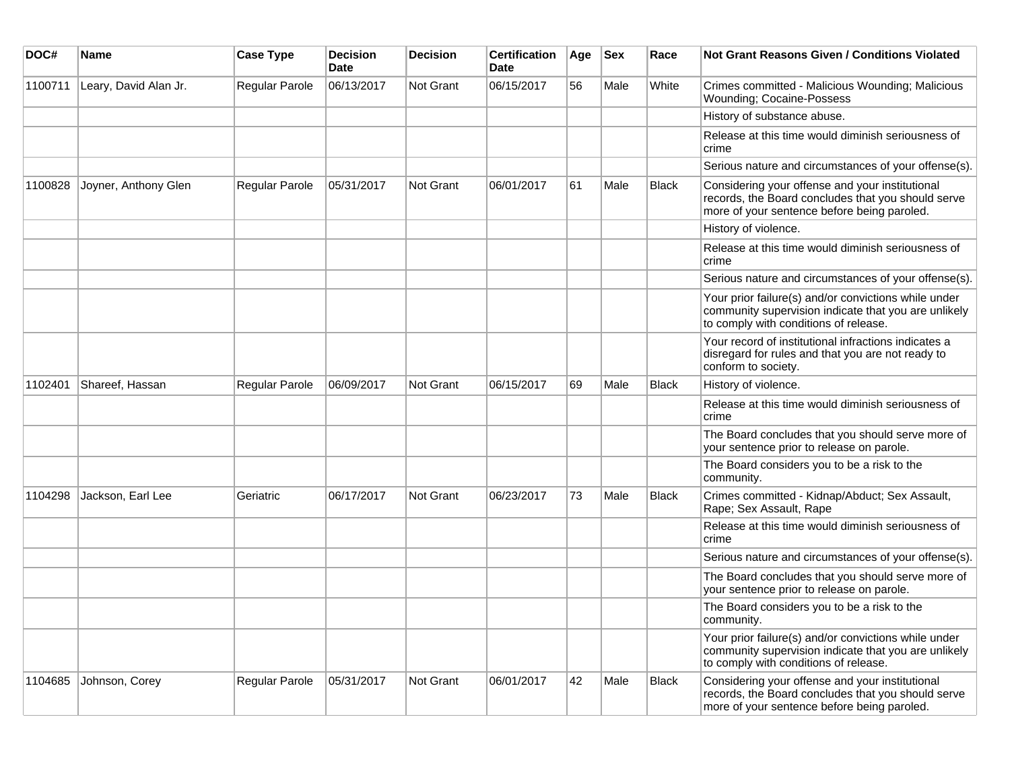| DOC#    | Name                  | <b>Case Type</b> | <b>Decision</b><br><b>Date</b> | <b>Decision</b>  | <b>Certification</b><br>Date | Age | <b>Sex</b> | Race         | <b>Not Grant Reasons Given / Conditions Violated</b>                                                                                                  |
|---------|-----------------------|------------------|--------------------------------|------------------|------------------------------|-----|------------|--------------|-------------------------------------------------------------------------------------------------------------------------------------------------------|
| 1100711 | Leary, David Alan Jr. | Regular Parole   | 06/13/2017                     | Not Grant        | 06/15/2017                   | 56  | Male       | White        | Crimes committed - Malicious Wounding; Malicious<br>Wounding; Cocaine-Possess                                                                         |
|         |                       |                  |                                |                  |                              |     |            |              | History of substance abuse.                                                                                                                           |
|         |                       |                  |                                |                  |                              |     |            |              | Release at this time would diminish seriousness of<br>crime                                                                                           |
|         |                       |                  |                                |                  |                              |     |            |              | Serious nature and circumstances of your offense(s).                                                                                                  |
| 1100828 | Joyner, Anthony Glen  | Regular Parole   | 05/31/2017                     | <b>Not Grant</b> | 06/01/2017                   | 61  | Male       | <b>Black</b> | Considering your offense and your institutional<br>records, the Board concludes that you should serve<br>more of your sentence before being paroled.  |
|         |                       |                  |                                |                  |                              |     |            |              | History of violence.                                                                                                                                  |
|         |                       |                  |                                |                  |                              |     |            |              | Release at this time would diminish seriousness of<br>crime                                                                                           |
|         |                       |                  |                                |                  |                              |     |            |              | Serious nature and circumstances of your offense(s).                                                                                                  |
|         |                       |                  |                                |                  |                              |     |            |              | Your prior failure(s) and/or convictions while under<br>community supervision indicate that you are unlikely<br>to comply with conditions of release. |
|         |                       |                  |                                |                  |                              |     |            |              | Your record of institutional infractions indicates a<br>disregard for rules and that you are not ready to<br>conform to society.                      |
| 1102401 | Shareef, Hassan       | Regular Parole   | 06/09/2017                     | <b>Not Grant</b> | 06/15/2017                   | 69  | Male       | <b>Black</b> | History of violence.                                                                                                                                  |
|         |                       |                  |                                |                  |                              |     |            |              | Release at this time would diminish seriousness of<br>crime                                                                                           |
|         |                       |                  |                                |                  |                              |     |            |              | The Board concludes that you should serve more of<br>your sentence prior to release on parole.                                                        |
|         |                       |                  |                                |                  |                              |     |            |              | The Board considers you to be a risk to the<br>community.                                                                                             |
| 1104298 | Jackson, Earl Lee     | Geriatric        | 06/17/2017                     | <b>Not Grant</b> | 06/23/2017                   | 73  | Male       | Black        | Crimes committed - Kidnap/Abduct; Sex Assault,<br>Rape; Sex Assault, Rape                                                                             |
|         |                       |                  |                                |                  |                              |     |            |              | Release at this time would diminish seriousness of<br>crime                                                                                           |
|         |                       |                  |                                |                  |                              |     |            |              | Serious nature and circumstances of your offense(s).                                                                                                  |
|         |                       |                  |                                |                  |                              |     |            |              | The Board concludes that you should serve more of<br>your sentence prior to release on parole.                                                        |
|         |                       |                  |                                |                  |                              |     |            |              | The Board considers you to be a risk to the<br>community.                                                                                             |
|         |                       |                  |                                |                  |                              |     |            |              | Your prior failure(s) and/or convictions while under<br>community supervision indicate that you are unlikely<br>to comply with conditions of release. |
| 1104685 | Johnson, Corey        | Regular Parole   | 05/31/2017                     | Not Grant        | 06/01/2017                   | 42  | Male       | Black        | Considering your offense and your institutional<br>records, the Board concludes that you should serve<br>more of your sentence before being paroled.  |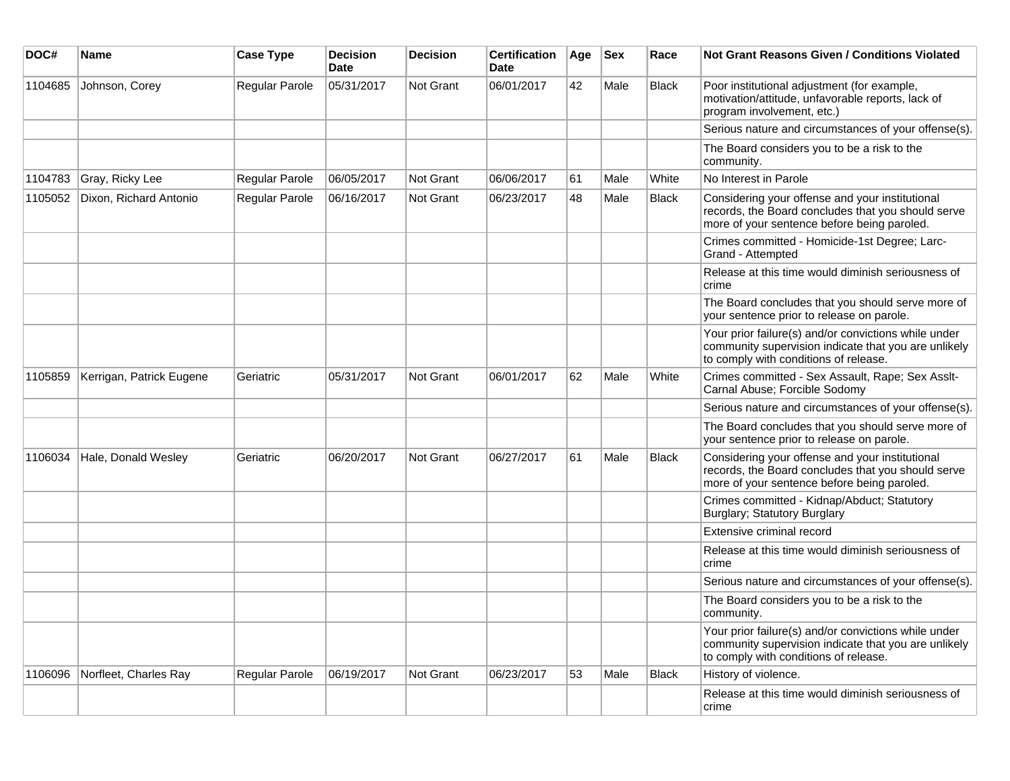| DOC#    | <b>Name</b>              | <b>Case Type</b> | <b>Decision</b><br><b>Date</b> | <b>Decision</b> | <b>Certification</b><br>Date | Age | <b>Sex</b> | Race         | <b>Not Grant Reasons Given / Conditions Violated</b>                                                                                                  |
|---------|--------------------------|------------------|--------------------------------|-----------------|------------------------------|-----|------------|--------------|-------------------------------------------------------------------------------------------------------------------------------------------------------|
| 1104685 | Johnson, Corey           | Regular Parole   | 05/31/2017                     | Not Grant       | 06/01/2017                   | 42  | Male       | <b>Black</b> | Poor institutional adjustment (for example,<br>motivation/attitude, unfavorable reports, lack of<br>program involvement, etc.)                        |
|         |                          |                  |                                |                 |                              |     |            |              | Serious nature and circumstances of your offense(s).                                                                                                  |
|         |                          |                  |                                |                 |                              |     |            |              | The Board considers you to be a risk to the<br>community.                                                                                             |
| 1104783 | Gray, Ricky Lee          | Regular Parole   | 06/05/2017                     | Not Grant       | 06/06/2017                   | 61  | Male       | White        | No Interest in Parole                                                                                                                                 |
| 1105052 | Dixon, Richard Antonio   | Regular Parole   | 06/16/2017                     | Not Grant       | 06/23/2017                   | 48  | Male       | Black        | Considering your offense and your institutional<br>records, the Board concludes that you should serve<br>more of your sentence before being paroled.  |
|         |                          |                  |                                |                 |                              |     |            |              | Crimes committed - Homicide-1st Degree; Larc-<br>Grand - Attempted                                                                                    |
|         |                          |                  |                                |                 |                              |     |            |              | Release at this time would diminish seriousness of<br>crime                                                                                           |
|         |                          |                  |                                |                 |                              |     |            |              | The Board concludes that you should serve more of<br>your sentence prior to release on parole.                                                        |
|         |                          |                  |                                |                 |                              |     |            |              | Your prior failure(s) and/or convictions while under<br>community supervision indicate that you are unlikely<br>to comply with conditions of release. |
| 1105859 | Kerrigan, Patrick Eugene | Geriatric        | 05/31/2017                     | Not Grant       | 06/01/2017                   | 62  | Male       | White        | Crimes committed - Sex Assault, Rape; Sex Asslt-<br>Carnal Abuse; Forcible Sodomy                                                                     |
|         |                          |                  |                                |                 |                              |     |            |              | Serious nature and circumstances of your offense(s).                                                                                                  |
|         |                          |                  |                                |                 |                              |     |            |              | The Board concludes that you should serve more of<br>your sentence prior to release on parole.                                                        |
| 1106034 | Hale, Donald Wesley      | Geriatric        | 06/20/2017                     | Not Grant       | 06/27/2017                   | 61  | Male       | <b>Black</b> | Considering your offense and your institutional<br>records, the Board concludes that you should serve<br>more of your sentence before being paroled.  |
|         |                          |                  |                                |                 |                              |     |            |              | Crimes committed - Kidnap/Abduct; Statutory<br>Burglary; Statutory Burglary                                                                           |
|         |                          |                  |                                |                 |                              |     |            |              | Extensive criminal record                                                                                                                             |
|         |                          |                  |                                |                 |                              |     |            |              | Release at this time would diminish seriousness of<br>crime                                                                                           |
|         |                          |                  |                                |                 |                              |     |            |              | Serious nature and circumstances of your offense(s).                                                                                                  |
|         |                          |                  |                                |                 |                              |     |            |              | The Board considers you to be a risk to the<br>community.                                                                                             |
|         |                          |                  |                                |                 |                              |     |            |              | Your prior failure(s) and/or convictions while under<br>community supervision indicate that you are unlikely<br>to comply with conditions of release. |
| 1106096 | Norfleet, Charles Ray    | Regular Parole   | 06/19/2017                     | Not Grant       | 06/23/2017                   | 53  | Male       | <b>Black</b> | History of violence.                                                                                                                                  |
|         |                          |                  |                                |                 |                              |     |            |              | Release at this time would diminish seriousness of<br>crime                                                                                           |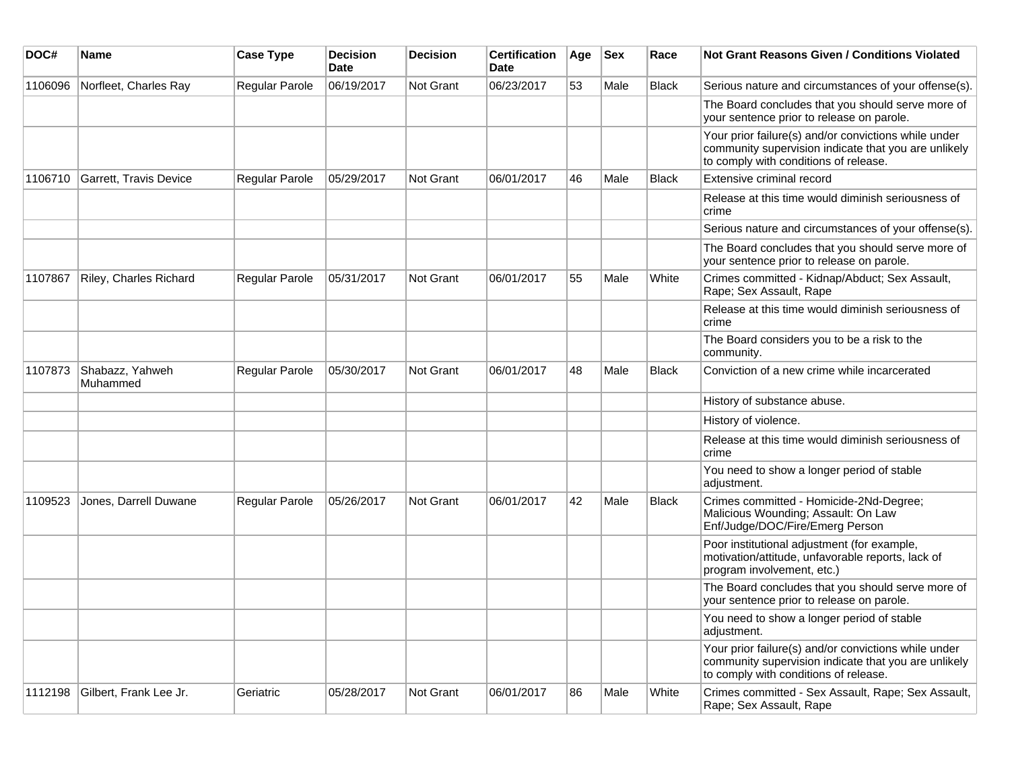| DOC#    | <b>Name</b>                 | <b>Case Type</b>      | <b>Decision</b><br>Date | <b>Decision</b> | <b>Certification</b><br>Date | Age | <b>Sex</b> | Race         | Not Grant Reasons Given / Conditions Violated                                                                                                         |
|---------|-----------------------------|-----------------------|-------------------------|-----------------|------------------------------|-----|------------|--------------|-------------------------------------------------------------------------------------------------------------------------------------------------------|
| 1106096 | Norfleet, Charles Ray       | Regular Parole        | 06/19/2017              | Not Grant       | 06/23/2017                   | 53  | Male       | <b>Black</b> | Serious nature and circumstances of your offense(s).                                                                                                  |
|         |                             |                       |                         |                 |                              |     |            |              | The Board concludes that you should serve more of<br>your sentence prior to release on parole.                                                        |
|         |                             |                       |                         |                 |                              |     |            |              | Your prior failure(s) and/or convictions while under<br>community supervision indicate that you are unlikely<br>to comply with conditions of release. |
| 1106710 | Garrett, Travis Device      | Regular Parole        | 05/29/2017              | Not Grant       | 06/01/2017                   | 46  | Male       | <b>Black</b> | Extensive criminal record                                                                                                                             |
|         |                             |                       |                         |                 |                              |     |            |              | Release at this time would diminish seriousness of<br>crime                                                                                           |
|         |                             |                       |                         |                 |                              |     |            |              | Serious nature and circumstances of your offense(s).                                                                                                  |
|         |                             |                       |                         |                 |                              |     |            |              | The Board concludes that you should serve more of<br>your sentence prior to release on parole.                                                        |
| 1107867 | Riley, Charles Richard      | <b>Regular Parole</b> | 05/31/2017              | Not Grant       | 06/01/2017                   | 55  | Male       | White        | Crimes committed - Kidnap/Abduct; Sex Assault,<br>Rape; Sex Assault, Rape                                                                             |
|         |                             |                       |                         |                 |                              |     |            |              | Release at this time would diminish seriousness of<br>crime                                                                                           |
|         |                             |                       |                         |                 |                              |     |            |              | The Board considers you to be a risk to the<br>community.                                                                                             |
| 1107873 | Shabazz, Yahweh<br>Muhammed | Regular Parole        | 05/30/2017              | Not Grant       | 06/01/2017                   | 48  | Male       | <b>Black</b> | Conviction of a new crime while incarcerated                                                                                                          |
|         |                             |                       |                         |                 |                              |     |            |              | History of substance abuse.                                                                                                                           |
|         |                             |                       |                         |                 |                              |     |            |              | History of violence.                                                                                                                                  |
|         |                             |                       |                         |                 |                              |     |            |              | Release at this time would diminish seriousness of<br>crime                                                                                           |
|         |                             |                       |                         |                 |                              |     |            |              | You need to show a longer period of stable<br>adjustment.                                                                                             |
| 1109523 | Jones, Darrell Duwane       | <b>Regular Parole</b> | 05/26/2017              | Not Grant       | 06/01/2017                   | 42  | Male       | <b>Black</b> | Crimes committed - Homicide-2Nd-Degree;<br>Malicious Wounding; Assault: On Law<br>Enf/Judge/DOC/Fire/Emerg Person                                     |
|         |                             |                       |                         |                 |                              |     |            |              | Poor institutional adjustment (for example,<br>motivation/attitude, unfavorable reports, lack of<br>program involvement, etc.)                        |
|         |                             |                       |                         |                 |                              |     |            |              | The Board concludes that you should serve more of<br>your sentence prior to release on parole.                                                        |
|         |                             |                       |                         |                 |                              |     |            |              | You need to show a longer period of stable<br>adjustment.                                                                                             |
|         |                             |                       |                         |                 |                              |     |            |              | Your prior failure(s) and/or convictions while under<br>community supervision indicate that you are unlikely<br>to comply with conditions of release. |
| 1112198 | Gilbert, Frank Lee Jr.      | Geriatric             | 05/28/2017              | Not Grant       | 06/01/2017                   | 86  | Male       | White        | Crimes committed - Sex Assault, Rape; Sex Assault,<br>Rape; Sex Assault, Rape                                                                         |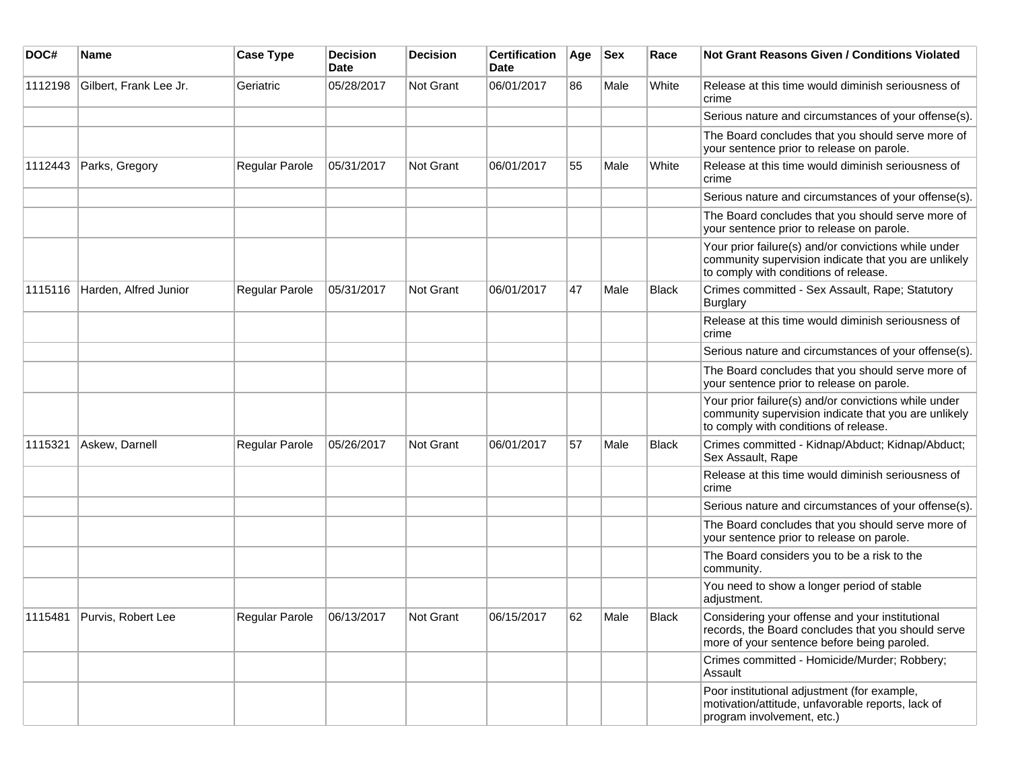| DOC#    | <b>Name</b>                | <b>Case Type</b>            | <b>Decision</b><br><b>Date</b> | <b>Decision</b> | <b>Certification</b><br><b>Date</b> | Age | <b>Sex</b> | Race  | <b>Not Grant Reasons Given / Conditions Violated</b>                                                                                                  |
|---------|----------------------------|-----------------------------|--------------------------------|-----------------|-------------------------------------|-----|------------|-------|-------------------------------------------------------------------------------------------------------------------------------------------------------|
| 1112198 | Gilbert, Frank Lee Jr.     | Geriatric                   | 05/28/2017                     | Not Grant       | 06/01/2017                          | 86  | Male       | White | Release at this time would diminish seriousness of<br>crime                                                                                           |
|         |                            |                             |                                |                 |                                     |     |            |       | Serious nature and circumstances of your offense(s).                                                                                                  |
|         |                            |                             |                                |                 |                                     |     |            |       | The Board concludes that you should serve more of<br>your sentence prior to release on parole.                                                        |
| 1112443 | Parks, Gregory             | Regular Parole              | 05/31/2017                     | Not Grant       | 06/01/2017                          | 55  | Male       | White | Release at this time would diminish seriousness of<br>crime                                                                                           |
|         |                            |                             |                                |                 |                                     |     |            |       | Serious nature and circumstances of your offense(s).                                                                                                  |
|         |                            |                             |                                |                 |                                     |     |            |       | The Board concludes that you should serve more of<br>your sentence prior to release on parole.                                                        |
|         |                            |                             |                                |                 |                                     |     |            |       | Your prior failure(s) and/or convictions while under<br>community supervision indicate that you are unlikely<br>to comply with conditions of release. |
| 1115116 | Harden, Alfred Junior      | Regular Parole              | 05/31/2017                     | Not Grant       | 06/01/2017                          | 47  | Male       | Black | Crimes committed - Sex Assault, Rape; Statutory<br>Burglary                                                                                           |
|         |                            |                             |                                |                 |                                     |     |            |       | Release at this time would diminish seriousness of<br>crime                                                                                           |
|         |                            |                             |                                |                 |                                     |     |            |       | Serious nature and circumstances of your offense(s).                                                                                                  |
|         |                            |                             |                                |                 |                                     |     |            |       | The Board concludes that you should serve more of<br>your sentence prior to release on parole.                                                        |
|         |                            |                             |                                |                 |                                     |     |            |       | Your prior failure(s) and/or convictions while under<br>community supervision indicate that you are unlikely<br>to comply with conditions of release. |
| 1115321 | Askew, Darnell             | Regular Parole              | 05/26/2017                     | Not Grant       | 06/01/2017                          | 57  | Male       | Black | Crimes committed - Kidnap/Abduct; Kidnap/Abduct;<br>Sex Assault, Rape                                                                                 |
|         |                            |                             |                                |                 |                                     |     |            |       | Release at this time would diminish seriousness of<br>crime                                                                                           |
|         |                            |                             |                                |                 |                                     |     |            |       | Serious nature and circumstances of your offense(s).                                                                                                  |
|         |                            |                             |                                |                 |                                     |     |            |       | The Board concludes that you should serve more of<br>your sentence prior to release on parole.                                                        |
|         |                            |                             |                                |                 |                                     |     |            |       | The Board considers you to be a risk to the<br>community.                                                                                             |
|         |                            |                             |                                |                 |                                     |     |            |       | You need to show a longer period of stable<br>adjustment.                                                                                             |
|         | 1115481 Purvis, Robert Lee | Regular Parole   06/13/2017 |                                | Not Grant       | 06/15/2017                          | 62  | Male       | Black | Considering your offense and your institutional<br>records, the Board concludes that you should serve<br>more of your sentence before being paroled.  |
|         |                            |                             |                                |                 |                                     |     |            |       | Crimes committed - Homicide/Murder; Robbery;<br>Assault                                                                                               |
|         |                            |                             |                                |                 |                                     |     |            |       | Poor institutional adjustment (for example,<br>motivation/attitude, unfavorable reports, lack of<br>program involvement, etc.)                        |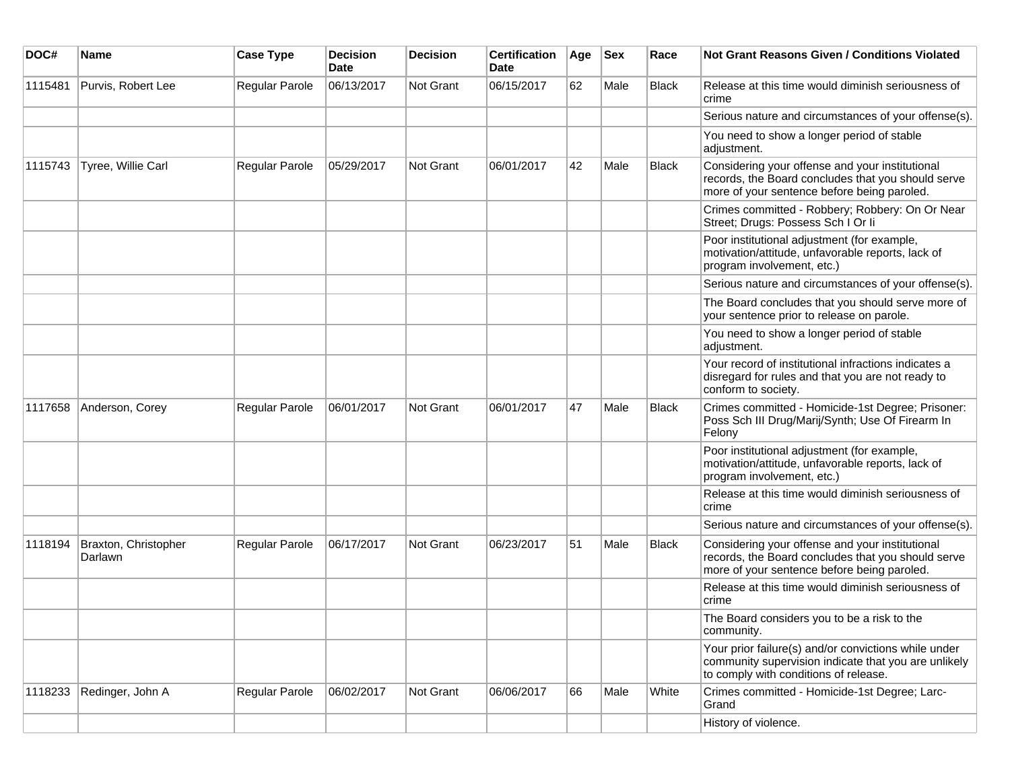| DOC#    | <b>Name</b>                     | <b>Case Type</b> | <b>Decision</b><br><b>Date</b> | <b>Decision</b> | <b>Certification</b><br><b>Date</b> | Age | <b>Sex</b> | Race         | <b>Not Grant Reasons Given / Conditions Violated</b>                                                                                                  |
|---------|---------------------------------|------------------|--------------------------------|-----------------|-------------------------------------|-----|------------|--------------|-------------------------------------------------------------------------------------------------------------------------------------------------------|
| 1115481 | Purvis, Robert Lee              | Regular Parole   | 06/13/2017                     | Not Grant       | 06/15/2017                          | 62  | Male       | Black        | Release at this time would diminish seriousness of<br>crime                                                                                           |
|         |                                 |                  |                                |                 |                                     |     |            |              | Serious nature and circumstances of your offense(s).                                                                                                  |
|         |                                 |                  |                                |                 |                                     |     |            |              | You need to show a longer period of stable<br>adjustment.                                                                                             |
| 1115743 | Tyree, Willie Carl              | Regular Parole   | 05/29/2017                     | Not Grant       | 06/01/2017                          | 42  | Male       | Black        | Considering your offense and your institutional<br>records, the Board concludes that you should serve<br>more of your sentence before being paroled.  |
|         |                                 |                  |                                |                 |                                     |     |            |              | Crimes committed - Robbery; Robbery: On Or Near<br>Street; Drugs: Possess Sch I Or Ii                                                                 |
|         |                                 |                  |                                |                 |                                     |     |            |              | Poor institutional adjustment (for example,<br>motivation/attitude, unfavorable reports, lack of<br>program involvement, etc.)                        |
|         |                                 |                  |                                |                 |                                     |     |            |              | Serious nature and circumstances of your offense(s).                                                                                                  |
|         |                                 |                  |                                |                 |                                     |     |            |              | The Board concludes that you should serve more of<br>your sentence prior to release on parole.                                                        |
|         |                                 |                  |                                |                 |                                     |     |            |              | You need to show a longer period of stable<br>adjustment.                                                                                             |
|         |                                 |                  |                                |                 |                                     |     |            |              | Your record of institutional infractions indicates a<br>disregard for rules and that you are not ready to<br>conform to society.                      |
| 1117658 | Anderson, Corey                 | Regular Parole   | 06/01/2017                     | Not Grant       | 06/01/2017                          | 47  | Male       | Black        | Crimes committed - Homicide-1st Degree; Prisoner:<br>Poss Sch III Drug/Marij/Synth; Use Of Firearm In<br>Felony                                       |
|         |                                 |                  |                                |                 |                                     |     |            |              | Poor institutional adjustment (for example,<br>motivation/attitude, unfavorable reports, lack of<br>program involvement, etc.)                        |
|         |                                 |                  |                                |                 |                                     |     |            |              | Release at this time would diminish seriousness of<br>crime                                                                                           |
|         |                                 |                  |                                |                 |                                     |     |            |              | Serious nature and circumstances of your offense(s).                                                                                                  |
| 1118194 | Braxton, Christopher<br>Darlawn | Regular Parole   | 06/17/2017                     | Not Grant       | 06/23/2017                          | 51  | Male       | <b>Black</b> | Considering your offense and your institutional<br>records, the Board concludes that you should serve<br>more of your sentence before being paroled.  |
|         |                                 |                  |                                |                 |                                     |     |            |              | Release at this time would diminish seriousness of<br>crime                                                                                           |
|         |                                 |                  |                                |                 |                                     |     |            |              | The Board considers you to be a risk to the<br>community.                                                                                             |
|         |                                 |                  |                                |                 |                                     |     |            |              | Your prior failure(s) and/or convictions while under<br>community supervision indicate that you are unlikely<br>to comply with conditions of release. |
| 1118233 | Redinger, John A                | Regular Parole   | 06/02/2017                     | Not Grant       | 06/06/2017                          | 66  | Male       | White        | Crimes committed - Homicide-1st Degree; Larc-<br>Grand                                                                                                |
|         |                                 |                  |                                |                 |                                     |     |            |              | History of violence.                                                                                                                                  |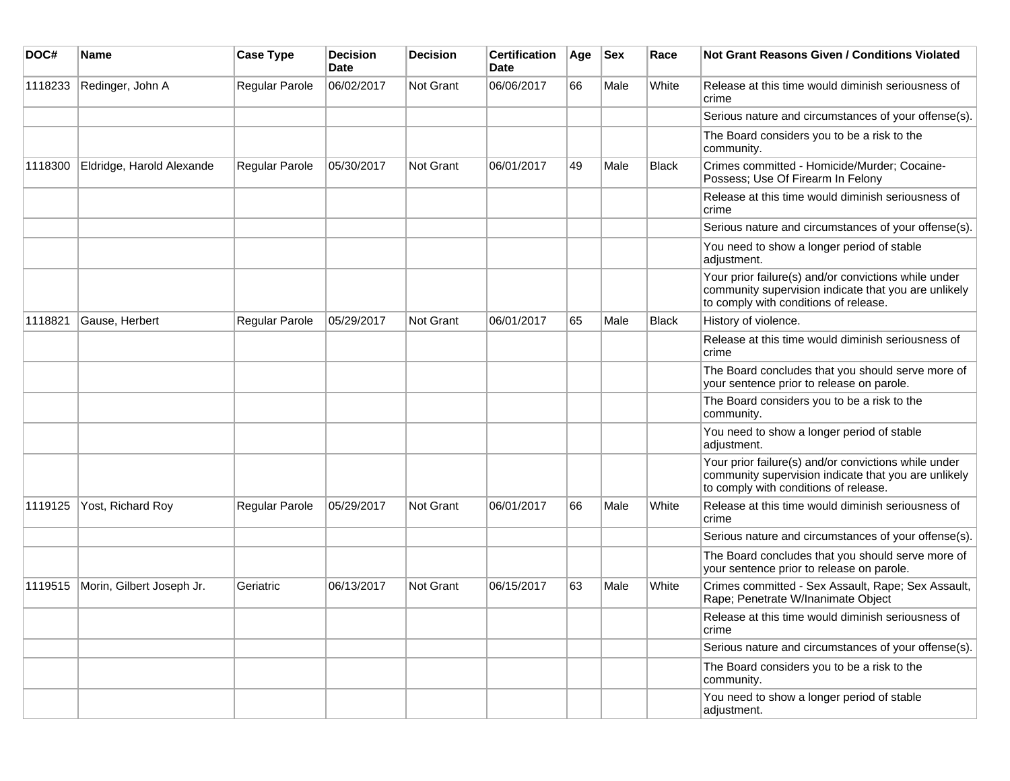| DOC#    | Name                      | <b>Case Type</b> | <b>Decision</b><br><b>Date</b> | <b>Decision</b> | <b>Certification</b><br>Date | Age | <b>Sex</b> | Race         | Not Grant Reasons Given / Conditions Violated                                                                                                         |
|---------|---------------------------|------------------|--------------------------------|-----------------|------------------------------|-----|------------|--------------|-------------------------------------------------------------------------------------------------------------------------------------------------------|
| 1118233 | Redinger, John A          | Regular Parole   | 06/02/2017                     | Not Grant       | 06/06/2017                   | 66  | Male       | White        | Release at this time would diminish seriousness of<br>crime                                                                                           |
|         |                           |                  |                                |                 |                              |     |            |              | Serious nature and circumstances of your offense(s).                                                                                                  |
|         |                           |                  |                                |                 |                              |     |            |              | The Board considers you to be a risk to the<br>community.                                                                                             |
| 1118300 | Eldridge, Harold Alexande | Regular Parole   | 05/30/2017                     | Not Grant       | 06/01/2017                   | 49  | Male       | <b>Black</b> | Crimes committed - Homicide/Murder; Cocaine-<br>Possess; Use Of Firearm In Felony                                                                     |
|         |                           |                  |                                |                 |                              |     |            |              | Release at this time would diminish seriousness of<br>crime                                                                                           |
|         |                           |                  |                                |                 |                              |     |            |              | Serious nature and circumstances of your offense(s).                                                                                                  |
|         |                           |                  |                                |                 |                              |     |            |              | You need to show a longer period of stable<br>adjustment.                                                                                             |
|         |                           |                  |                                |                 |                              |     |            |              | Your prior failure(s) and/or convictions while under<br>community supervision indicate that you are unlikely<br>to comply with conditions of release. |
| 1118821 | Gause, Herbert            | Regular Parole   | 05/29/2017                     | Not Grant       | 06/01/2017                   | 65  | Male       | <b>Black</b> | History of violence.                                                                                                                                  |
|         |                           |                  |                                |                 |                              |     |            |              | Release at this time would diminish seriousness of<br>crime                                                                                           |
|         |                           |                  |                                |                 |                              |     |            |              | The Board concludes that you should serve more of<br>your sentence prior to release on parole.                                                        |
|         |                           |                  |                                |                 |                              |     |            |              | The Board considers you to be a risk to the<br>community.                                                                                             |
|         |                           |                  |                                |                 |                              |     |            |              | You need to show a longer period of stable<br>adjustment.                                                                                             |
|         |                           |                  |                                |                 |                              |     |            |              | Your prior failure(s) and/or convictions while under<br>community supervision indicate that you are unlikely<br>to comply with conditions of release. |
| 1119125 | Yost, Richard Roy         | Regular Parole   | 05/29/2017                     | Not Grant       | 06/01/2017                   | 66  | Male       | White        | Release at this time would diminish seriousness of<br>crime                                                                                           |
|         |                           |                  |                                |                 |                              |     |            |              | Serious nature and circumstances of your offense(s).                                                                                                  |
|         |                           |                  |                                |                 |                              |     |            |              | The Board concludes that you should serve more of<br>your sentence prior to release on parole.                                                        |
| 1119515 | Morin, Gilbert Joseph Jr. | Geriatric        | 06/13/2017                     | Not Grant       | 06/15/2017                   | 63  | Male       | White        | Crimes committed - Sex Assault, Rape; Sex Assault,<br>Rape; Penetrate W/Inanimate Object                                                              |
|         |                           |                  |                                |                 |                              |     |            |              | Release at this time would diminish seriousness of<br>crime                                                                                           |
|         |                           |                  |                                |                 |                              |     |            |              | Serious nature and circumstances of your offense(s).                                                                                                  |
|         |                           |                  |                                |                 |                              |     |            |              | The Board considers you to be a risk to the<br>community.                                                                                             |
|         |                           |                  |                                |                 |                              |     |            |              | You need to show a longer period of stable<br>adjustment.                                                                                             |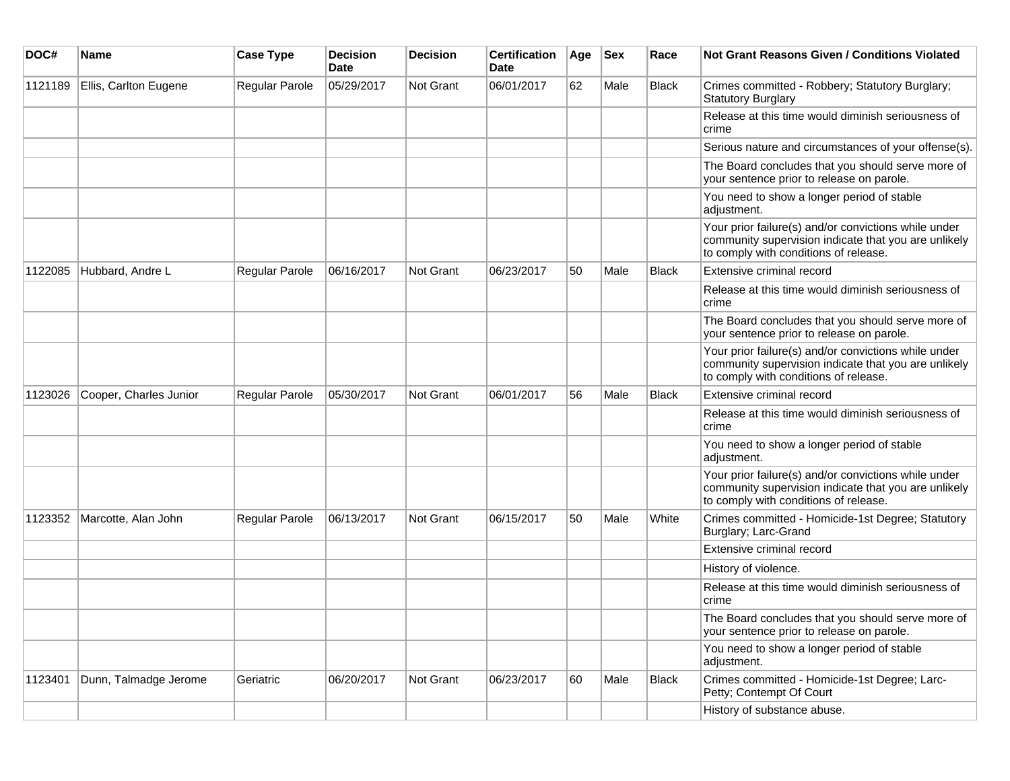| DOC#    | <b>Name</b>            | <b>Case Type</b>      | <b>Decision</b><br><b>Date</b> | <b>Decision</b> | <b>Certification</b><br><b>Date</b> | Age | <b>Sex</b> | Race         | <b>Not Grant Reasons Given / Conditions Violated</b>                                                                                                  |
|---------|------------------------|-----------------------|--------------------------------|-----------------|-------------------------------------|-----|------------|--------------|-------------------------------------------------------------------------------------------------------------------------------------------------------|
| 1121189 | Ellis, Carlton Eugene  | Regular Parole        | 05/29/2017                     | Not Grant       | 06/01/2017                          | 62  | Male       | <b>Black</b> | Crimes committed - Robbery; Statutory Burglary;<br><b>Statutory Burglary</b>                                                                          |
|         |                        |                       |                                |                 |                                     |     |            |              | Release at this time would diminish seriousness of<br>crime                                                                                           |
|         |                        |                       |                                |                 |                                     |     |            |              | Serious nature and circumstances of your offense(s).                                                                                                  |
|         |                        |                       |                                |                 |                                     |     |            |              | The Board concludes that you should serve more of<br>your sentence prior to release on parole.                                                        |
|         |                        |                       |                                |                 |                                     |     |            |              | You need to show a longer period of stable<br>adjustment.                                                                                             |
|         |                        |                       |                                |                 |                                     |     |            |              | Your prior failure(s) and/or convictions while under<br>community supervision indicate that you are unlikely<br>to comply with conditions of release. |
| 1122085 | Hubbard, Andre L       | Regular Parole        | 06/16/2017                     | Not Grant       | 06/23/2017                          | 50  | Male       | <b>Black</b> | Extensive criminal record                                                                                                                             |
|         |                        |                       |                                |                 |                                     |     |            |              | Release at this time would diminish seriousness of<br>crime                                                                                           |
|         |                        |                       |                                |                 |                                     |     |            |              | The Board concludes that you should serve more of<br>your sentence prior to release on parole.                                                        |
|         |                        |                       |                                |                 |                                     |     |            |              | Your prior failure(s) and/or convictions while under<br>community supervision indicate that you are unlikely<br>to comply with conditions of release. |
| 1123026 | Cooper, Charles Junior | Regular Parole        | 05/30/2017                     | Not Grant       | 06/01/2017                          | 56  | Male       | Black        | Extensive criminal record                                                                                                                             |
|         |                        |                       |                                |                 |                                     |     |            |              | Release at this time would diminish seriousness of<br>crime                                                                                           |
|         |                        |                       |                                |                 |                                     |     |            |              | You need to show a longer period of stable<br>adjustment.                                                                                             |
|         |                        |                       |                                |                 |                                     |     |            |              | Your prior failure(s) and/or convictions while under<br>community supervision indicate that you are unlikely<br>to comply with conditions of release. |
| 1123352 | Marcotte, Alan John    | <b>Regular Parole</b> | 06/13/2017                     | Not Grant       | 06/15/2017                          | 50  | Male       | White        | Crimes committed - Homicide-1st Degree; Statutory<br>Burglary; Larc-Grand                                                                             |
|         |                        |                       |                                |                 |                                     |     |            |              | Extensive criminal record                                                                                                                             |
|         |                        |                       |                                |                 |                                     |     |            |              | History of violence.                                                                                                                                  |
|         |                        |                       |                                |                 |                                     |     |            |              | Release at this time would diminish seriousness of<br>crime                                                                                           |
|         |                        |                       |                                |                 |                                     |     |            |              | The Board concludes that you should serve more of<br>your sentence prior to release on parole.                                                        |
|         |                        |                       |                                |                 |                                     |     |            |              | You need to show a longer period of stable<br>adjustment.                                                                                             |
| 1123401 | Dunn, Talmadge Jerome  | Geriatric             | 06/20/2017                     | Not Grant       | 06/23/2017                          | 60  | Male       | Black        | Crimes committed - Homicide-1st Degree; Larc-<br>Petty; Contempt Of Court                                                                             |
|         |                        |                       |                                |                 |                                     |     |            |              | History of substance abuse.                                                                                                                           |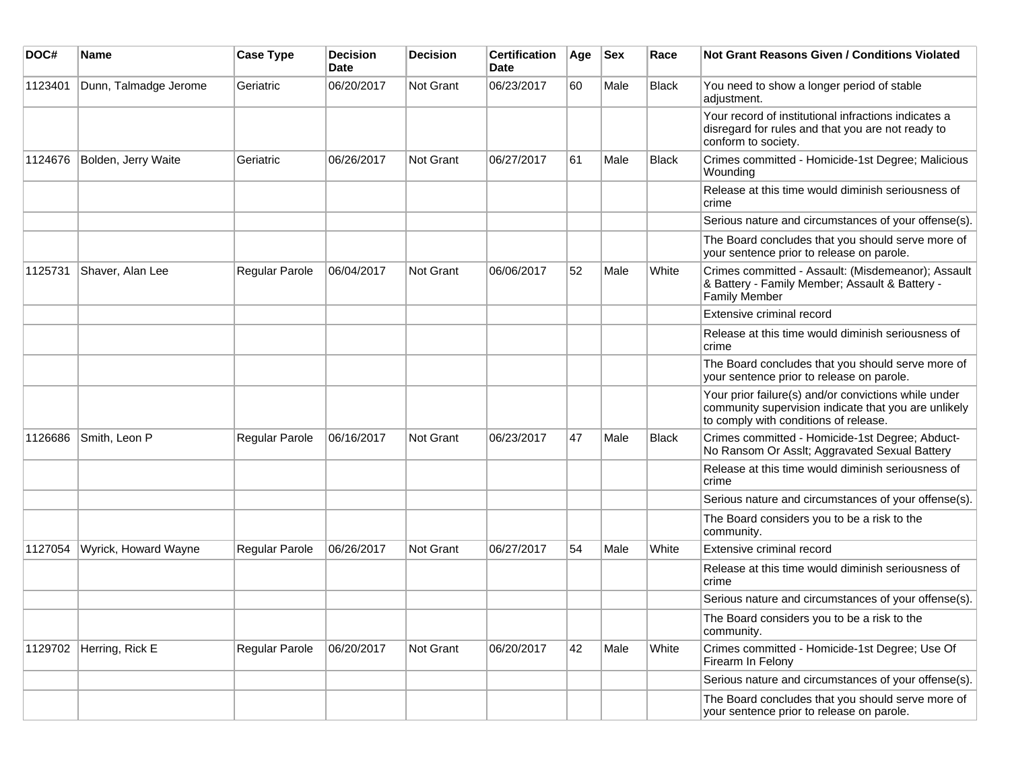| DOC#    | <b>Name</b>           | <b>Case Type</b> | <b>Decision</b><br>Date | <b>Decision</b>  | <b>Certification</b><br>Date | Age | <b>Sex</b> | Race         | Not Grant Reasons Given / Conditions Violated                                                                                                         |
|---------|-----------------------|------------------|-------------------------|------------------|------------------------------|-----|------------|--------------|-------------------------------------------------------------------------------------------------------------------------------------------------------|
| 1123401 | Dunn, Talmadge Jerome | Geriatric        | 06/20/2017              | Not Grant        | 06/23/2017                   | 60  | Male       | <b>Black</b> | You need to show a longer period of stable<br>adjustment.                                                                                             |
|         |                       |                  |                         |                  |                              |     |            |              | Your record of institutional infractions indicates a<br>disregard for rules and that you are not ready to<br>conform to society.                      |
| 1124676 | Bolden, Jerry Waite   | Geriatric        | 06/26/2017              | Not Grant        | 06/27/2017                   | 61  | Male       | <b>Black</b> | Crimes committed - Homicide-1st Degree; Malicious<br>Wounding                                                                                         |
|         |                       |                  |                         |                  |                              |     |            |              | Release at this time would diminish seriousness of<br>crime                                                                                           |
|         |                       |                  |                         |                  |                              |     |            |              | Serious nature and circumstances of your offense(s).                                                                                                  |
|         |                       |                  |                         |                  |                              |     |            |              | The Board concludes that you should serve more of<br>your sentence prior to release on parole.                                                        |
| 1125731 | Shaver, Alan Lee      | Regular Parole   | 06/04/2017              | <b>Not Grant</b> | 06/06/2017                   | 52  | Male       | White        | Crimes committed - Assault: (Misdemeanor); Assault<br>& Battery - Family Member; Assault & Battery -<br><b>Family Member</b>                          |
|         |                       |                  |                         |                  |                              |     |            |              | Extensive criminal record                                                                                                                             |
|         |                       |                  |                         |                  |                              |     |            |              | Release at this time would diminish seriousness of<br>crime                                                                                           |
|         |                       |                  |                         |                  |                              |     |            |              | The Board concludes that you should serve more of<br>your sentence prior to release on parole.                                                        |
|         |                       |                  |                         |                  |                              |     |            |              | Your prior failure(s) and/or convictions while under<br>community supervision indicate that you are unlikely<br>to comply with conditions of release. |
| 1126686 | Smith, Leon P         | Regular Parole   | 06/16/2017              | <b>Not Grant</b> | 06/23/2017                   | 47  | Male       | Black        | Crimes committed - Homicide-1st Degree; Abduct-<br>No Ransom Or Asslt; Aggravated Sexual Battery                                                      |
|         |                       |                  |                         |                  |                              |     |            |              | Release at this time would diminish seriousness of<br>crime                                                                                           |
|         |                       |                  |                         |                  |                              |     |            |              | Serious nature and circumstances of your offense(s).                                                                                                  |
|         |                       |                  |                         |                  |                              |     |            |              | The Board considers you to be a risk to the<br>community.                                                                                             |
| 1127054 | Wyrick, Howard Wayne  | Regular Parole   | 06/26/2017              | <b>Not Grant</b> | 06/27/2017                   | 54  | Male       | White        | Extensive criminal record                                                                                                                             |
|         |                       |                  |                         |                  |                              |     |            |              | Release at this time would diminish seriousness of<br>crime                                                                                           |
|         |                       |                  |                         |                  |                              |     |            |              | Serious nature and circumstances of your offense(s).                                                                                                  |
|         |                       |                  |                         |                  |                              |     |            |              | The Board considers you to be a risk to the<br>community.                                                                                             |
| 1129702 | Herring, Rick E       | Regular Parole   | 06/20/2017              | Not Grant        | 06/20/2017                   | 42  | Male       | White        | Crimes committed - Homicide-1st Degree; Use Of<br>Firearm In Felony                                                                                   |
|         |                       |                  |                         |                  |                              |     |            |              | Serious nature and circumstances of your offense(s).                                                                                                  |
|         |                       |                  |                         |                  |                              |     |            |              | The Board concludes that you should serve more of<br>your sentence prior to release on parole.                                                        |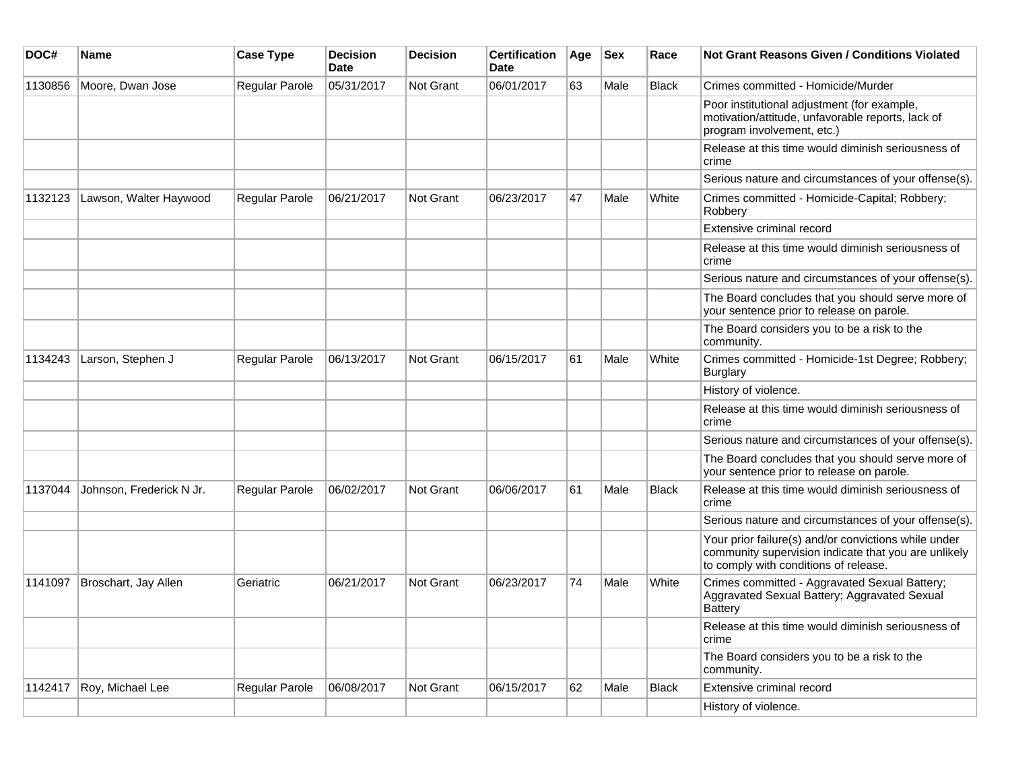| DOC#    | <b>Name</b>              | <b>Case Type</b>      | <b>Decision</b><br><b>Date</b> | <b>Decision</b>  | <b>Certification</b><br>Date | Age | <b>Sex</b> | Race         | <b>Not Grant Reasons Given / Conditions Violated</b>                                                                                                  |
|---------|--------------------------|-----------------------|--------------------------------|------------------|------------------------------|-----|------------|--------------|-------------------------------------------------------------------------------------------------------------------------------------------------------|
| 1130856 | Moore, Dwan Jose         | Regular Parole        | 05/31/2017                     | <b>Not Grant</b> | 06/01/2017                   | 63  | Male       | <b>Black</b> | Crimes committed - Homicide/Murder                                                                                                                    |
|         |                          |                       |                                |                  |                              |     |            |              | Poor institutional adjustment (for example,<br>motivation/attitude, unfavorable reports, lack of<br>program involvement, etc.)                        |
|         |                          |                       |                                |                  |                              |     |            |              | Release at this time would diminish seriousness of<br>crime                                                                                           |
|         |                          |                       |                                |                  |                              |     |            |              | Serious nature and circumstances of your offense(s).                                                                                                  |
| 1132123 | Lawson, Walter Haywood   | <b>Regular Parole</b> | 06/21/2017                     | <b>Not Grant</b> | 06/23/2017                   | 47  | Male       | White        | Crimes committed - Homicide-Capital; Robbery;<br>Robbery                                                                                              |
|         |                          |                       |                                |                  |                              |     |            |              | Extensive criminal record                                                                                                                             |
|         |                          |                       |                                |                  |                              |     |            |              | Release at this time would diminish seriousness of<br>crime                                                                                           |
|         |                          |                       |                                |                  |                              |     |            |              | Serious nature and circumstances of your offense(s).                                                                                                  |
|         |                          |                       |                                |                  |                              |     |            |              | The Board concludes that you should serve more of<br>your sentence prior to release on parole.                                                        |
|         |                          |                       |                                |                  |                              |     |            |              | The Board considers you to be a risk to the<br>community.                                                                                             |
| 1134243 | Larson, Stephen J        | Regular Parole        | 06/13/2017                     | Not Grant        | 06/15/2017                   | 61  | Male       | White        | Crimes committed - Homicide-1st Degree; Robbery;<br>Burglary                                                                                          |
|         |                          |                       |                                |                  |                              |     |            |              | History of violence.                                                                                                                                  |
|         |                          |                       |                                |                  |                              |     |            |              | Release at this time would diminish seriousness of<br>crime                                                                                           |
|         |                          |                       |                                |                  |                              |     |            |              | Serious nature and circumstances of your offense(s).                                                                                                  |
|         |                          |                       |                                |                  |                              |     |            |              | The Board concludes that you should serve more of<br>your sentence prior to release on parole.                                                        |
| 1137044 | Johnson, Frederick N Jr. | Regular Parole        | 06/02/2017                     | Not Grant        | 06/06/2017                   | 61  | Male       | <b>Black</b> | Release at this time would diminish seriousness of<br>crime                                                                                           |
|         |                          |                       |                                |                  |                              |     |            |              | Serious nature and circumstances of your offense(s).                                                                                                  |
|         |                          |                       |                                |                  |                              |     |            |              | Your prior failure(s) and/or convictions while under<br>community supervision indicate that you are unlikely<br>to comply with conditions of release. |
| 1141097 | Broschart, Jay Allen     | Geriatric             | 06/21/2017                     | <b>Not Grant</b> | 06/23/2017                   | 74  | Male       | White        | Crimes committed - Aggravated Sexual Battery;<br>Aggravated Sexual Battery; Aggravated Sexual<br><b>Battery</b>                                       |
|         |                          |                       |                                |                  |                              |     |            |              | Release at this time would diminish seriousness of<br>crime                                                                                           |
|         |                          |                       |                                |                  |                              |     |            |              | The Board considers you to be a risk to the<br>community.                                                                                             |
| 1142417 | Roy, Michael Lee         | Regular Parole        | 06/08/2017                     | Not Grant        | 06/15/2017                   | 62  | Male       | Black        | Extensive criminal record                                                                                                                             |
|         |                          |                       |                                |                  |                              |     |            |              | History of violence.                                                                                                                                  |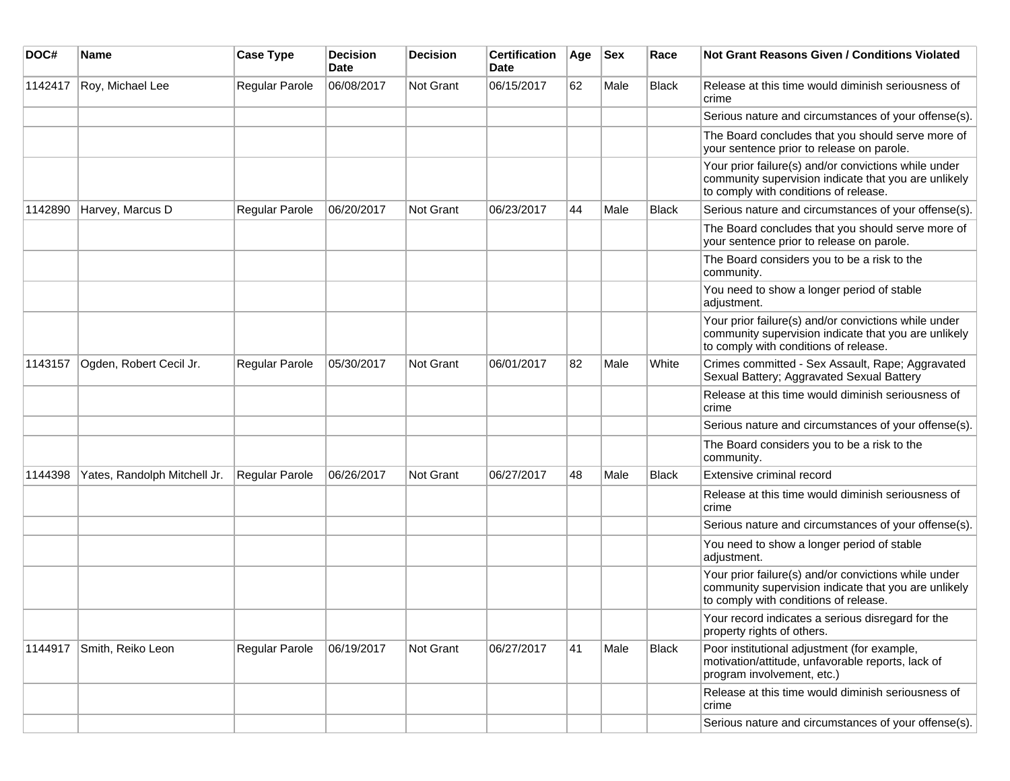| DOC#    | <b>Name</b>                  | <b>Case Type</b>      | <b>Decision</b><br>Date | <b>Decision</b> | <b>Certification</b><br>Date | Age | <b>Sex</b> | Race         | Not Grant Reasons Given / Conditions Violated                                                                                                         |
|---------|------------------------------|-----------------------|-------------------------|-----------------|------------------------------|-----|------------|--------------|-------------------------------------------------------------------------------------------------------------------------------------------------------|
| 1142417 | Roy, Michael Lee             | Regular Parole        | 06/08/2017              | Not Grant       | 06/15/2017                   | 62  | Male       | Black        | Release at this time would diminish seriousness of<br>crime                                                                                           |
|         |                              |                       |                         |                 |                              |     |            |              | Serious nature and circumstances of your offense(s).                                                                                                  |
|         |                              |                       |                         |                 |                              |     |            |              | The Board concludes that you should serve more of<br>your sentence prior to release on parole.                                                        |
|         |                              |                       |                         |                 |                              |     |            |              | Your prior failure(s) and/or convictions while under<br>community supervision indicate that you are unlikely<br>to comply with conditions of release. |
| 1142890 | Harvey, Marcus D             | Regular Parole        | 06/20/2017              | Not Grant       | 06/23/2017                   | 44  | Male       | Black        | Serious nature and circumstances of your offense(s).                                                                                                  |
|         |                              |                       |                         |                 |                              |     |            |              | The Board concludes that you should serve more of<br>your sentence prior to release on parole.                                                        |
|         |                              |                       |                         |                 |                              |     |            |              | The Board considers you to be a risk to the<br>community.                                                                                             |
|         |                              |                       |                         |                 |                              |     |            |              | You need to show a longer period of stable<br>adjustment.                                                                                             |
|         |                              |                       |                         |                 |                              |     |            |              | Your prior failure(s) and/or convictions while under<br>community supervision indicate that you are unlikely<br>to comply with conditions of release. |
| 1143157 | Ogden, Robert Cecil Jr.      | <b>Regular Parole</b> | 05/30/2017              | Not Grant       | 06/01/2017                   | 82  | Male       | White        | Crimes committed - Sex Assault, Rape; Aggravated<br>Sexual Battery; Aggravated Sexual Battery                                                         |
|         |                              |                       |                         |                 |                              |     |            |              | Release at this time would diminish seriousness of<br>crime                                                                                           |
|         |                              |                       |                         |                 |                              |     |            |              | Serious nature and circumstances of your offense(s).                                                                                                  |
|         |                              |                       |                         |                 |                              |     |            |              | The Board considers you to be a risk to the<br>community.                                                                                             |
| 1144398 | Yates, Randolph Mitchell Jr. | Regular Parole        | 06/26/2017              | Not Grant       | 06/27/2017                   | 48  | Male       | Black        | Extensive criminal record                                                                                                                             |
|         |                              |                       |                         |                 |                              |     |            |              | Release at this time would diminish seriousness of<br>crime                                                                                           |
|         |                              |                       |                         |                 |                              |     |            |              | Serious nature and circumstances of your offense(s).                                                                                                  |
|         |                              |                       |                         |                 |                              |     |            |              | You need to show a longer period of stable<br>adjustment.                                                                                             |
|         |                              |                       |                         |                 |                              |     |            |              | Your prior failure(s) and/or convictions while under<br>community supervision indicate that you are unlikely<br>to comply with conditions of release. |
|         |                              |                       |                         |                 |                              |     |            |              | Your record indicates a serious disregard for the<br>property rights of others.                                                                       |
| 1144917 | Smith, Reiko Leon            | Regular Parole        | 06/19/2017              | Not Grant       | 06/27/2017                   | 41  | Male       | <b>Black</b> | Poor institutional adjustment (for example,<br>motivation/attitude, unfavorable reports, lack of<br>program involvement, etc.)                        |
|         |                              |                       |                         |                 |                              |     |            |              | Release at this time would diminish seriousness of<br>crime                                                                                           |
|         |                              |                       |                         |                 |                              |     |            |              | Serious nature and circumstances of your offense(s).                                                                                                  |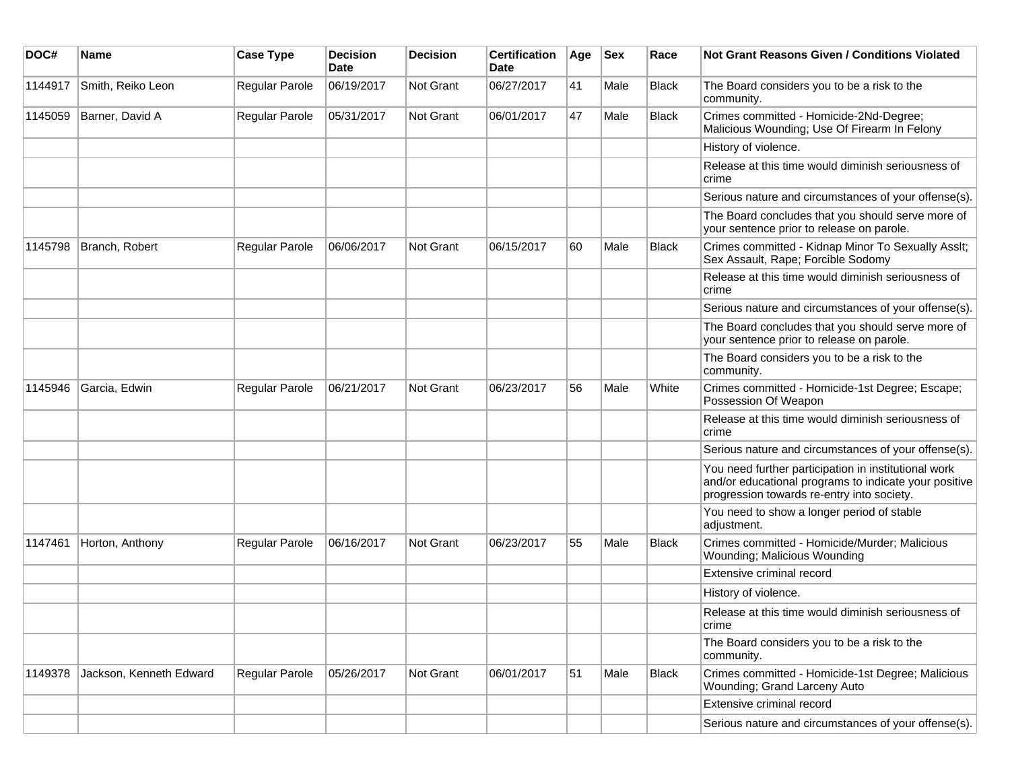| DOC#    | <b>Name</b>             | <b>Case Type</b> | <b>Decision</b><br><b>Date</b> | <b>Decision</b>  | <b>Certification</b><br>Date | Age | <b>Sex</b> | Race         | <b>Not Grant Reasons Given / Conditions Violated</b>                                                                                                        |
|---------|-------------------------|------------------|--------------------------------|------------------|------------------------------|-----|------------|--------------|-------------------------------------------------------------------------------------------------------------------------------------------------------------|
| 1144917 | Smith, Reiko Leon       | Regular Parole   | 06/19/2017                     | <b>Not Grant</b> | 06/27/2017                   | 41  | Male       | <b>Black</b> | The Board considers you to be a risk to the<br>community.                                                                                                   |
| 1145059 | Barner, David A         | Regular Parole   | 05/31/2017                     | Not Grant        | 06/01/2017                   | 47  | Male       | <b>Black</b> | Crimes committed - Homicide-2Nd-Degree;<br>Malicious Wounding; Use Of Firearm In Felony                                                                     |
|         |                         |                  |                                |                  |                              |     |            |              | History of violence.                                                                                                                                        |
|         |                         |                  |                                |                  |                              |     |            |              | Release at this time would diminish seriousness of<br>crime                                                                                                 |
|         |                         |                  |                                |                  |                              |     |            |              | Serious nature and circumstances of your offense(s).                                                                                                        |
|         |                         |                  |                                |                  |                              |     |            |              | The Board concludes that you should serve more of<br>your sentence prior to release on parole.                                                              |
| 1145798 | Branch, Robert          | Regular Parole   | 06/06/2017                     | <b>Not Grant</b> | 06/15/2017                   | 60  | Male       | Black        | Crimes committed - Kidnap Minor To Sexually Asslt;<br>Sex Assault, Rape; Forcible Sodomy                                                                    |
|         |                         |                  |                                |                  |                              |     |            |              | Release at this time would diminish seriousness of<br>crime                                                                                                 |
|         |                         |                  |                                |                  |                              |     |            |              | Serious nature and circumstances of your offense(s).                                                                                                        |
|         |                         |                  |                                |                  |                              |     |            |              | The Board concludes that you should serve more of<br>your sentence prior to release on parole.                                                              |
|         |                         |                  |                                |                  |                              |     |            |              | The Board considers you to be a risk to the<br>community.                                                                                                   |
| 1145946 | Garcia, Edwin           | Regular Parole   | 06/21/2017                     | Not Grant        | 06/23/2017                   | 56  | Male       | White        | Crimes committed - Homicide-1st Degree; Escape;<br>Possession Of Weapon                                                                                     |
|         |                         |                  |                                |                  |                              |     |            |              | Release at this time would diminish seriousness of<br>crime                                                                                                 |
|         |                         |                  |                                |                  |                              |     |            |              | Serious nature and circumstances of your offense(s).                                                                                                        |
|         |                         |                  |                                |                  |                              |     |            |              | You need further participation in institutional work<br>and/or educational programs to indicate your positive<br>progression towards re-entry into society. |
|         |                         |                  |                                |                  |                              |     |            |              | You need to show a longer period of stable<br>adjustment.                                                                                                   |
| 1147461 | Horton, Anthony         | Regular Parole   | 06/16/2017                     | Not Grant        | 06/23/2017                   | 55  | Male       | Black        | Crimes committed - Homicide/Murder; Malicious<br>Wounding; Malicious Wounding                                                                               |
|         |                         |                  |                                |                  |                              |     |            |              | Extensive criminal record                                                                                                                                   |
|         |                         |                  |                                |                  |                              |     |            |              | History of violence.                                                                                                                                        |
|         |                         |                  |                                |                  |                              |     |            |              | Release at this time would diminish seriousness of<br>crime                                                                                                 |
|         |                         |                  |                                |                  |                              |     |            |              | The Board considers you to be a risk to the<br>community.                                                                                                   |
| 1149378 | Jackson, Kenneth Edward | Regular Parole   | 05/26/2017                     | Not Grant        | 06/01/2017                   | 51  | Male       | <b>Black</b> | Crimes committed - Homicide-1st Degree; Malicious<br>Wounding; Grand Larceny Auto                                                                           |
|         |                         |                  |                                |                  |                              |     |            |              | Extensive criminal record                                                                                                                                   |
|         |                         |                  |                                |                  |                              |     |            |              | Serious nature and circumstances of your offense(s).                                                                                                        |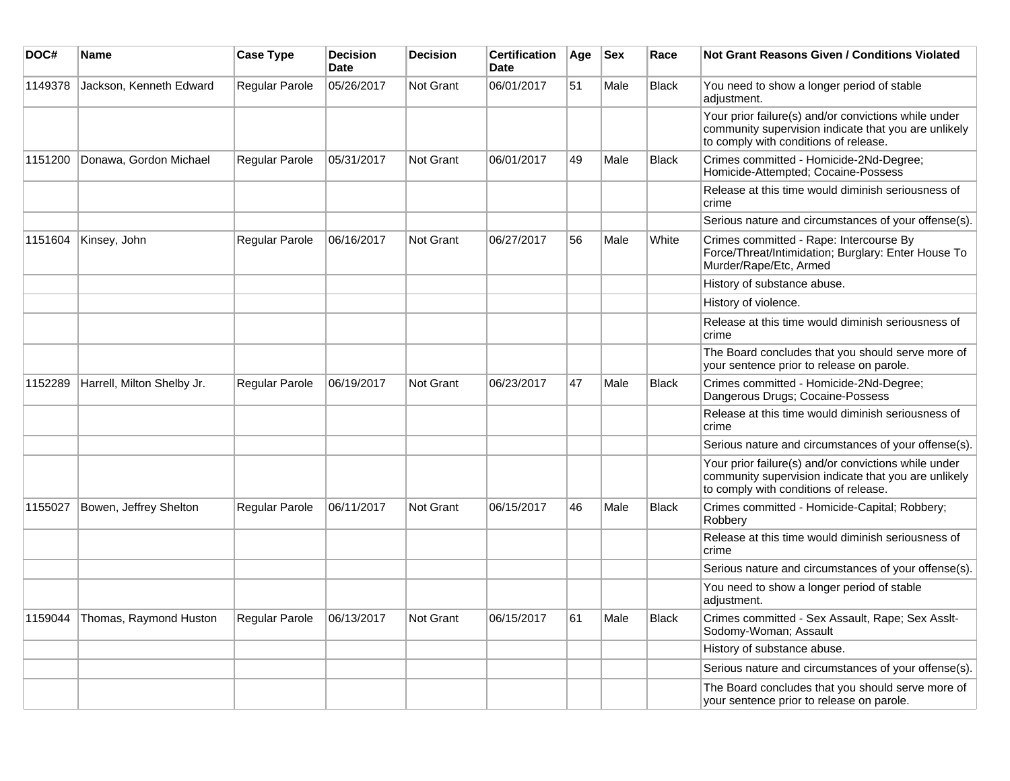| DOC#    | <b>Name</b>                | <b>Case Type</b>      | <b>Decision</b><br><b>Date</b> | <b>Decision</b>  | <b>Certification</b><br><b>Date</b> | Age | <b>Sex</b> | Race         | <b>Not Grant Reasons Given / Conditions Violated</b>                                                                                                  |
|---------|----------------------------|-----------------------|--------------------------------|------------------|-------------------------------------|-----|------------|--------------|-------------------------------------------------------------------------------------------------------------------------------------------------------|
| 1149378 | Jackson, Kenneth Edward    | Regular Parole        | 05/26/2017                     | <b>Not Grant</b> | 06/01/2017                          | 51  | Male       | <b>Black</b> | You need to show a longer period of stable<br>adjustment.                                                                                             |
|         |                            |                       |                                |                  |                                     |     |            |              | Your prior failure(s) and/or convictions while under<br>community supervision indicate that you are unlikely<br>to comply with conditions of release. |
| 1151200 | Donawa, Gordon Michael     | Regular Parole        | 05/31/2017                     | Not Grant        | 06/01/2017                          | 49  | Male       | Black        | Crimes committed - Homicide-2Nd-Degree;<br>Homicide-Attempted; Cocaine-Possess                                                                        |
|         |                            |                       |                                |                  |                                     |     |            |              | Release at this time would diminish seriousness of<br>crime                                                                                           |
|         |                            |                       |                                |                  |                                     |     |            |              | Serious nature and circumstances of your offense(s).                                                                                                  |
| 1151604 | Kinsey, John               | <b>Regular Parole</b> | 06/16/2017                     | <b>Not Grant</b> | 06/27/2017                          | 56  | Male       | White        | Crimes committed - Rape: Intercourse By<br>Force/Threat/Intimidation; Burglary: Enter House To<br>Murder/Rape/Etc, Armed                              |
|         |                            |                       |                                |                  |                                     |     |            |              | History of substance abuse.                                                                                                                           |
|         |                            |                       |                                |                  |                                     |     |            |              | History of violence.                                                                                                                                  |
|         |                            |                       |                                |                  |                                     |     |            |              | Release at this time would diminish seriousness of<br>crime                                                                                           |
|         |                            |                       |                                |                  |                                     |     |            |              | The Board concludes that you should serve more of<br>your sentence prior to release on parole.                                                        |
| 1152289 | Harrell, Milton Shelby Jr. | <b>Regular Parole</b> | 06/19/2017                     | <b>Not Grant</b> | 06/23/2017                          | 47  | Male       | <b>Black</b> | Crimes committed - Homicide-2Nd-Degree;<br>Dangerous Drugs; Cocaine-Possess                                                                           |
|         |                            |                       |                                |                  |                                     |     |            |              | Release at this time would diminish seriousness of<br>crime                                                                                           |
|         |                            |                       |                                |                  |                                     |     |            |              | Serious nature and circumstances of your offense(s).                                                                                                  |
|         |                            |                       |                                |                  |                                     |     |            |              | Your prior failure(s) and/or convictions while under<br>community supervision indicate that you are unlikely<br>to comply with conditions of release. |
| 1155027 | Bowen, Jeffrey Shelton     | <b>Regular Parole</b> | 06/11/2017                     | <b>Not Grant</b> | 06/15/2017                          | 46  | Male       | <b>Black</b> | Crimes committed - Homicide-Capital; Robbery;<br>Robbery                                                                                              |
|         |                            |                       |                                |                  |                                     |     |            |              | Release at this time would diminish seriousness of<br>crime                                                                                           |
|         |                            |                       |                                |                  |                                     |     |            |              | Serious nature and circumstances of your offense(s).                                                                                                  |
|         |                            |                       |                                |                  |                                     |     |            |              | You need to show a longer period of stable<br>adjustment.                                                                                             |
| 1159044 | Thomas, Raymond Huston     | <b>Regular Parole</b> | 06/13/2017                     | <b>Not Grant</b> | 06/15/2017                          | 61  | Male       | <b>Black</b> | Crimes committed - Sex Assault, Rape; Sex Asslt-<br>Sodomy-Woman; Assault                                                                             |
|         |                            |                       |                                |                  |                                     |     |            |              | History of substance abuse.                                                                                                                           |
|         |                            |                       |                                |                  |                                     |     |            |              | Serious nature and circumstances of your offense(s).                                                                                                  |
|         |                            |                       |                                |                  |                                     |     |            |              | The Board concludes that you should serve more of<br>your sentence prior to release on parole.                                                        |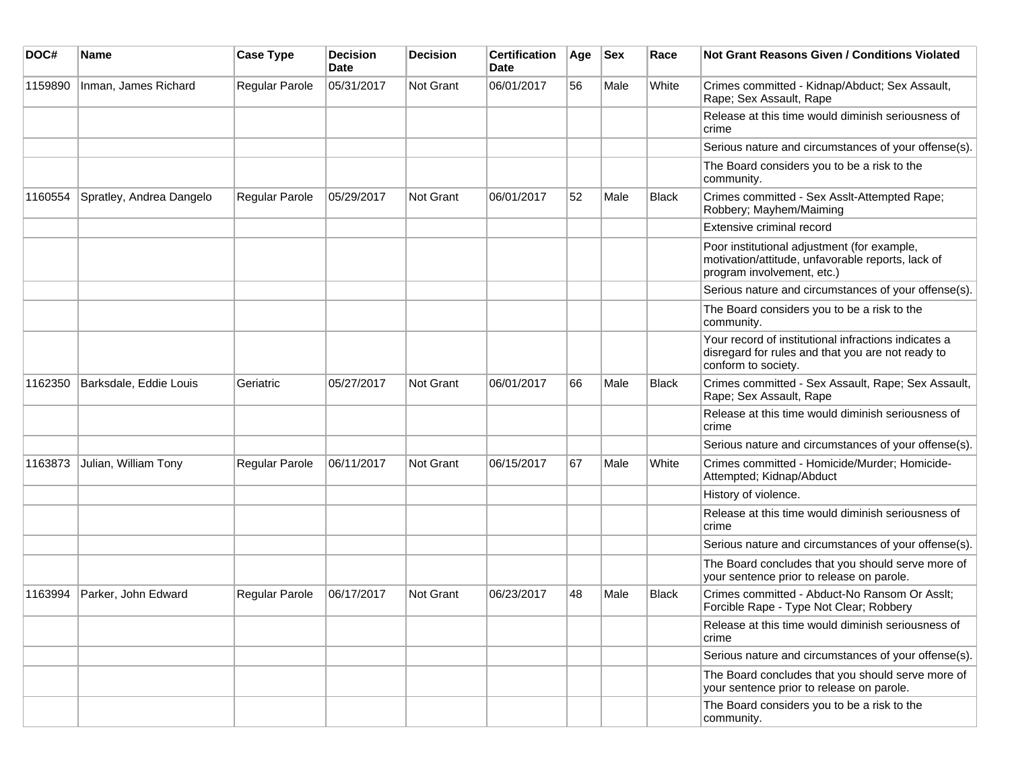| DOC#    | <b>Name</b>              | <b>Case Type</b> | <b>Decision</b><br><b>Date</b> | <b>Decision</b> | <b>Certification</b><br>Date | Age | <b>Sex</b> | Race         | <b>Not Grant Reasons Given / Conditions Violated</b>                                                                             |
|---------|--------------------------|------------------|--------------------------------|-----------------|------------------------------|-----|------------|--------------|----------------------------------------------------------------------------------------------------------------------------------|
| 1159890 | Inman, James Richard     | Regular Parole   | 05/31/2017                     | Not Grant       | 06/01/2017                   | 56  | Male       | White        | Crimes committed - Kidnap/Abduct; Sex Assault,<br>Rape; Sex Assault, Rape                                                        |
|         |                          |                  |                                |                 |                              |     |            |              | Release at this time would diminish seriousness of<br>crime                                                                      |
|         |                          |                  |                                |                 |                              |     |            |              | Serious nature and circumstances of your offense(s).                                                                             |
|         |                          |                  |                                |                 |                              |     |            |              | The Board considers you to be a risk to the<br>community.                                                                        |
| 1160554 | Spratley, Andrea Dangelo | Regular Parole   | 05/29/2017                     | Not Grant       | 06/01/2017                   | 52  | Male       | <b>Black</b> | Crimes committed - Sex Asslt-Attempted Rape;<br>Robbery; Mayhem/Maiming                                                          |
|         |                          |                  |                                |                 |                              |     |            |              | Extensive criminal record                                                                                                        |
|         |                          |                  |                                |                 |                              |     |            |              | Poor institutional adjustment (for example,<br>motivation/attitude, unfavorable reports, lack of<br>program involvement, etc.)   |
|         |                          |                  |                                |                 |                              |     |            |              | Serious nature and circumstances of your offense(s).                                                                             |
|         |                          |                  |                                |                 |                              |     |            |              | The Board considers you to be a risk to the<br>community.                                                                        |
|         |                          |                  |                                |                 |                              |     |            |              | Your record of institutional infractions indicates a<br>disregard for rules and that you are not ready to<br>conform to society. |
| 1162350 | Barksdale, Eddie Louis   | Geriatric        | 05/27/2017                     | Not Grant       | 06/01/2017                   | 66  | Male       | <b>Black</b> | Crimes committed - Sex Assault, Rape; Sex Assault,<br>Rape; Sex Assault, Rape                                                    |
|         |                          |                  |                                |                 |                              |     |            |              | Release at this time would diminish seriousness of<br>crime                                                                      |
|         |                          |                  |                                |                 |                              |     |            |              | Serious nature and circumstances of your offense(s).                                                                             |
| 1163873 | Julian, William Tony     | Regular Parole   | 06/11/2017                     | Not Grant       | 06/15/2017                   | 67  | Male       | White        | Crimes committed - Homicide/Murder; Homicide-<br>Attempted; Kidnap/Abduct                                                        |
|         |                          |                  |                                |                 |                              |     |            |              | History of violence.                                                                                                             |
|         |                          |                  |                                |                 |                              |     |            |              | Release at this time would diminish seriousness of<br>crime                                                                      |
|         |                          |                  |                                |                 |                              |     |            |              | Serious nature and circumstances of your offense(s).                                                                             |
|         |                          |                  |                                |                 |                              |     |            |              | The Board concludes that you should serve more of<br>your sentence prior to release on parole.                                   |
| 1163994 | Parker, John Edward      | Regular Parole   | 06/17/2017                     | Not Grant       | 06/23/2017                   | 48  | Male       | <b>Black</b> | Crimes committed - Abduct-No Ransom Or Asslt;<br>Forcible Rape - Type Not Clear; Robbery                                         |
|         |                          |                  |                                |                 |                              |     |            |              | Release at this time would diminish seriousness of<br>crime                                                                      |
|         |                          |                  |                                |                 |                              |     |            |              | Serious nature and circumstances of your offense(s).                                                                             |
|         |                          |                  |                                |                 |                              |     |            |              | The Board concludes that you should serve more of<br>your sentence prior to release on parole.                                   |
|         |                          |                  |                                |                 |                              |     |            |              | The Board considers you to be a risk to the<br>community.                                                                        |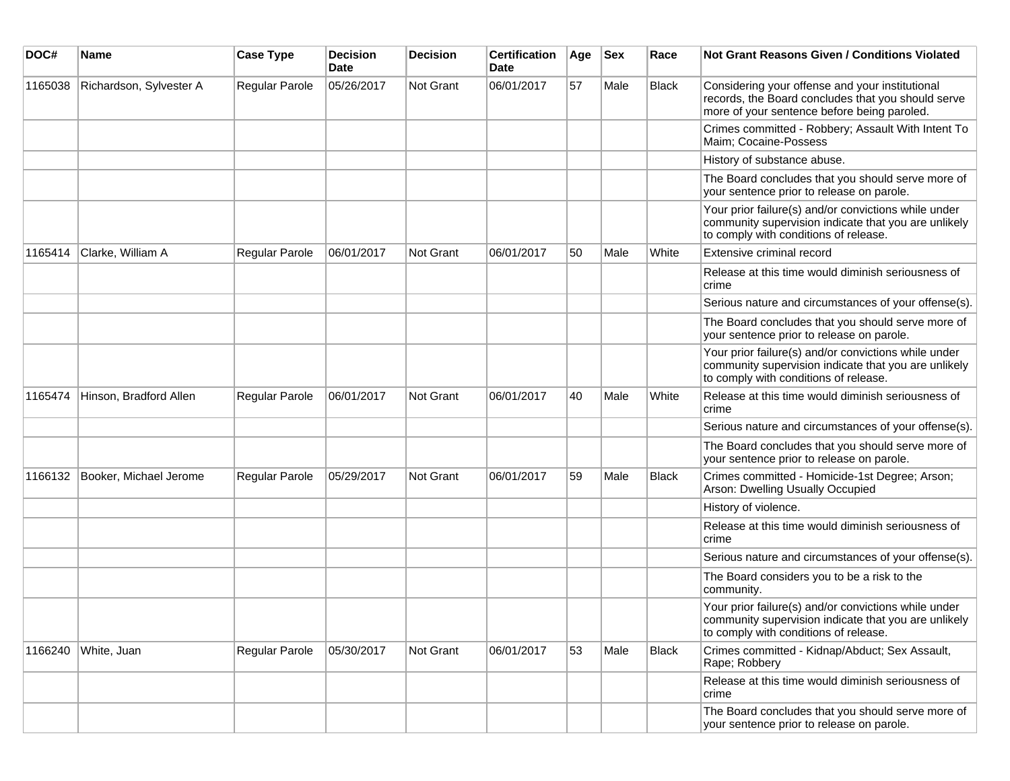| DOC#    | Name                    | <b>Case Type</b> | <b>Decision</b><br><b>Date</b> | <b>Decision</b> | <b>Certification</b><br>Date | Age | <b>Sex</b> | Race         | Not Grant Reasons Given / Conditions Violated                                                                                                         |
|---------|-------------------------|------------------|--------------------------------|-----------------|------------------------------|-----|------------|--------------|-------------------------------------------------------------------------------------------------------------------------------------------------------|
| 1165038 | Richardson, Sylvester A | Regular Parole   | 05/26/2017                     | Not Grant       | 06/01/2017                   | 57  | Male       | Black        | Considering your offense and your institutional<br>records, the Board concludes that you should serve<br>more of your sentence before being paroled.  |
|         |                         |                  |                                |                 |                              |     |            |              | Crimes committed - Robbery; Assault With Intent To<br>Maim; Cocaine-Possess                                                                           |
|         |                         |                  |                                |                 |                              |     |            |              | History of substance abuse.                                                                                                                           |
|         |                         |                  |                                |                 |                              |     |            |              | The Board concludes that you should serve more of<br>your sentence prior to release on parole.                                                        |
|         |                         |                  |                                |                 |                              |     |            |              | Your prior failure(s) and/or convictions while under<br>community supervision indicate that you are unlikely<br>to comply with conditions of release. |
| 1165414 | Clarke, William A       | Regular Parole   | 06/01/2017                     | Not Grant       | 06/01/2017                   | 50  | Male       | White        | Extensive criminal record                                                                                                                             |
|         |                         |                  |                                |                 |                              |     |            |              | Release at this time would diminish seriousness of<br>crime                                                                                           |
|         |                         |                  |                                |                 |                              |     |            |              | Serious nature and circumstances of your offense(s).                                                                                                  |
|         |                         |                  |                                |                 |                              |     |            |              | The Board concludes that you should serve more of<br>your sentence prior to release on parole.                                                        |
|         |                         |                  |                                |                 |                              |     |            |              | Your prior failure(s) and/or convictions while under<br>community supervision indicate that you are unlikely<br>to comply with conditions of release. |
| 1165474 | Hinson, Bradford Allen  | Regular Parole   | 06/01/2017                     | Not Grant       | 06/01/2017                   | 40  | Male       | White        | Release at this time would diminish seriousness of<br>crime                                                                                           |
|         |                         |                  |                                |                 |                              |     |            |              | Serious nature and circumstances of your offense(s).                                                                                                  |
|         |                         |                  |                                |                 |                              |     |            |              | The Board concludes that you should serve more of<br>your sentence prior to release on parole.                                                        |
| 1166132 | Booker, Michael Jerome  | Regular Parole   | 05/29/2017                     | Not Grant       | 06/01/2017                   | 59  | Male       | <b>Black</b> | Crimes committed - Homicide-1st Degree; Arson;<br>Arson: Dwelling Usually Occupied                                                                    |
|         |                         |                  |                                |                 |                              |     |            |              | History of violence.                                                                                                                                  |
|         |                         |                  |                                |                 |                              |     |            |              | Release at this time would diminish seriousness of<br>crime                                                                                           |
|         |                         |                  |                                |                 |                              |     |            |              | Serious nature and circumstances of your offense(s).                                                                                                  |
|         |                         |                  |                                |                 |                              |     |            |              | The Board considers you to be a risk to the<br>community.                                                                                             |
|         |                         |                  |                                |                 |                              |     |            |              | Your prior failure(s) and/or convictions while under<br>community supervision indicate that you are unlikely<br>to comply with conditions of release. |
| 1166240 | White, Juan             | Regular Parole   | 05/30/2017                     | Not Grant       | 06/01/2017                   | 53  | Male       | Black        | Crimes committed - Kidnap/Abduct; Sex Assault,<br>Rape; Robbery                                                                                       |
|         |                         |                  |                                |                 |                              |     |            |              | Release at this time would diminish seriousness of<br>crime                                                                                           |
|         |                         |                  |                                |                 |                              |     |            |              | The Board concludes that you should serve more of<br>your sentence prior to release on parole.                                                        |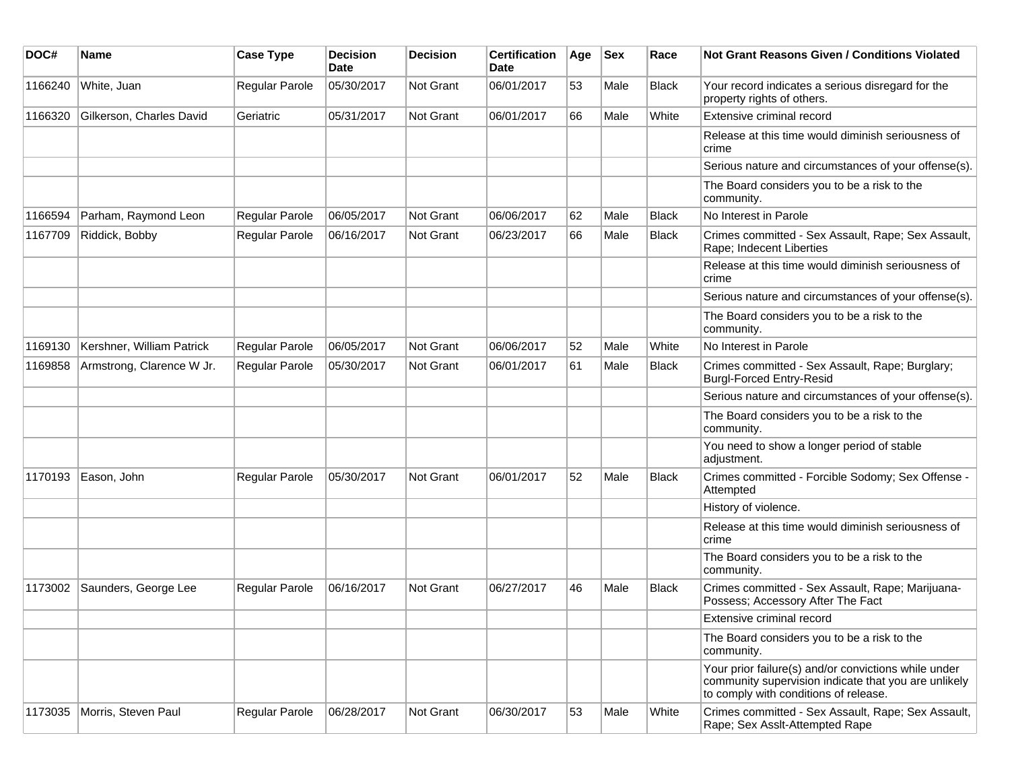| DOC#    | <b>Name</b>               | <b>Case Type</b>      | <b>Decision</b><br>Date | <b>Decision</b>  | <b>Certification</b><br>Date | Age | <b>Sex</b> | Race         | Not Grant Reasons Given / Conditions Violated                                                                                                         |
|---------|---------------------------|-----------------------|-------------------------|------------------|------------------------------|-----|------------|--------------|-------------------------------------------------------------------------------------------------------------------------------------------------------|
| 1166240 | White, Juan               | Regular Parole        | 05/30/2017              | Not Grant        | 06/01/2017                   | 53  | Male       | <b>Black</b> | Your record indicates a serious disregard for the<br>property rights of others.                                                                       |
| 1166320 | Gilkerson, Charles David  | Geriatric             | 05/31/2017              | Not Grant        | 06/01/2017                   | 66  | Male       | White        | Extensive criminal record                                                                                                                             |
|         |                           |                       |                         |                  |                              |     |            |              | Release at this time would diminish seriousness of<br>crime                                                                                           |
|         |                           |                       |                         |                  |                              |     |            |              | Serious nature and circumstances of your offense(s).                                                                                                  |
|         |                           |                       |                         |                  |                              |     |            |              | The Board considers you to be a risk to the<br>community.                                                                                             |
| 1166594 | Parham, Raymond Leon      | <b>Regular Parole</b> | 06/05/2017              | Not Grant        | 06/06/2017                   | 62  | Male       | <b>Black</b> | No Interest in Parole                                                                                                                                 |
| 1167709 | Riddick, Bobby            | Regular Parole        | 06/16/2017              | Not Grant        | 06/23/2017                   | 66  | Male       | <b>Black</b> | Crimes committed - Sex Assault, Rape; Sex Assault,<br>Rape; Indecent Liberties                                                                        |
|         |                           |                       |                         |                  |                              |     |            |              | Release at this time would diminish seriousness of<br>crime                                                                                           |
|         |                           |                       |                         |                  |                              |     |            |              | Serious nature and circumstances of your offense(s).                                                                                                  |
|         |                           |                       |                         |                  |                              |     |            |              | The Board considers you to be a risk to the<br>community.                                                                                             |
| 1169130 | Kershner, William Patrick | <b>Regular Parole</b> | 06/05/2017              | Not Grant        | 06/06/2017                   | 52  | Male       | White        | No Interest in Parole                                                                                                                                 |
| 1169858 | Armstrong, Clarence W Jr. | <b>Regular Parole</b> | 05/30/2017              | <b>Not Grant</b> | 06/01/2017                   | 61  | Male       | <b>Black</b> | Crimes committed - Sex Assault, Rape; Burglary;<br><b>Burgl-Forced Entry-Resid</b>                                                                    |
|         |                           |                       |                         |                  |                              |     |            |              | Serious nature and circumstances of your offense(s).                                                                                                  |
|         |                           |                       |                         |                  |                              |     |            |              | The Board considers you to be a risk to the<br>community.                                                                                             |
|         |                           |                       |                         |                  |                              |     |            |              | You need to show a longer period of stable<br>adjustment.                                                                                             |
| 1170193 | Eason, John               | Regular Parole        | 05/30/2017              | Not Grant        | 06/01/2017                   | 52  | Male       | <b>Black</b> | Crimes committed - Forcible Sodomy; Sex Offense -<br>Attempted                                                                                        |
|         |                           |                       |                         |                  |                              |     |            |              | History of violence.                                                                                                                                  |
|         |                           |                       |                         |                  |                              |     |            |              | Release at this time would diminish seriousness of<br>crime                                                                                           |
|         |                           |                       |                         |                  |                              |     |            |              | The Board considers you to be a risk to the<br>community.                                                                                             |
| 1173002 | Saunders, George Lee      | Regular Parole        | 06/16/2017              | Not Grant        | 06/27/2017                   | 46  | Male       | <b>Black</b> | Crimes committed - Sex Assault, Rape; Marijuana-<br>Possess; Accessory After The Fact                                                                 |
|         |                           |                       |                         |                  |                              |     |            |              | Extensive criminal record                                                                                                                             |
|         |                           |                       |                         |                  |                              |     |            |              | The Board considers you to be a risk to the<br>community.                                                                                             |
|         |                           |                       |                         |                  |                              |     |            |              | Your prior failure(s) and/or convictions while under<br>community supervision indicate that you are unlikely<br>to comply with conditions of release. |
| 1173035 | Morris, Steven Paul       | Regular Parole        | 06/28/2017              | Not Grant        | 06/30/2017                   | 53  | Male       | White        | Crimes committed - Sex Assault, Rape; Sex Assault,<br>Rape; Sex Asslt-Attempted Rape                                                                  |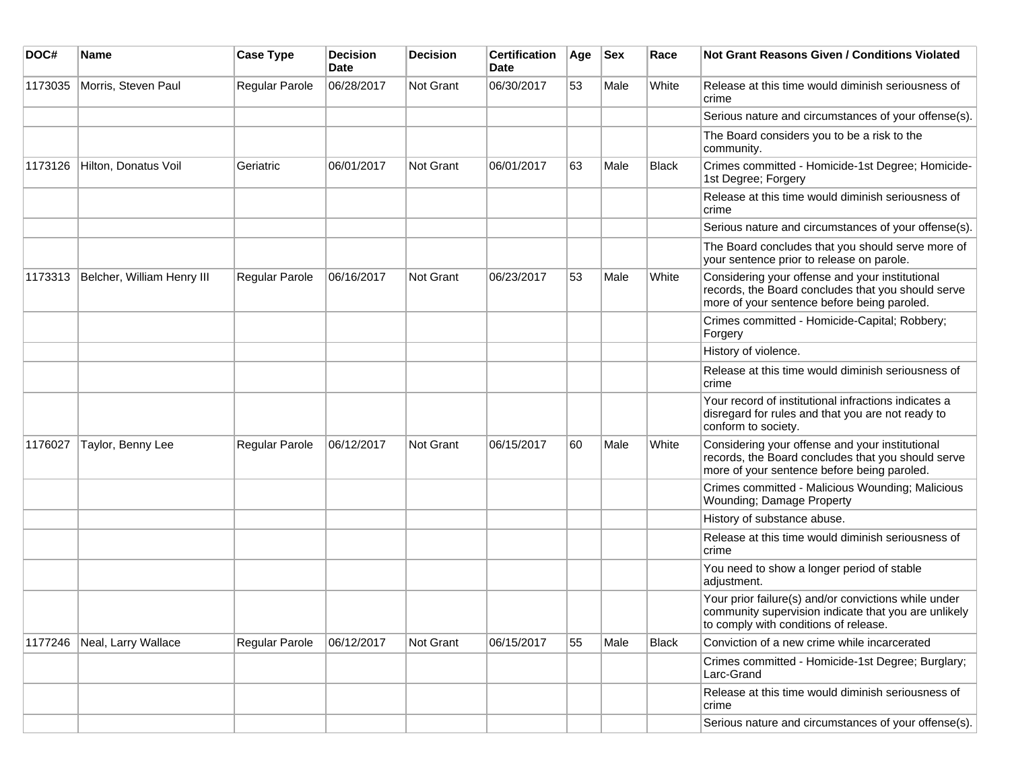| DOC#    | <b>Name</b>                | <b>Case Type</b> | <b>Decision</b><br><b>Date</b> | <b>Decision</b> | <b>Certification</b><br>Date | Age | <b>Sex</b> | Race  | <b>Not Grant Reasons Given / Conditions Violated</b>                                                                                                  |
|---------|----------------------------|------------------|--------------------------------|-----------------|------------------------------|-----|------------|-------|-------------------------------------------------------------------------------------------------------------------------------------------------------|
| 1173035 | Morris, Steven Paul        | Regular Parole   | 06/28/2017                     | Not Grant       | 06/30/2017                   | 53  | Male       | White | Release at this time would diminish seriousness of<br>crime                                                                                           |
|         |                            |                  |                                |                 |                              |     |            |       | Serious nature and circumstances of your offense(s).                                                                                                  |
|         |                            |                  |                                |                 |                              |     |            |       | The Board considers you to be a risk to the<br>community.                                                                                             |
| 1173126 | Hilton, Donatus Voil       | Geriatric        | 06/01/2017                     | Not Grant       | 06/01/2017                   | 63  | Male       | Black | Crimes committed - Homicide-1st Degree; Homicide-<br>1st Degree; Forgery                                                                              |
|         |                            |                  |                                |                 |                              |     |            |       | Release at this time would diminish seriousness of<br>crime                                                                                           |
|         |                            |                  |                                |                 |                              |     |            |       | Serious nature and circumstances of your offense(s).                                                                                                  |
|         |                            |                  |                                |                 |                              |     |            |       | The Board concludes that you should serve more of<br>your sentence prior to release on parole.                                                        |
| 1173313 | Belcher, William Henry III | Regular Parole   | 06/16/2017                     | Not Grant       | 06/23/2017                   | 53  | Male       | White | Considering your offense and your institutional<br>records, the Board concludes that you should serve<br>more of your sentence before being paroled.  |
|         |                            |                  |                                |                 |                              |     |            |       | Crimes committed - Homicide-Capital; Robbery;<br>Forgery                                                                                              |
|         |                            |                  |                                |                 |                              |     |            |       | History of violence.                                                                                                                                  |
|         |                            |                  |                                |                 |                              |     |            |       | Release at this time would diminish seriousness of<br>crime                                                                                           |
|         |                            |                  |                                |                 |                              |     |            |       | Your record of institutional infractions indicates a<br>disregard for rules and that you are not ready to<br>conform to society.                      |
| 1176027 | Taylor, Benny Lee          | Regular Parole   | 06/12/2017                     | Not Grant       | 06/15/2017                   | 60  | Male       | White | Considering your offense and your institutional<br>records, the Board concludes that you should serve<br>more of your sentence before being paroled.  |
|         |                            |                  |                                |                 |                              |     |            |       | Crimes committed - Malicious Wounding; Malicious<br>Wounding; Damage Property                                                                         |
|         |                            |                  |                                |                 |                              |     |            |       | History of substance abuse.                                                                                                                           |
|         |                            |                  |                                |                 |                              |     |            |       | Release at this time would diminish seriousness of<br>crime                                                                                           |
|         |                            |                  |                                |                 |                              |     |            |       | You need to show a longer period of stable<br>adjustment.                                                                                             |
|         |                            |                  |                                |                 |                              |     |            |       | Your prior failure(s) and/or convictions while under<br>community supervision indicate that you are unlikely<br>to comply with conditions of release. |
| 1177246 | Neal, Larry Wallace        | Regular Parole   | 06/12/2017                     | Not Grant       | 06/15/2017                   | 55  | Male       | Black | Conviction of a new crime while incarcerated                                                                                                          |
|         |                            |                  |                                |                 |                              |     |            |       | Crimes committed - Homicide-1st Degree; Burglary;<br>Larc-Grand                                                                                       |
|         |                            |                  |                                |                 |                              |     |            |       | Release at this time would diminish seriousness of<br>crime                                                                                           |
|         |                            |                  |                                |                 |                              |     |            |       | Serious nature and circumstances of your offense(s).                                                                                                  |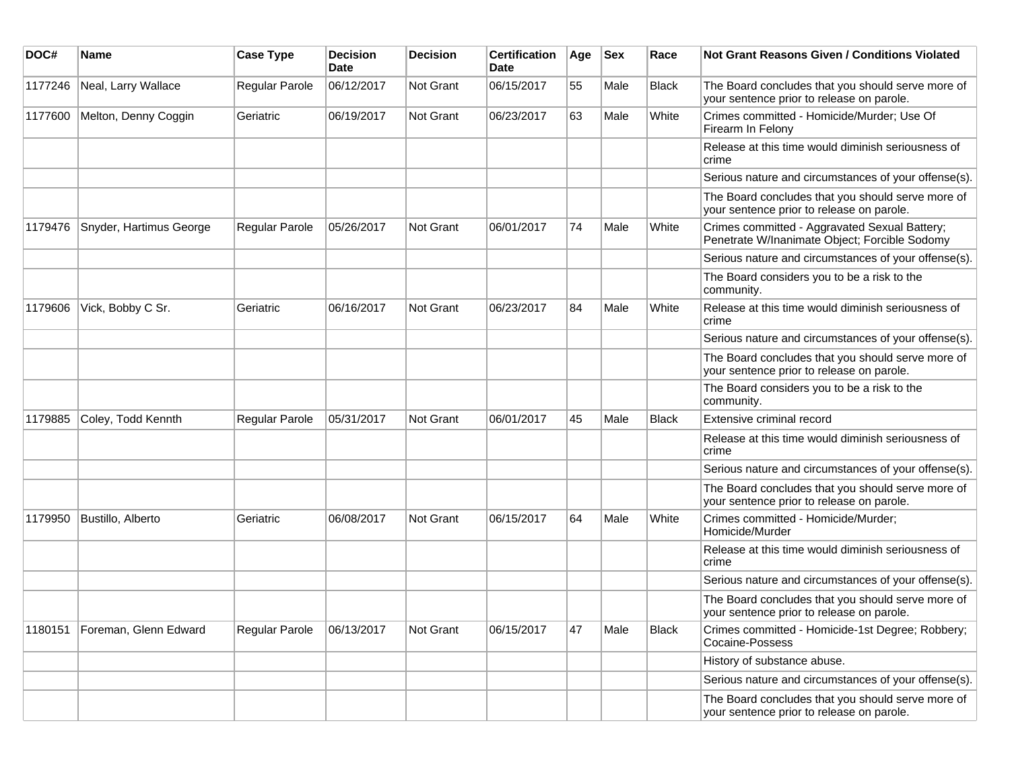| DOC#    | <b>Name</b>             | <b>Case Type</b> | <b>Decision</b><br>Date | <b>Decision</b> | <b>Certification</b><br>Date | Age | <b>Sex</b> | Race         | Not Grant Reasons Given / Conditions Violated                                                  |
|---------|-------------------------|------------------|-------------------------|-----------------|------------------------------|-----|------------|--------------|------------------------------------------------------------------------------------------------|
| 1177246 | Neal, Larry Wallace     | Regular Parole   | 06/12/2017              | Not Grant       | 06/15/2017                   | 55  | Male       | <b>Black</b> | The Board concludes that you should serve more of<br>your sentence prior to release on parole. |
| 1177600 | Melton, Denny Coggin    | Geriatric        | 06/19/2017              | Not Grant       | 06/23/2017                   | 63  | Male       | White        | Crimes committed - Homicide/Murder; Use Of<br>Firearm In Felony                                |
|         |                         |                  |                         |                 |                              |     |            |              | Release at this time would diminish seriousness of<br>crime                                    |
|         |                         |                  |                         |                 |                              |     |            |              | Serious nature and circumstances of your offense(s).                                           |
|         |                         |                  |                         |                 |                              |     |            |              | The Board concludes that you should serve more of<br>your sentence prior to release on parole. |
| 1179476 | Snyder, Hartimus George | Regular Parole   | 05/26/2017              | Not Grant       | 06/01/2017                   | 74  | Male       | White        | Crimes committed - Aggravated Sexual Battery;<br>Penetrate W/Inanimate Object; Forcible Sodomy |
|         |                         |                  |                         |                 |                              |     |            |              | Serious nature and circumstances of your offense(s).                                           |
|         |                         |                  |                         |                 |                              |     |            |              | The Board considers you to be a risk to the<br>community.                                      |
| 1179606 | Vick, Bobby C Sr.       | Geriatric        | 06/16/2017              | Not Grant       | 06/23/2017                   | 84  | Male       | White        | Release at this time would diminish seriousness of<br>crime                                    |
|         |                         |                  |                         |                 |                              |     |            |              | Serious nature and circumstances of your offense(s).                                           |
|         |                         |                  |                         |                 |                              |     |            |              | The Board concludes that you should serve more of<br>your sentence prior to release on parole. |
|         |                         |                  |                         |                 |                              |     |            |              | The Board considers you to be a risk to the<br>community.                                      |
| 1179885 | Coley, Todd Kennth      | Regular Parole   | 05/31/2017              | Not Grant       | 06/01/2017                   | 45  | Male       | <b>Black</b> | Extensive criminal record                                                                      |
|         |                         |                  |                         |                 |                              |     |            |              | Release at this time would diminish seriousness of<br>crime                                    |
|         |                         |                  |                         |                 |                              |     |            |              | Serious nature and circumstances of your offense(s).                                           |
|         |                         |                  |                         |                 |                              |     |            |              | The Board concludes that you should serve more of<br>your sentence prior to release on parole. |
| 1179950 | Bustillo, Alberto       | Geriatric        | 06/08/2017              | Not Grant       | 06/15/2017                   | 64  | Male       | White        | Crimes committed - Homicide/Murder;<br>Homicide/Murder                                         |
|         |                         |                  |                         |                 |                              |     |            |              | Release at this time would diminish seriousness of<br>crime                                    |
|         |                         |                  |                         |                 |                              |     |            |              | Serious nature and circumstances of your offense(s).                                           |
|         |                         |                  |                         |                 |                              |     |            |              | The Board concludes that you should serve more of<br>your sentence prior to release on parole. |
| 1180151 | Foreman, Glenn Edward   | Regular Parole   | 06/13/2017              | Not Grant       | 06/15/2017                   | 47  | Male       | <b>Black</b> | Crimes committed - Homicide-1st Degree; Robbery;<br>Cocaine-Possess                            |
|         |                         |                  |                         |                 |                              |     |            |              | History of substance abuse.                                                                    |
|         |                         |                  |                         |                 |                              |     |            |              | Serious nature and circumstances of your offense(s).                                           |
|         |                         |                  |                         |                 |                              |     |            |              | The Board concludes that you should serve more of<br>your sentence prior to release on parole. |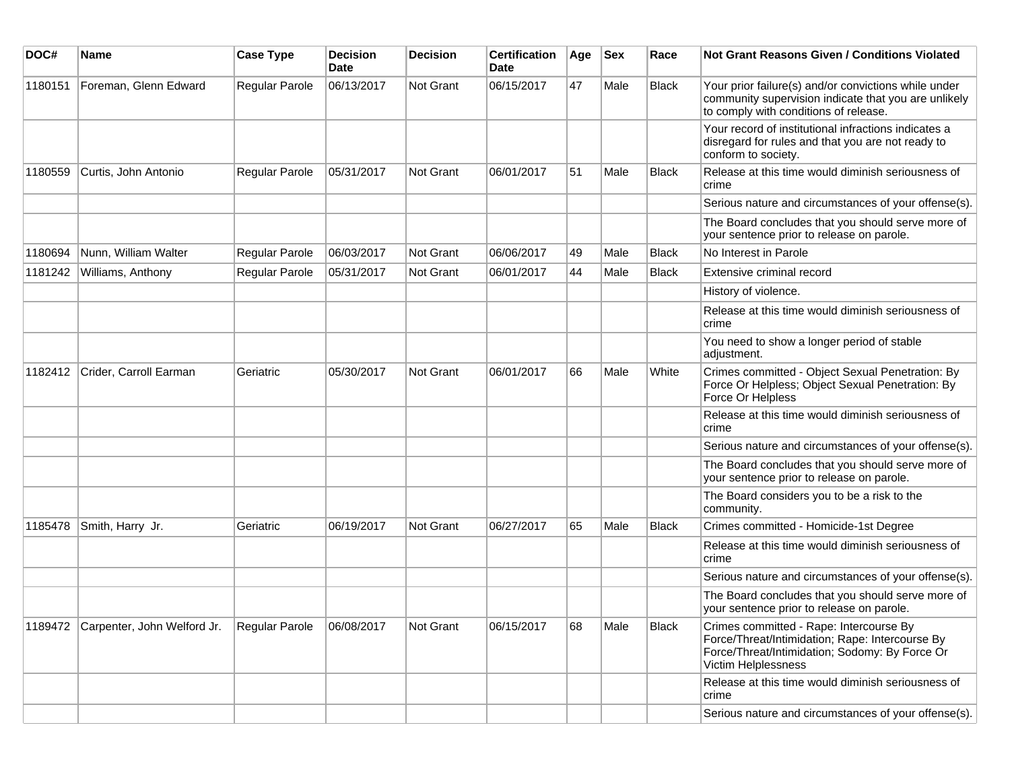| DOC#    | Name                                | <b>Case Type</b> | Decision<br><b>Date</b> | Decision         | <b>Certification</b><br>Date | Age | <b>Sex</b> | Race         | Not Grant Reasons Given / Conditions Violated                                                                                                                       |
|---------|-------------------------------------|------------------|-------------------------|------------------|------------------------------|-----|------------|--------------|---------------------------------------------------------------------------------------------------------------------------------------------------------------------|
| 1180151 | Foreman, Glenn Edward               | Regular Parole   | 06/13/2017              | Not Grant        | 06/15/2017                   | 47  | Male       | <b>Black</b> | Your prior failure(s) and/or convictions while under<br>community supervision indicate that you are unlikely<br>to comply with conditions of release.               |
|         |                                     |                  |                         |                  |                              |     |            |              | Your record of institutional infractions indicates a<br>disregard for rules and that you are not ready to<br>conform to society.                                    |
| 1180559 | Curtis, John Antonio                | Regular Parole   | 05/31/2017              | <b>Not Grant</b> | 06/01/2017                   | 51  | Male       | <b>Black</b> | Release at this time would diminish seriousness of<br>crime                                                                                                         |
|         |                                     |                  |                         |                  |                              |     |            |              | Serious nature and circumstances of your offense(s).                                                                                                                |
|         |                                     |                  |                         |                  |                              |     |            |              | The Board concludes that you should serve more of<br>your sentence prior to release on parole.                                                                      |
| 1180694 | Nunn, William Walter                | Regular Parole   | 06/03/2017              | Not Grant        | 06/06/2017                   | 49  | Male       | <b>Black</b> | No Interest in Parole                                                                                                                                               |
| 1181242 | Williams, Anthony                   | Regular Parole   | 05/31/2017              | Not Grant        | 06/01/2017                   | 44  | Male       | <b>Black</b> | Extensive criminal record                                                                                                                                           |
|         |                                     |                  |                         |                  |                              |     |            |              | History of violence.                                                                                                                                                |
|         |                                     |                  |                         |                  |                              |     |            |              | Release at this time would diminish seriousness of<br>crime                                                                                                         |
|         |                                     |                  |                         |                  |                              |     |            |              | You need to show a longer period of stable<br>adjustment.                                                                                                           |
| 1182412 | Crider, Carroll Earman              | Geriatric        | 05/30/2017              | Not Grant        | 06/01/2017                   | 66  | Male       | White        | Crimes committed - Object Sexual Penetration: By<br>Force Or Helpless; Object Sexual Penetration: By<br>Force Or Helpless                                           |
|         |                                     |                  |                         |                  |                              |     |            |              | Release at this time would diminish seriousness of<br>crime                                                                                                         |
|         |                                     |                  |                         |                  |                              |     |            |              | Serious nature and circumstances of your offense(s).                                                                                                                |
|         |                                     |                  |                         |                  |                              |     |            |              | The Board concludes that you should serve more of<br>your sentence prior to release on parole.                                                                      |
|         |                                     |                  |                         |                  |                              |     |            |              | The Board considers you to be a risk to the<br>community.                                                                                                           |
| 1185478 | Smith, Harry Jr.                    | Geriatric        | 06/19/2017              | Not Grant        | 06/27/2017                   | 65  | Male       | <b>Black</b> | Crimes committed - Homicide-1st Degree                                                                                                                              |
|         |                                     |                  |                         |                  |                              |     |            |              | Release at this time would diminish seriousness of<br>crime                                                                                                         |
|         |                                     |                  |                         |                  |                              |     |            |              | Serious nature and circumstances of your offense(s).                                                                                                                |
|         |                                     |                  |                         |                  |                              |     |            |              | The Board concludes that you should serve more of<br>your sentence prior to release on parole.                                                                      |
|         | 1189472 Carpenter, John Welford Jr. | Regular Parole   | 06/08/2017              | Not Grant        | 06/15/2017                   | 68  | Male       | <b>Black</b> | Crimes committed - Rape: Intercourse By<br>Force/Threat/Intimidation; Rape: Intercourse By<br>Force/Threat/Intimidation; Sodomy: By Force Or<br>Victim Helplessness |
|         |                                     |                  |                         |                  |                              |     |            |              | Release at this time would diminish seriousness of<br>crime                                                                                                         |
|         |                                     |                  |                         |                  |                              |     |            |              | Serious nature and circumstances of your offense(s).                                                                                                                |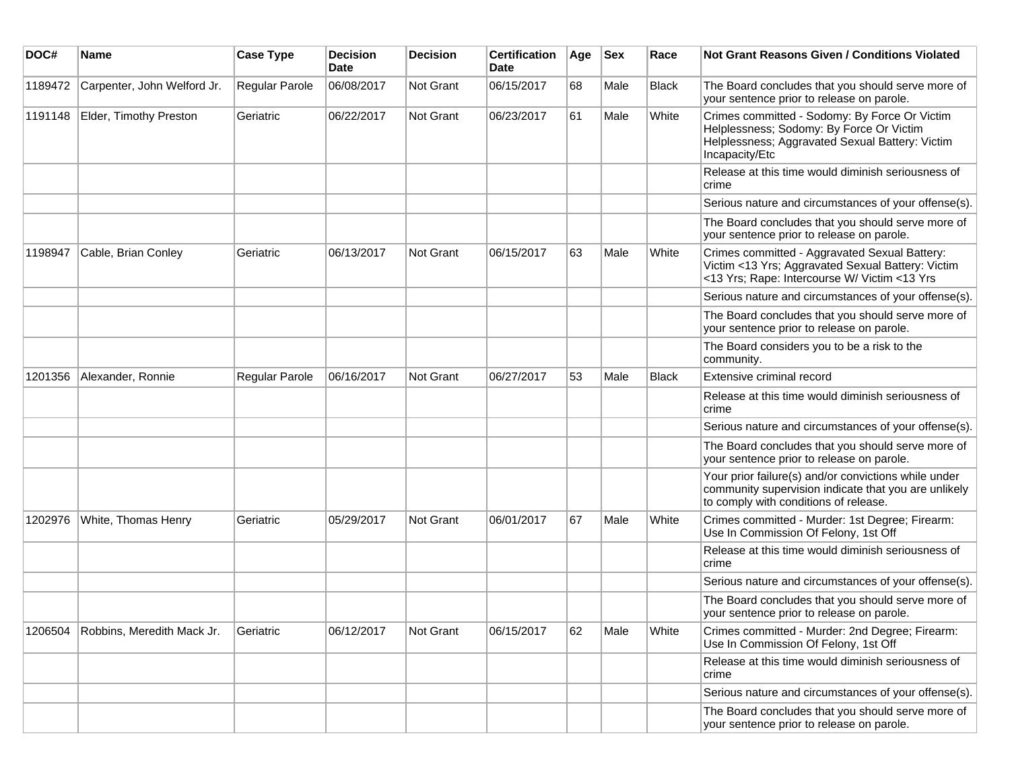| DOC#    | <b>Name</b>                 | <b>Case Type</b> | <b>Decision</b><br><b>Date</b> | <b>Decision</b> | <b>Certification</b><br><b>Date</b> | Age | <b>Sex</b> | Race         | <b>Not Grant Reasons Given / Conditions Violated</b>                                                                                                           |
|---------|-----------------------------|------------------|--------------------------------|-----------------|-------------------------------------|-----|------------|--------------|----------------------------------------------------------------------------------------------------------------------------------------------------------------|
| 1189472 | Carpenter, John Welford Jr. | Regular Parole   | 06/08/2017                     | Not Grant       | 06/15/2017                          | 68  | Male       | <b>Black</b> | The Board concludes that you should serve more of<br>your sentence prior to release on parole.                                                                 |
| 1191148 | Elder, Timothy Preston      | Geriatric        | 06/22/2017                     | Not Grant       | 06/23/2017                          | 61  | Male       | White        | Crimes committed - Sodomy: By Force Or Victim<br>Helplessness; Sodomy: By Force Or Victim<br>Helplessness; Aggravated Sexual Battery: Victim<br>Incapacity/Etc |
|         |                             |                  |                                |                 |                                     |     |            |              | Release at this time would diminish seriousness of<br>crime                                                                                                    |
|         |                             |                  |                                |                 |                                     |     |            |              | Serious nature and circumstances of your offense(s).                                                                                                           |
|         |                             |                  |                                |                 |                                     |     |            |              | The Board concludes that you should serve more of<br>your sentence prior to release on parole.                                                                 |
| 1198947 | Cable, Brian Conley         | Geriatric        | 06/13/2017                     | Not Grant       | 06/15/2017                          | 63  | Male       | White        | Crimes committed - Aggravated Sexual Battery:<br>Victim <13 Yrs; Aggravated Sexual Battery: Victim<br><13 Yrs; Rape: Intercourse W/ Victim <13 Yrs             |
|         |                             |                  |                                |                 |                                     |     |            |              | Serious nature and circumstances of your offense(s).                                                                                                           |
|         |                             |                  |                                |                 |                                     |     |            |              | The Board concludes that you should serve more of<br>your sentence prior to release on parole.                                                                 |
|         |                             |                  |                                |                 |                                     |     |            |              | The Board considers you to be a risk to the<br>community.                                                                                                      |
| 1201356 | Alexander, Ronnie           | Regular Parole   | 06/16/2017                     | Not Grant       | 06/27/2017                          | 53  | Male       | Black        | Extensive criminal record                                                                                                                                      |
|         |                             |                  |                                |                 |                                     |     |            |              | Release at this time would diminish seriousness of<br>crime                                                                                                    |
|         |                             |                  |                                |                 |                                     |     |            |              | Serious nature and circumstances of your offense(s).                                                                                                           |
|         |                             |                  |                                |                 |                                     |     |            |              | The Board concludes that you should serve more of<br>your sentence prior to release on parole.                                                                 |
|         |                             |                  |                                |                 |                                     |     |            |              | Your prior failure(s) and/or convictions while under<br>community supervision indicate that you are unlikely<br>to comply with conditions of release.          |
| 1202976 | White, Thomas Henry         | Geriatric        | 05/29/2017                     | Not Grant       | 06/01/2017                          | 67  | Male       | White        | Crimes committed - Murder: 1st Degree; Firearm:<br>Use In Commission Of Felony, 1st Off                                                                        |
|         |                             |                  |                                |                 |                                     |     |            |              | Release at this time would diminish seriousness of<br>crime                                                                                                    |
|         |                             |                  |                                |                 |                                     |     |            |              | Serious nature and circumstances of your offense(s).                                                                                                           |
|         |                             |                  |                                |                 |                                     |     |            |              | The Board concludes that you should serve more of<br>your sentence prior to release on parole.                                                                 |
| 1206504 | Robbins, Meredith Mack Jr.  | Geriatric        | 06/12/2017                     | Not Grant       | 06/15/2017                          | 62  | Male       | White        | Crimes committed - Murder: 2nd Degree; Firearm:<br>Use In Commission Of Felony, 1st Off                                                                        |
|         |                             |                  |                                |                 |                                     |     |            |              | Release at this time would diminish seriousness of<br>crime                                                                                                    |
|         |                             |                  |                                |                 |                                     |     |            |              | Serious nature and circumstances of your offense(s).                                                                                                           |
|         |                             |                  |                                |                 |                                     |     |            |              | The Board concludes that you should serve more of<br>your sentence prior to release on parole.                                                                 |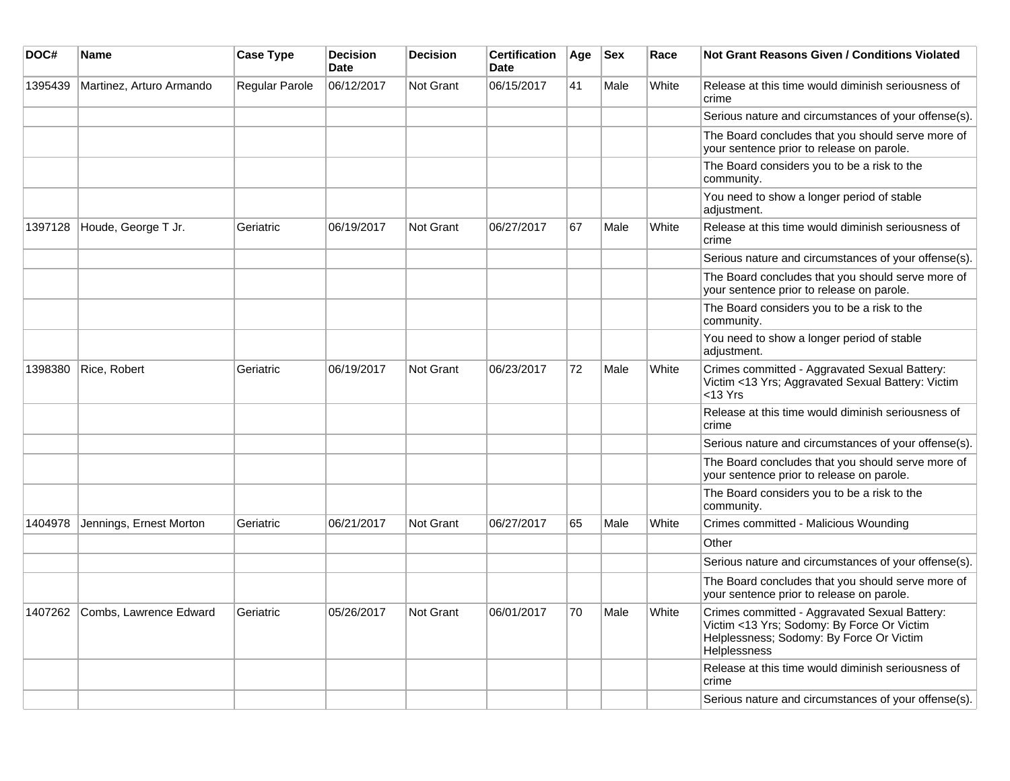| DOC#    | <b>Name</b>              | <b>Case Type</b>      | <b>Decision</b><br><b>Date</b> | <b>Decision</b>  | <b>Certification</b><br><b>Date</b> | Age | <b>Sex</b> | Race  | <b>Not Grant Reasons Given / Conditions Violated</b>                                                                                                           |
|---------|--------------------------|-----------------------|--------------------------------|------------------|-------------------------------------|-----|------------|-------|----------------------------------------------------------------------------------------------------------------------------------------------------------------|
| 1395439 | Martinez, Arturo Armando | <b>Regular Parole</b> | 06/12/2017                     | Not Grant        | 06/15/2017                          | 41  | Male       | White | Release at this time would diminish seriousness of<br>crime                                                                                                    |
|         |                          |                       |                                |                  |                                     |     |            |       | Serious nature and circumstances of your offense(s).                                                                                                           |
|         |                          |                       |                                |                  |                                     |     |            |       | The Board concludes that you should serve more of<br>your sentence prior to release on parole.                                                                 |
|         |                          |                       |                                |                  |                                     |     |            |       | The Board considers you to be a risk to the<br>community.                                                                                                      |
|         |                          |                       |                                |                  |                                     |     |            |       | You need to show a longer period of stable<br>adjustment.                                                                                                      |
| 1397128 | Houde, George T Jr.      | Geriatric             | 06/19/2017                     | <b>Not Grant</b> | 06/27/2017                          | 67  | Male       | White | Release at this time would diminish seriousness of<br>crime                                                                                                    |
|         |                          |                       |                                |                  |                                     |     |            |       | Serious nature and circumstances of your offense(s).                                                                                                           |
|         |                          |                       |                                |                  |                                     |     |            |       | The Board concludes that you should serve more of<br>your sentence prior to release on parole.                                                                 |
|         |                          |                       |                                |                  |                                     |     |            |       | The Board considers you to be a risk to the<br>community.                                                                                                      |
|         |                          |                       |                                |                  |                                     |     |            |       | You need to show a longer period of stable<br>adjustment.                                                                                                      |
| 1398380 | Rice, Robert             | Geriatric             | 06/19/2017                     | <b>Not Grant</b> | 06/23/2017                          | 72  | Male       | White | Crimes committed - Aggravated Sexual Battery:<br>Victim <13 Yrs; Aggravated Sexual Battery: Victim<br>$<$ 13 Yrs                                               |
|         |                          |                       |                                |                  |                                     |     |            |       | Release at this time would diminish seriousness of<br>crime                                                                                                    |
|         |                          |                       |                                |                  |                                     |     |            |       | Serious nature and circumstances of your offense(s).                                                                                                           |
|         |                          |                       |                                |                  |                                     |     |            |       | The Board concludes that you should serve more of<br>your sentence prior to release on parole.                                                                 |
|         |                          |                       |                                |                  |                                     |     |            |       | The Board considers you to be a risk to the<br>community.                                                                                                      |
| 1404978 | Jennings, Ernest Morton  | Geriatric             | 06/21/2017                     | Not Grant        | 06/27/2017                          | 65  | Male       | White | Crimes committed - Malicious Wounding                                                                                                                          |
|         |                          |                       |                                |                  |                                     |     |            |       | Other                                                                                                                                                          |
|         |                          |                       |                                |                  |                                     |     |            |       | Serious nature and circumstances of your offense(s).                                                                                                           |
|         |                          |                       |                                |                  |                                     |     |            |       | The Board concludes that you should serve more of<br>your sentence prior to release on parole.                                                                 |
| 1407262 | Combs, Lawrence Edward   | Geriatric             | 05/26/2017                     | <b>Not Grant</b> | 06/01/2017                          | 70  | Male       | White | Crimes committed - Aggravated Sexual Battery:<br>Victim <13 Yrs; Sodomy: By Force Or Victim<br>Helplessness; Sodomy: By Force Or Victim<br><b>Helplessness</b> |
|         |                          |                       |                                |                  |                                     |     |            |       | Release at this time would diminish seriousness of<br>crime                                                                                                    |
|         |                          |                       |                                |                  |                                     |     |            |       | Serious nature and circumstances of your offense(s).                                                                                                           |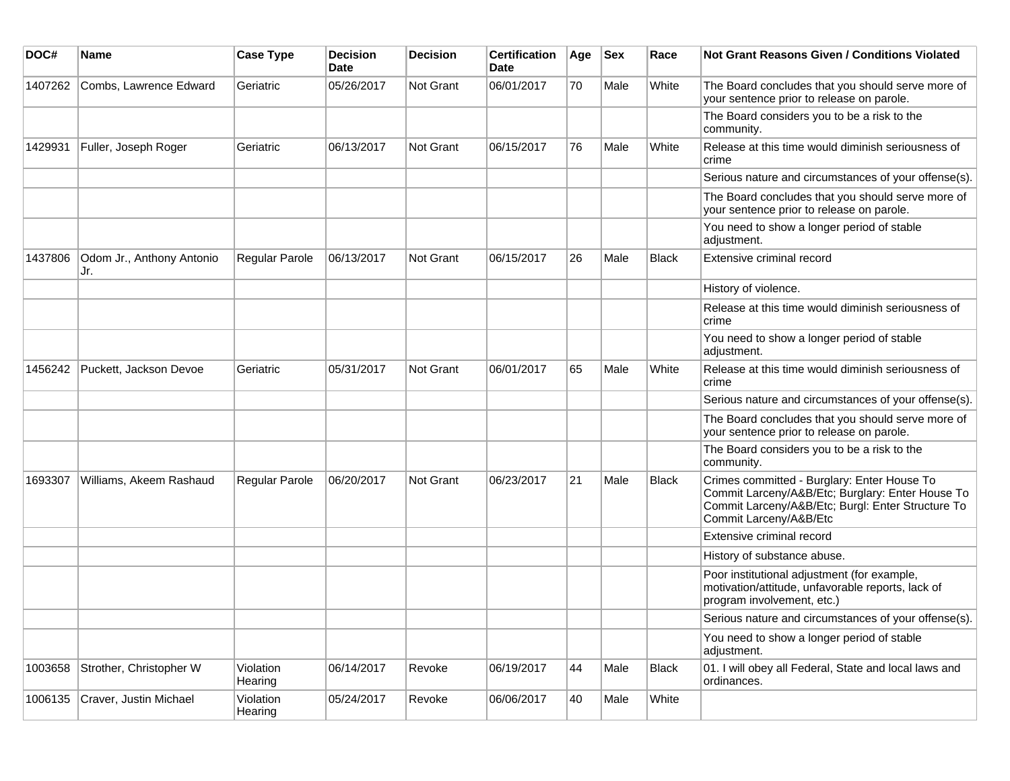| DOC#    | Name                             | <b>Case Type</b>     | <b>Decision</b><br><b>Date</b> | <b>Decision</b> | <b>Certification</b><br>Date | Age | <b>Sex</b> | Race         | <b>Not Grant Reasons Given / Conditions Violated</b>                                                                                                                           |
|---------|----------------------------------|----------------------|--------------------------------|-----------------|------------------------------|-----|------------|--------------|--------------------------------------------------------------------------------------------------------------------------------------------------------------------------------|
| 1407262 | Combs, Lawrence Edward           | Geriatric            | 05/26/2017                     | Not Grant       | 06/01/2017                   | 70  | Male       | White        | The Board concludes that you should serve more of<br>your sentence prior to release on parole.                                                                                 |
|         |                                  |                      |                                |                 |                              |     |            |              | The Board considers you to be a risk to the<br>community.                                                                                                                      |
| 1429931 | Fuller, Joseph Roger             | Geriatric            | 06/13/2017                     | Not Grant       | 06/15/2017                   | 76  | Male       | White        | Release at this time would diminish seriousness of<br>crime                                                                                                                    |
|         |                                  |                      |                                |                 |                              |     |            |              | Serious nature and circumstances of your offense(s).                                                                                                                           |
|         |                                  |                      |                                |                 |                              |     |            |              | The Board concludes that you should serve more of<br>your sentence prior to release on parole.                                                                                 |
|         |                                  |                      |                                |                 |                              |     |            |              | You need to show a longer period of stable<br>adjustment.                                                                                                                      |
| 1437806 | Odom Jr., Anthony Antonio<br>Jr. | Regular Parole       | 06/13/2017                     | Not Grant       | 06/15/2017                   | 26  | Male       | <b>Black</b> | Extensive criminal record                                                                                                                                                      |
|         |                                  |                      |                                |                 |                              |     |            |              | History of violence.                                                                                                                                                           |
|         |                                  |                      |                                |                 |                              |     |            |              | Release at this time would diminish seriousness of<br>crime                                                                                                                    |
|         |                                  |                      |                                |                 |                              |     |            |              | You need to show a longer period of stable<br>adjustment.                                                                                                                      |
| 1456242 | Puckett, Jackson Devoe           | Geriatric            | 05/31/2017                     | Not Grant       | 06/01/2017                   | 65  | Male       | White        | Release at this time would diminish seriousness of<br>crime                                                                                                                    |
|         |                                  |                      |                                |                 |                              |     |            |              | Serious nature and circumstances of your offense(s).                                                                                                                           |
|         |                                  |                      |                                |                 |                              |     |            |              | The Board concludes that you should serve more of<br>your sentence prior to release on parole.                                                                                 |
|         |                                  |                      |                                |                 |                              |     |            |              | The Board considers you to be a risk to the<br>community.                                                                                                                      |
| 1693307 | Williams, Akeem Rashaud          | Regular Parole       | 06/20/2017                     | Not Grant       | 06/23/2017                   | 21  | Male       | <b>Black</b> | Crimes committed - Burglary: Enter House To<br>Commit Larceny/A&B/Etc; Burglary: Enter House To<br>Commit Larceny/A&B/Etc; Burgl: Enter Structure To<br>Commit Larceny/A&B/Etc |
|         |                                  |                      |                                |                 |                              |     |            |              | Extensive criminal record                                                                                                                                                      |
|         |                                  |                      |                                |                 |                              |     |            |              | History of substance abuse.                                                                                                                                                    |
|         |                                  |                      |                                |                 |                              |     |            |              | Poor institutional adjustment (for example,<br>motivation/attitude, unfavorable reports, lack of<br>program involvement, etc.)                                                 |
|         |                                  |                      |                                |                 |                              |     |            |              | Serious nature and circumstances of your offense(s).                                                                                                                           |
|         |                                  |                      |                                |                 |                              |     |            |              | You need to show a longer period of stable<br>adjustment.                                                                                                                      |
| 1003658 | Strother, Christopher W          | Violation<br>Hearing | 06/14/2017                     | Revoke          | 06/19/2017                   | 44  | Male       | Black        | 01. I will obey all Federal, State and local laws and<br>ordinances.                                                                                                           |
| 1006135 | Craver, Justin Michael           | Violation<br>Hearing | 05/24/2017                     | Revoke          | 06/06/2017                   | 40  | Male       | White        |                                                                                                                                                                                |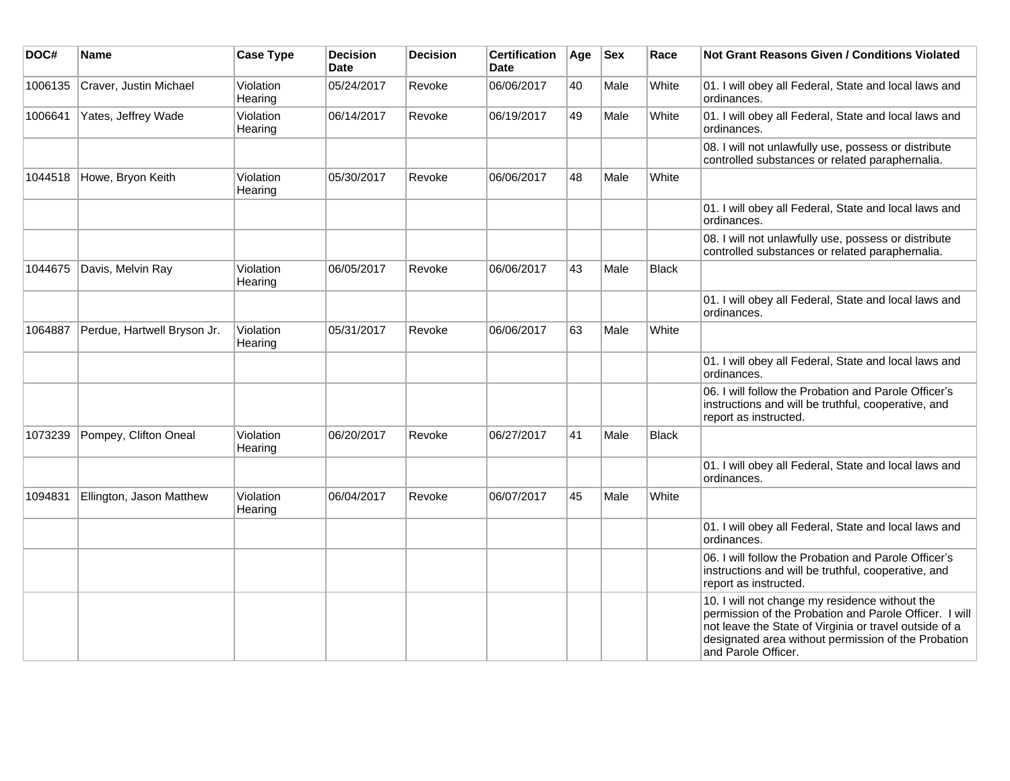| DOC#    | Name                        | <b>Case Type</b>     | <b>Decision</b><br><b>Date</b> | <b>Decision</b> | <b>Certification</b><br>Date | Age | <b>Sex</b> | Race  | <b>Not Grant Reasons Given / Conditions Violated</b>                                                                                                                                                                                             |
|---------|-----------------------------|----------------------|--------------------------------|-----------------|------------------------------|-----|------------|-------|--------------------------------------------------------------------------------------------------------------------------------------------------------------------------------------------------------------------------------------------------|
| 1006135 | Craver, Justin Michael      | Violation<br>Hearing | 05/24/2017                     | Revoke          | 06/06/2017                   | 40  | Male       | White | 01. I will obey all Federal, State and local laws and<br>ordinances.                                                                                                                                                                             |
| 1006641 | Yates, Jeffrey Wade         | Violation<br>Hearing | 06/14/2017                     | Revoke          | 06/19/2017                   | 49  | Male       | White | 01. I will obey all Federal, State and local laws and<br>ordinances.                                                                                                                                                                             |
|         |                             |                      |                                |                 |                              |     |            |       | 08. I will not unlawfully use, possess or distribute<br>controlled substances or related paraphernalia.                                                                                                                                          |
| 1044518 | Howe, Bryon Keith           | Violation<br>Hearing | 05/30/2017                     | Revoke          | 06/06/2017                   | 48  | Male       | White |                                                                                                                                                                                                                                                  |
|         |                             |                      |                                |                 |                              |     |            |       | 01. I will obey all Federal, State and local laws and<br>ordinances.                                                                                                                                                                             |
|         |                             |                      |                                |                 |                              |     |            |       | 08. I will not unlawfully use, possess or distribute<br>controlled substances or related paraphernalia.                                                                                                                                          |
| 1044675 | Davis, Melvin Ray           | Violation<br>Hearing | 06/05/2017                     | Revoke          | 06/06/2017                   | 43  | Male       | Black |                                                                                                                                                                                                                                                  |
|         |                             |                      |                                |                 |                              |     |            |       | 01. I will obey all Federal, State and local laws and<br>ordinances.                                                                                                                                                                             |
| 1064887 | Perdue, Hartwell Bryson Jr. | Violation<br>Hearing | 05/31/2017                     | Revoke          | 06/06/2017                   | 63  | Male       | White |                                                                                                                                                                                                                                                  |
|         |                             |                      |                                |                 |                              |     |            |       | 01. I will obey all Federal, State and local laws and<br>ordinances.                                                                                                                                                                             |
|         |                             |                      |                                |                 |                              |     |            |       | 06. I will follow the Probation and Parole Officer's<br>instructions and will be truthful, cooperative, and<br>report as instructed.                                                                                                             |
| 1073239 | Pompey, Clifton Oneal       | Violation<br>Hearing | 06/20/2017                     | Revoke          | 06/27/2017                   | 41  | Male       | Black |                                                                                                                                                                                                                                                  |
|         |                             |                      |                                |                 |                              |     |            |       | 01. I will obey all Federal, State and local laws and<br>ordinances.                                                                                                                                                                             |
| 1094831 | Ellington, Jason Matthew    | Violation<br>Hearing | 06/04/2017                     | Revoke          | 06/07/2017                   | 45  | Male       | White |                                                                                                                                                                                                                                                  |
|         |                             |                      |                                |                 |                              |     |            |       | 01. I will obey all Federal, State and local laws and<br>ordinances.                                                                                                                                                                             |
|         |                             |                      |                                |                 |                              |     |            |       | 06. I will follow the Probation and Parole Officer's<br>instructions and will be truthful, cooperative, and<br>report as instructed.                                                                                                             |
|         |                             |                      |                                |                 |                              |     |            |       | 10. I will not change my residence without the<br>permission of the Probation and Parole Officer. I will<br>not leave the State of Virginia or travel outside of a<br>designated area without permission of the Probation<br>and Parole Officer. |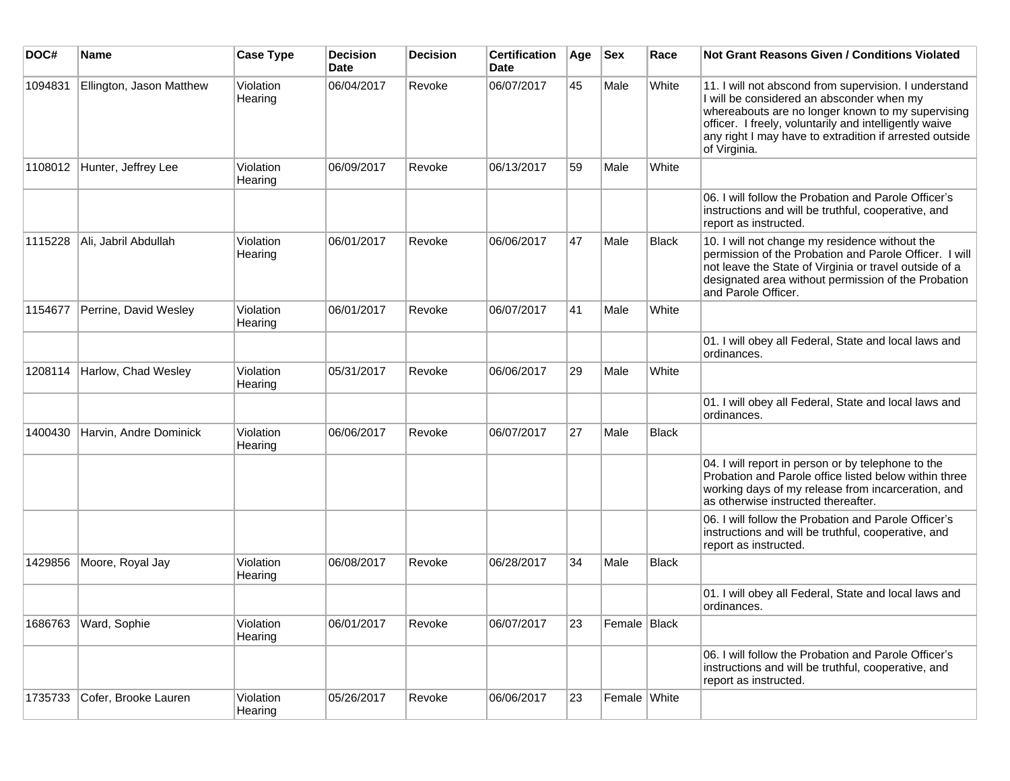| DOC#    | <b>Name</b>              | <b>Case Type</b>     | <b>Decision</b><br><b>Date</b> | <b>Decision</b> | <b>Certification</b><br><b>Date</b> | Age | <b>Sex</b>   | Race  | <b>Not Grant Reasons Given / Conditions Violated</b>                                                                                                                                                                                                                                         |
|---------|--------------------------|----------------------|--------------------------------|-----------------|-------------------------------------|-----|--------------|-------|----------------------------------------------------------------------------------------------------------------------------------------------------------------------------------------------------------------------------------------------------------------------------------------------|
| 1094831 | Ellington, Jason Matthew | Violation<br>Hearing | 06/04/2017                     | Revoke          | 06/07/2017                          | 45  | Male         | White | 11. I will not abscond from supervision. I understand<br>I will be considered an absconder when my<br>whereabouts are no longer known to my supervising<br>officer. I freely, voluntarily and intelligently waive<br>any right I may have to extradition if arrested outside<br>of Virginia. |
| 1108012 | Hunter, Jeffrey Lee      | Violation<br>Hearing | 06/09/2017                     | Revoke          | 06/13/2017                          | 59  | Male         | White |                                                                                                                                                                                                                                                                                              |
|         |                          |                      |                                |                 |                                     |     |              |       | 06. I will follow the Probation and Parole Officer's<br>instructions and will be truthful, cooperative, and<br>report as instructed.                                                                                                                                                         |
| 1115228 | Ali, Jabril Abdullah     | Violation<br>Hearing | 06/01/2017                     | Revoke          | 06/06/2017                          | 47  | Male         | Black | 10. I will not change my residence without the<br>permission of the Probation and Parole Officer. I will<br>not leave the State of Virginia or travel outside of a<br>designated area without permission of the Probation<br>and Parole Officer.                                             |
| 1154677 | Perrine, David Wesley    | Violation<br>Hearing | 06/01/2017                     | Revoke          | 06/07/2017                          | 41  | Male         | White |                                                                                                                                                                                                                                                                                              |
|         |                          |                      |                                |                 |                                     |     |              |       | 01. I will obey all Federal, State and local laws and<br>ordinances.                                                                                                                                                                                                                         |
| 1208114 | Harlow, Chad Wesley      | Violation<br>Hearing | 05/31/2017                     | Revoke          | 06/06/2017                          | 29  | Male         | White |                                                                                                                                                                                                                                                                                              |
|         |                          |                      |                                |                 |                                     |     |              |       | 01. I will obey all Federal, State and local laws and<br>ordinances.                                                                                                                                                                                                                         |
| 1400430 | Harvin, Andre Dominick   | Violation<br>Hearing | 06/06/2017                     | Revoke          | 06/07/2017                          | 27  | Male         | Black |                                                                                                                                                                                                                                                                                              |
|         |                          |                      |                                |                 |                                     |     |              |       | 04. I will report in person or by telephone to the<br>Probation and Parole office listed below within three<br>working days of my release from incarceration, and<br>as otherwise instructed thereafter.                                                                                     |
|         |                          |                      |                                |                 |                                     |     |              |       | 06. I will follow the Probation and Parole Officer's<br>instructions and will be truthful, cooperative, and<br>report as instructed.                                                                                                                                                         |
| 1429856 | Moore, Royal Jay         | Violation<br>Hearing | 06/08/2017                     | Revoke          | 06/28/2017                          | 34  | Male         | Black |                                                                                                                                                                                                                                                                                              |
|         |                          |                      |                                |                 |                                     |     |              |       | 01. I will obey all Federal, State and local laws and<br>ordinances.                                                                                                                                                                                                                         |
| 1686763 | Ward, Sophie             | Violation<br>Hearing | 06/01/2017                     | Revoke          | 06/07/2017                          | 23  | Female Black |       |                                                                                                                                                                                                                                                                                              |
|         |                          |                      |                                |                 |                                     |     |              |       | 06. I will follow the Probation and Parole Officer's<br>instructions and will be truthful, cooperative, and<br>report as instructed.                                                                                                                                                         |
| 1735733 | Cofer, Brooke Lauren     | Violation<br>Hearing | 05/26/2017                     | Revoke          | 06/06/2017                          | 23  | Female White |       |                                                                                                                                                                                                                                                                                              |